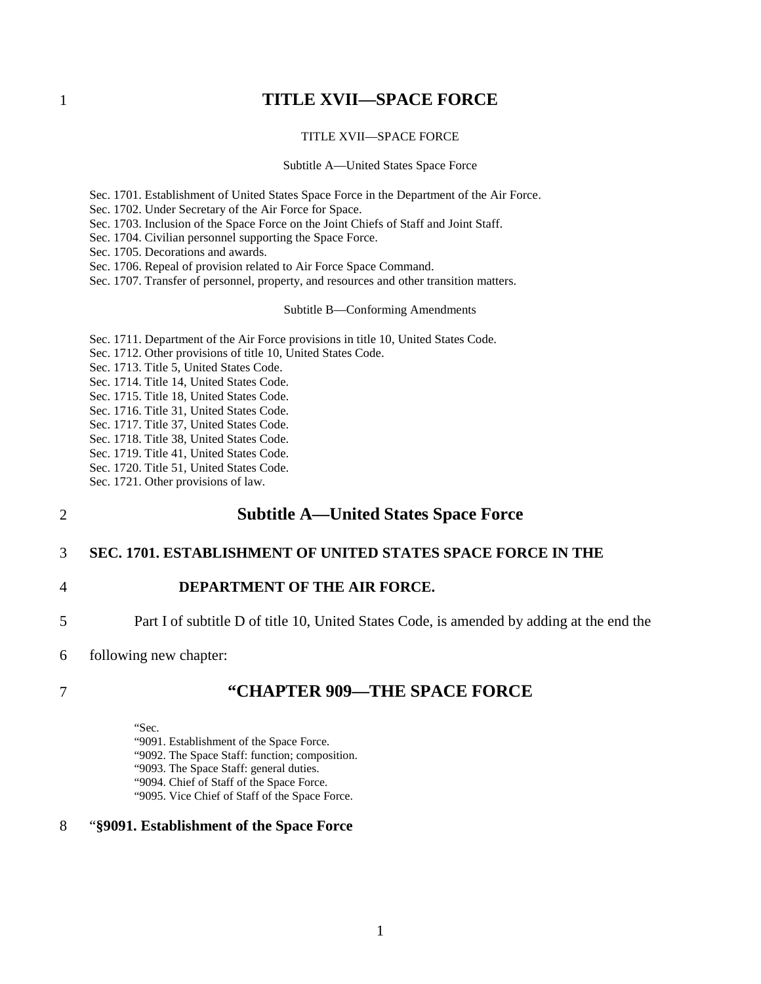## <span id="page-0-0"></span>1 **TITLE XVII—SPACE FORCE**

### [TITLE XVII—SPACE FORCE](#page-0-0)

#### [Subtitle A—United States Space Force](#page-0-1)

- [Sec. 1701. Establishment of United States Space Force in the Department of the Air Force.](#page-0-2)
- [Sec. 1702. Under Secretary of the Air Force for Space.](#page-6-0)
- [Sec. 1703. Inclusion of the Space Force on the Joint Chiefs of Staff and Joint Staff.](#page-8-0)
- [Sec. 1704. Civilian personnel supporting the Space Force.](#page-8-1)
- [Sec. 1705. Decorations and awards.](#page-20-0)
- [Sec. 1706. Repeal of provision related to Air Force Space Command.](#page-20-1)
- [Sec. 1707. Transfer of personnel, property, and resources and other transition matters.](#page-21-0)

[Subtitle B—Conforming Amendments](#page-26-0)

- [Sec. 1711. Department of the Air Force provisions in title 10, United States Code.](#page-26-1)
- [Sec. 1712. Other provisions of title 10, United States Code.](#page-50-0)
- [Sec. 1713. Title 5, United States Code.](#page-61-0)
- [Sec. 1714. Title 14, United States Code.](#page-61-1)
- [Sec. 1715. Title 18, United States Code.](#page-61-2)
- [Sec. 1716. Title 31, United States Code.](#page-61-3)
- [Sec. 1717. Title 37, United States Code.](#page-62-0)
- [Sec. 1718. Title 38, United States Code.](#page-64-0)
- [Sec. 1719. Title 41, United States Code.](#page-69-0)
- [Sec. 1720. Title 51, United States Code.](#page-69-1)
- <span id="page-0-1"></span>[Sec. 1721. Other provisions of law.](#page-69-2)

## 2 **Subtitle A—United States Space Force**

### <span id="page-0-2"></span>3 **SEC. 1701. ESTABLISHMENT OF UNITED STATES SPACE FORCE IN THE**

- 4 **DEPARTMENT OF THE AIR FORCE.**
- 5 Part I of subtitle D of title 10, United States Code, is amended by adding at the end the
- 6 following new chapter:

### 7 **"CHAPTER 909—THE SPACE FORCE**

"Sec.

"9091. Establishment of the Space Force.

- "9092. The Space Staff: function; composition.
- "9093. The Space Staff: general duties.
- "9094. Chief of Staff of the Space Force.
- "9095. Vice Chief of Staff of the Space Force.

### 8 "**§9091. Establishment of the Space Force**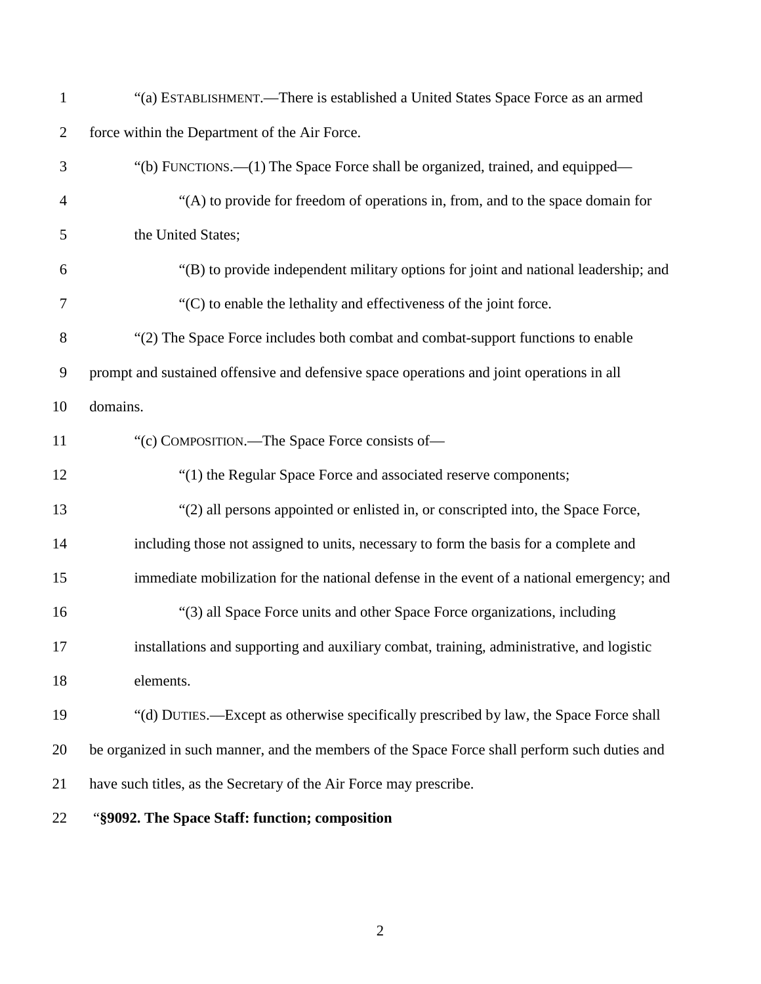| $\mathbf{1}$   | "(a) ESTABLISHMENT.—There is established a United States Space Force as an armed              |
|----------------|-----------------------------------------------------------------------------------------------|
| $\overline{c}$ | force within the Department of the Air Force.                                                 |
| 3              | "(b) FUNCTIONS.—(1) The Space Force shall be organized, trained, and equipped—                |
| $\overline{4}$ | "(A) to provide for freedom of operations in, from, and to the space domain for               |
| 5              | the United States;                                                                            |
| 6              | "(B) to provide independent military options for joint and national leadership; and           |
| 7              | "(C) to enable the lethality and effectiveness of the joint force.                            |
| 8              | "(2) The Space Force includes both combat and combat-support functions to enable              |
| 9              | prompt and sustained offensive and defensive space operations and joint operations in all     |
| 10             | domains.                                                                                      |
| 11             | "(c) COMPOSITION.—The Space Force consists of—                                                |
| 12             | "(1) the Regular Space Force and associated reserve components;                               |
| 13             | "(2) all persons appointed or enlisted in, or conscripted into, the Space Force,              |
| 14             | including those not assigned to units, necessary to form the basis for a complete and         |
| 15             | immediate mobilization for the national defense in the event of a national emergency; and     |
| 16             | "(3) all Space Force units and other Space Force organizations, including                     |
| 17             | installations and supporting and auxiliary combat, training, administrative, and logistic     |
| 18             | elements.                                                                                     |
| 19             | "(d) DUTIES.—Except as otherwise specifically prescribed by law, the Space Force shall        |
| 20             | be organized in such manner, and the members of the Space Force shall perform such duties and |
| 21             | have such titles, as the Secretary of the Air Force may prescribe.                            |
| 22             | "§9092. The Space Staff: function; composition                                                |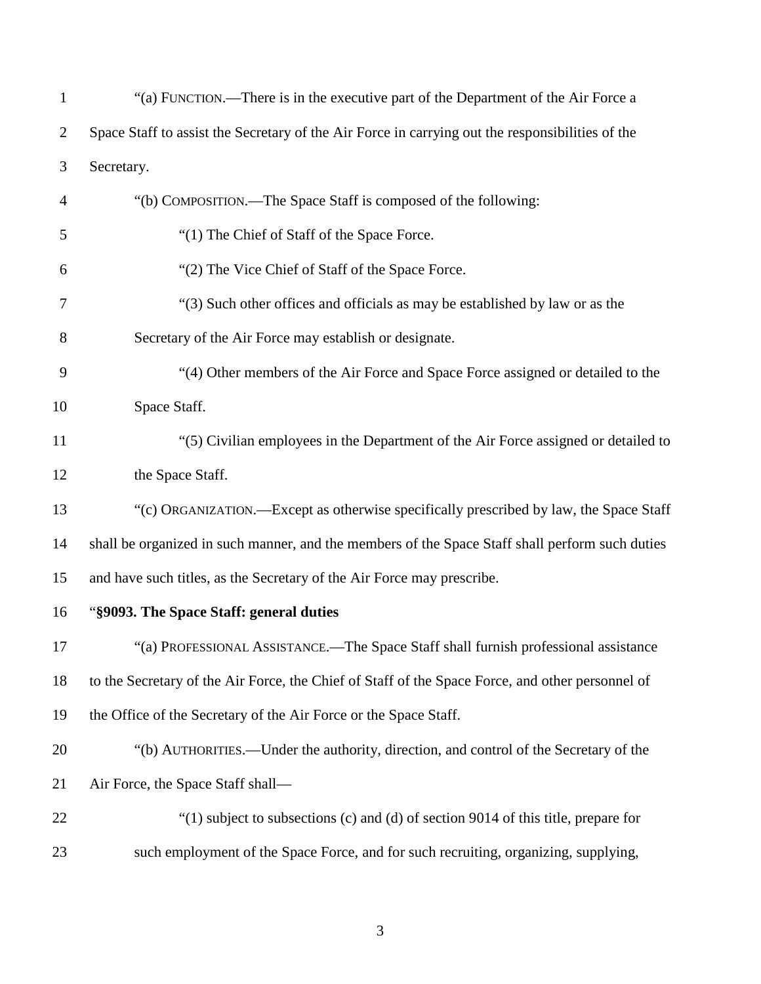| $\mathbf{1}$   | "(a) FUNCTION.—There is in the executive part of the Department of the Air Force a               |
|----------------|--------------------------------------------------------------------------------------------------|
| $\overline{2}$ | Space Staff to assist the Secretary of the Air Force in carrying out the responsibilities of the |
| 3              | Secretary.                                                                                       |
| 4              | "(b) COMPOSITION.—The Space Staff is composed of the following:                                  |
| 5              | "(1) The Chief of Staff of the Space Force.                                                      |
| 6              | "(2) The Vice Chief of Staff of the Space Force.                                                 |
| 7              | "(3) Such other offices and officials as may be established by law or as the                     |
| 8              | Secretary of the Air Force may establish or designate.                                           |
| 9              | "(4) Other members of the Air Force and Space Force assigned or detailed to the                  |
| 10             | Space Staff.                                                                                     |
| 11             | "(5) Civilian employees in the Department of the Air Force assigned or detailed to               |
| 12             | the Space Staff.                                                                                 |
| 13             | "(c) ORGANIZATION.—Except as otherwise specifically prescribed by law, the Space Staff           |
| 14             | shall be organized in such manner, and the members of the Space Staff shall perform such duties  |
| 15             | and have such titles, as the Secretary of the Air Force may prescribe.                           |
| 16             | "§9093. The Space Staff: general duties                                                          |
| 17             | "(a) PROFESSIONAL ASSISTANCE.—The Space Staff shall furnish professional assistance              |
| 18             | to the Secretary of the Air Force, the Chief of Staff of the Space Force, and other personnel of |
| 19             | the Office of the Secretary of the Air Force or the Space Staff.                                 |
| 20             | "(b) AUTHORITIES.—Under the authority, direction, and control of the Secretary of the            |
| 21             | Air Force, the Space Staff shall-                                                                |
| 22             | " $(1)$ subject to subsections $(c)$ and $(d)$ of section 9014 of this title, prepare for        |
| 23             | such employment of the Space Force, and for such recruiting, organizing, supplying,              |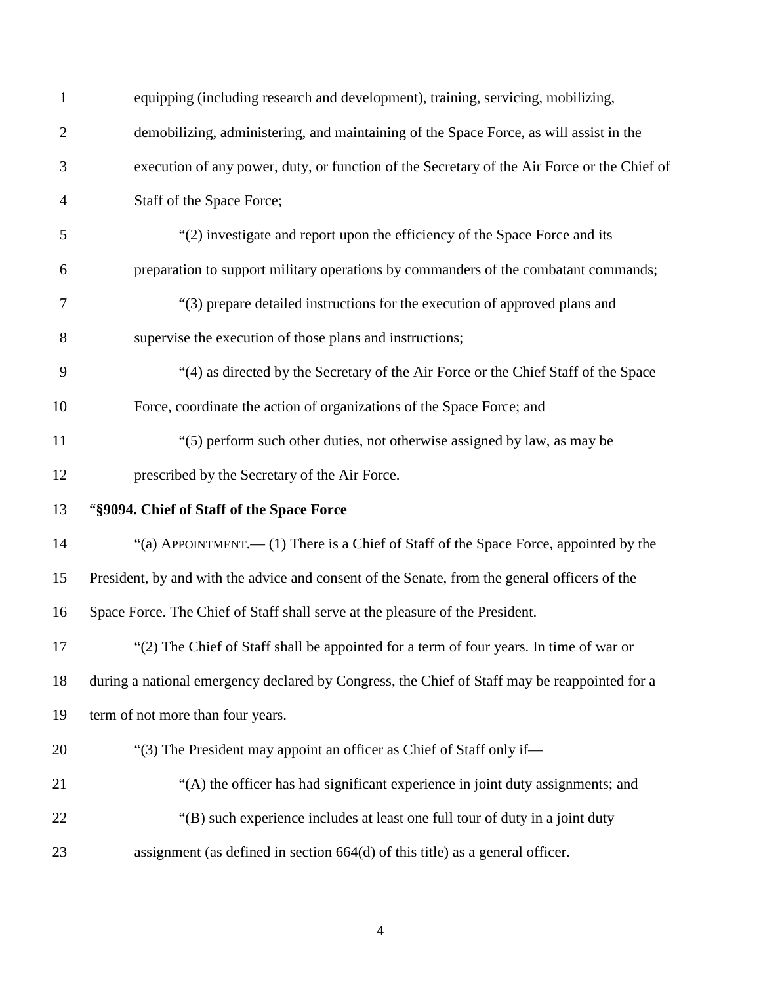| $\mathbf{1}$   | equipping (including research and development), training, servicing, mobilizing,              |
|----------------|-----------------------------------------------------------------------------------------------|
| $\overline{c}$ | demobilizing, administering, and maintaining of the Space Force, as will assist in the        |
| 3              | execution of any power, duty, or function of the Secretary of the Air Force or the Chief of   |
| 4              | Staff of the Space Force;                                                                     |
| 5              | "(2) investigate and report upon the efficiency of the Space Force and its                    |
| 6              | preparation to support military operations by commanders of the combatant commands;           |
| 7              | "(3) prepare detailed instructions for the execution of approved plans and                    |
| 8              | supervise the execution of those plans and instructions;                                      |
| 9              | "(4) as directed by the Secretary of the Air Force or the Chief Staff of the Space            |
| 10             | Force, coordinate the action of organizations of the Space Force; and                         |
| 11             | "(5) perform such other duties, not otherwise assigned by law, as may be                      |
| 12             | prescribed by the Secretary of the Air Force.                                                 |
| 13             | "§9094. Chief of Staff of the Space Force                                                     |
| 14             | "(a) APPOINTMENT.— $(1)$ There is a Chief of Staff of the Space Force, appointed by the       |
| 15             | President, by and with the advice and consent of the Senate, from the general officers of the |
| 16             | Space Force. The Chief of Staff shall serve at the pleasure of the President.                 |
| 17             | "(2) The Chief of Staff shall be appointed for a term of four years. In time of war or        |
| 18             | during a national emergency declared by Congress, the Chief of Staff may be reappointed for a |
| 19             | term of not more than four years.                                                             |
| 20             | "(3) The President may appoint an officer as Chief of Staff only if—                          |
| 21             | "(A) the officer has had significant experience in joint duty assignments; and                |
| 22             | "(B) such experience includes at least one full tour of duty in a joint duty"                 |
| 23             | assignment (as defined in section $664(d)$ of this title) as a general officer.               |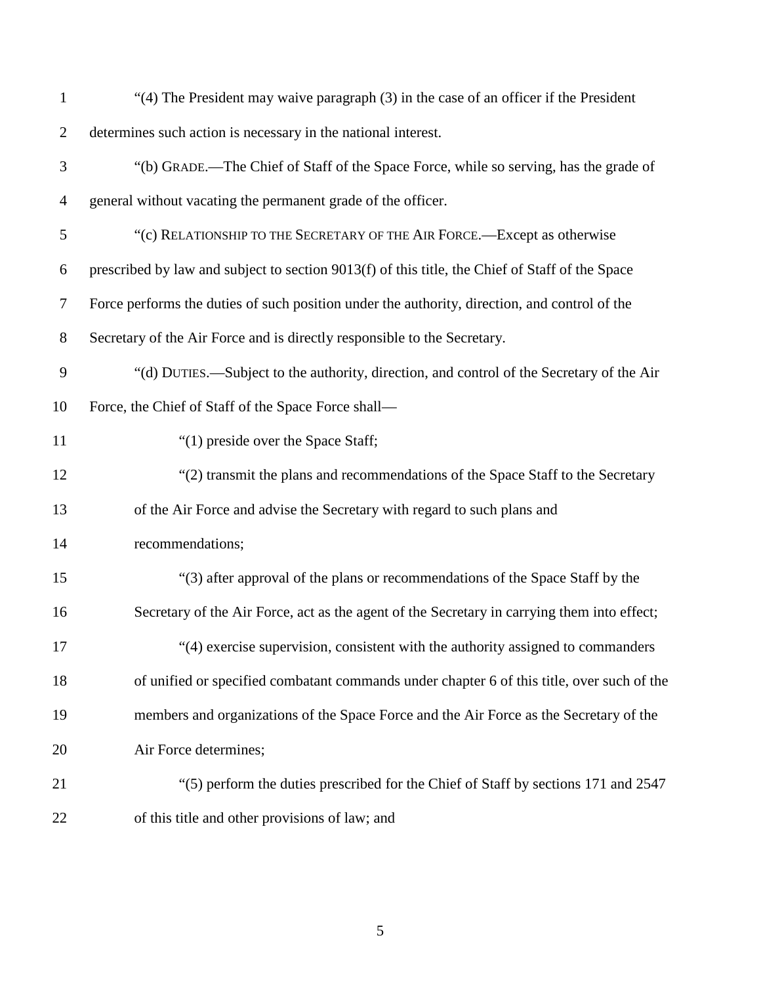| $\mathbf{1}$   | "(4) The President may waive paragraph (3) in the case of an officer if the President           |
|----------------|-------------------------------------------------------------------------------------------------|
| $\overline{2}$ | determines such action is necessary in the national interest.                                   |
| 3              | "(b) GRADE.—The Chief of Staff of the Space Force, while so serving, has the grade of           |
| $\overline{4}$ | general without vacating the permanent grade of the officer.                                    |
| 5              | "(c) RELATIONSHIP TO THE SECRETARY OF THE AIR FORCE.—Except as otherwise                        |
| 6              | prescribed by law and subject to section 9013(f) of this title, the Chief of Staff of the Space |
| 7              | Force performs the duties of such position under the authority, direction, and control of the   |
| $8\,$          | Secretary of the Air Force and is directly responsible to the Secretary.                        |
| 9              | "(d) DUTIES.—Subject to the authority, direction, and control of the Secretary of the Air       |
| 10             | Force, the Chief of Staff of the Space Force shall-                                             |
| 11             | "(1) preside over the Space Staff;                                                              |
| 12             | "(2) transmit the plans and recommendations of the Space Staff to the Secretary                 |
| 13             | of the Air Force and advise the Secretary with regard to such plans and                         |
| 14             | recommendations;                                                                                |
| 15             | "(3) after approval of the plans or recommendations of the Space Staff by the                   |
| 16             | Secretary of the Air Force, act as the agent of the Secretary in carrying them into effect;     |
| 17             | "(4) exercise supervision, consistent with the authority assigned to commanders                 |
| 18             | of unified or specified combatant commands under chapter 6 of this title, over such of the      |
| 19             | members and organizations of the Space Force and the Air Force as the Secretary of the          |
| 20             | Air Force determines;                                                                           |
| 21             | "(5) perform the duties prescribed for the Chief of Staff by sections 171 and 2547              |
| 22             | of this title and other provisions of law; and                                                  |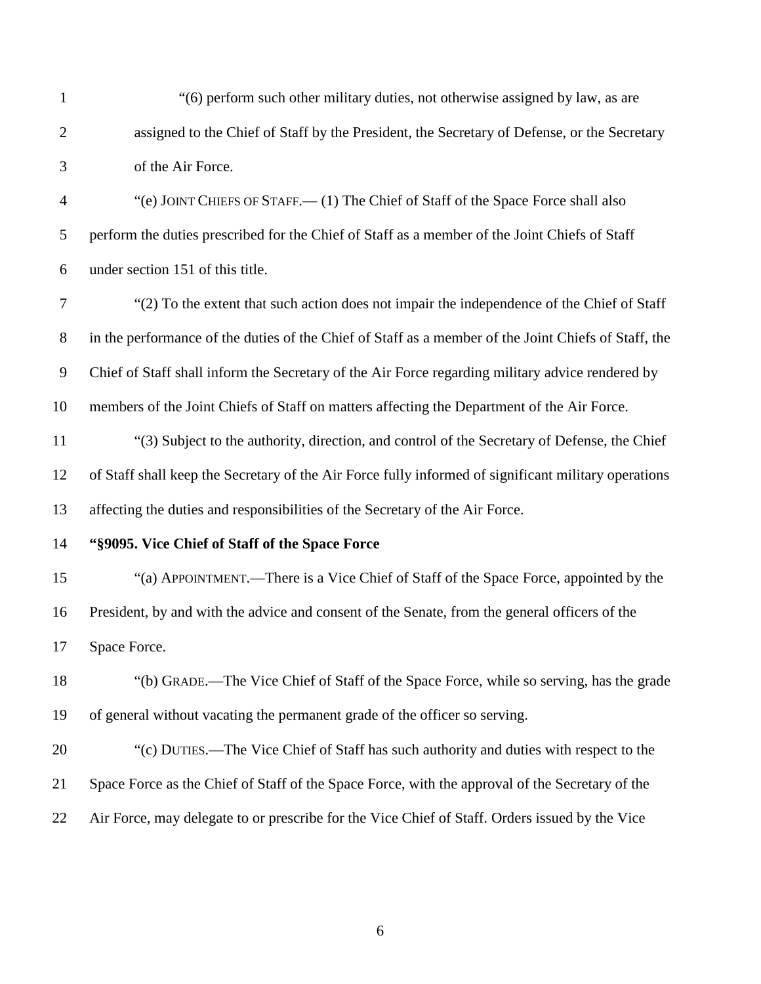| 1              | "(6) perform such other military duties, not otherwise assigned by law, as are                       |
|----------------|------------------------------------------------------------------------------------------------------|
| $\overline{2}$ | assigned to the Chief of Staff by the President, the Secretary of Defense, or the Secretary          |
| 3              | of the Air Force.                                                                                    |
| $\overline{4}$ | "(e) JOINT CHIEFS OF STAFF.— (1) The Chief of Staff of the Space Force shall also                    |
| 5              | perform the duties prescribed for the Chief of Staff as a member of the Joint Chiefs of Staff        |
| 6              | under section 151 of this title.                                                                     |
| $\tau$         | "(2) To the extent that such action does not impair the independence of the Chief of Staff           |
| 8              | in the performance of the duties of the Chief of Staff as a member of the Joint Chiefs of Staff, the |
| $\overline{9}$ | Chief of Staff shall inform the Secretary of the Air Force regarding military advice rendered by     |
| 10             | members of the Joint Chiefs of Staff on matters affecting the Department of the Air Force.           |
| 11             | "(3) Subject to the authority, direction, and control of the Secretary of Defense, the Chief         |
| 12             | of Staff shall keep the Secretary of the Air Force fully informed of significant military operations |
| 13             | affecting the duties and responsibilities of the Secretary of the Air Force.                         |
| 14             | "§9095. Vice Chief of Staff of the Space Force                                                       |
| 15             | "(a) APPOINTMENT.—There is a Vice Chief of Staff of the Space Force, appointed by the                |
| 16             | President, by and with the advice and consent of the Senate, from the general officers of the        |
| 17             | Space Force.                                                                                         |
| 18             | "(b) GRADE.—The Vice Chief of Staff of the Space Force, while so serving, has the grade              |
| 19             | of general without vacating the permanent grade of the officer so serving.                           |
| 20             | "(c) DUTIES.—The Vice Chief of Staff has such authority and duties with respect to the               |
| 21             | Space Force as the Chief of Staff of the Space Force, with the approval of the Secretary of the      |
| 22             | Air Force, may delegate to or prescribe for the Vice Chief of Staff. Orders issued by the Vice       |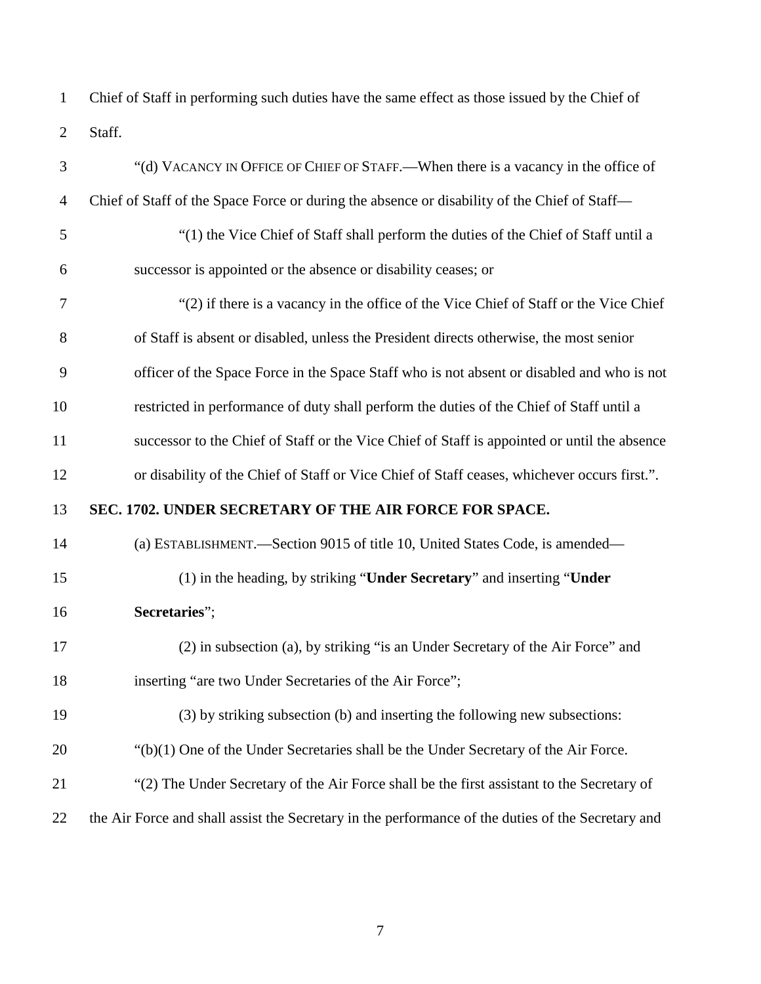Chief of Staff in performing such duties have the same effect as those issued by the Chief of Staff.

<span id="page-6-0"></span>

| 3        | "(d) VACANCY IN OFFICE OF CHIEF OF STAFF.—When there is a vacancy in the office of           |
|----------|----------------------------------------------------------------------------------------------|
| 4        | Chief of Staff of the Space Force or during the absence or disability of the Chief of Staff- |
| 5        | "(1) the Vice Chief of Staff shall perform the duties of the Chief of Staff until a          |
| 6        | successor is appointed or the absence or disability ceases; or                               |
| 7        | "(2) if there is a vacancy in the office of the Vice Chief of Staff or the Vice Chief        |
| 8        | of Staff is absent or disabled, unless the President directs otherwise, the most senior      |
| 9        | officer of the Space Force in the Space Staff who is not absent or disabled and who is not   |
| 10       | restricted in performance of duty shall perform the duties of the Chief of Staff until a     |
| 11       | successor to the Chief of Staff or the Vice Chief of Staff is appointed or until the absence |
| 12       | or disability of the Chief of Staff or Vice Chief of Staff ceases, whichever occurs first.". |
|          |                                                                                              |
| 13       | SEC. 1702. UNDER SECRETARY OF THE AIR FORCE FOR SPACE.                                       |
|          | (a) ESTABLISHMENT.-Section 9015 of title 10, United States Code, is amended-                 |
| 14<br>15 | (1) in the heading, by striking "Under Secretary" and inserting "Under                       |
| 16       | Secretaries";                                                                                |
| 17       | (2) in subsection (a), by striking "is an Under Secretary of the Air Force" and              |
| 18       | inserting "are two Under Secretaries of the Air Force";                                      |
| 19       | (3) by striking subsection (b) and inserting the following new subsections:                  |
| 20       | $\lq$ (b)(1) One of the Under Secretaries shall be the Under Secretary of the Air Force.     |
| 21       | "(2) The Under Secretary of the Air Force shall be the first assistant to the Secretary of   |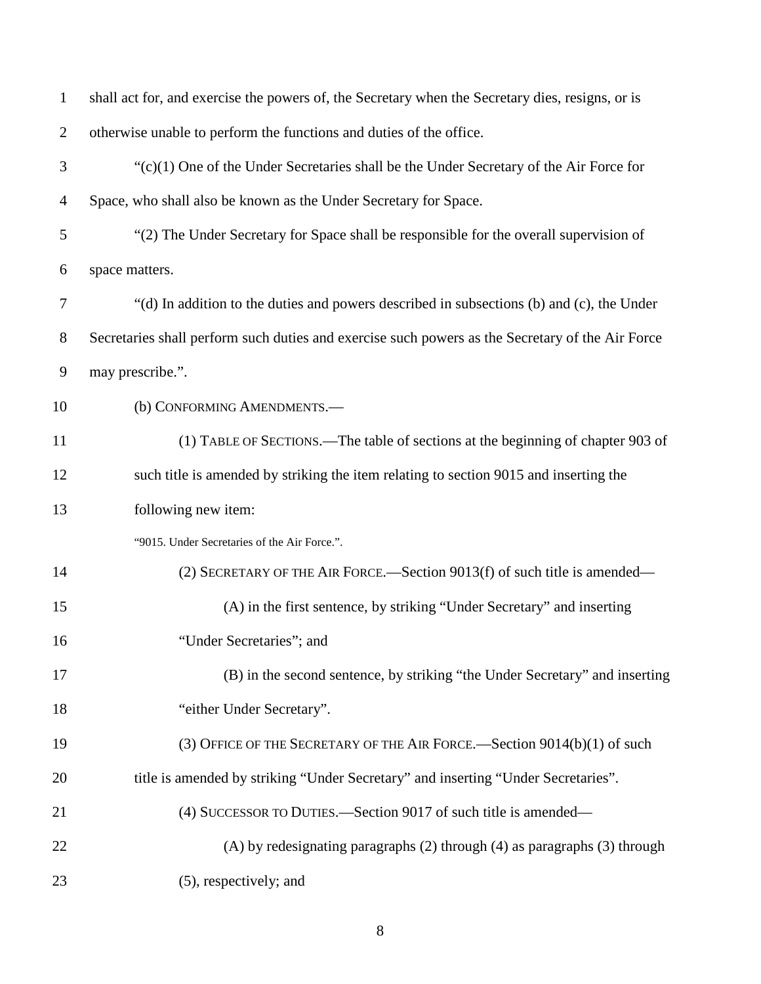| $\mathbf{1}$   | shall act for, and exercise the powers of, the Secretary when the Secretary dies, resigns, or is |
|----------------|--------------------------------------------------------------------------------------------------|
| $\overline{2}$ | otherwise unable to perform the functions and duties of the office.                              |
| 3              | $\lq$ (c)(1) One of the Under Secretaries shall be the Under Secretary of the Air Force for      |
| $\overline{4}$ | Space, who shall also be known as the Under Secretary for Space.                                 |
| 5              | "(2) The Under Secretary for Space shall be responsible for the overall supervision of           |
| 6              | space matters.                                                                                   |
| 7              | "(d) In addition to the duties and powers described in subsections (b) and (c), the Under        |
| 8              | Secretaries shall perform such duties and exercise such powers as the Secretary of the Air Force |
| 9              | may prescribe.".                                                                                 |
| 10             | (b) CONFORMING AMENDMENTS.-                                                                      |
| 11             | (1) TABLE OF SECTIONS.—The table of sections at the beginning of chapter 903 of                  |
| 12             | such title is amended by striking the item relating to section 9015 and inserting the            |
| 13             | following new item:                                                                              |
|                | "9015. Under Secretaries of the Air Force.".                                                     |
| 14             | (2) SECRETARY OF THE AIR FORCE.—Section 9013(f) of such title is amended—                        |
| 15             | (A) in the first sentence, by striking "Under Secretary" and inserting                           |
| 16             | "Under Secretaries"; and                                                                         |
| 17             | (B) in the second sentence, by striking "the Under Secretary" and inserting                      |
| 18             | "either Under Secretary".                                                                        |
| 19             | (3) OFFICE OF THE SECRETARY OF THE AIR FORCE. - Section 9014(b)(1) of such                       |
| 20             | title is amended by striking "Under Secretary" and inserting "Under Secretaries".                |
| 21             | (4) SUCCESSOR TO DUTIES.—Section 9017 of such title is amended—                                  |
| 22             | (A) by redesignating paragraphs (2) through (4) as paragraphs (3) through                        |
| 23             | (5), respectively; and                                                                           |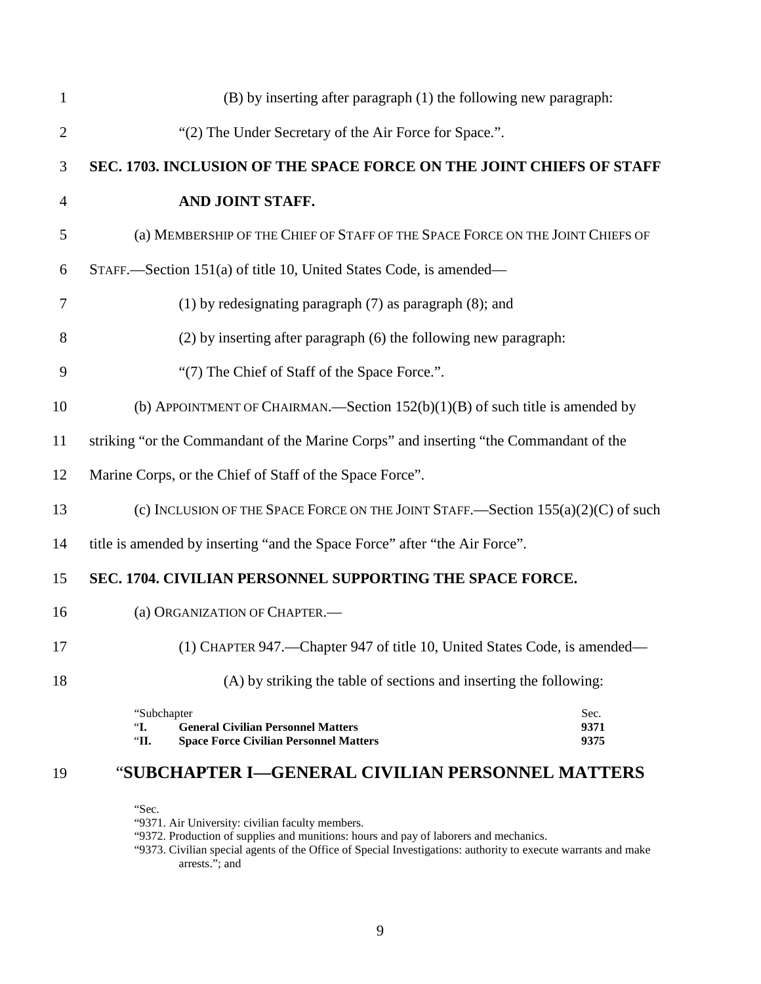<span id="page-8-0"></span>

| $\mathbf{1}$   | (B) by inserting after paragraph (1) the following new paragraph:                                                                                |
|----------------|--------------------------------------------------------------------------------------------------------------------------------------------------|
| $\overline{2}$ | "(2) The Under Secretary of the Air Force for Space.".                                                                                           |
| 3              | SEC. 1703. INCLUSION OF THE SPACE FORCE ON THE JOINT CHIEFS OF STAFF                                                                             |
| $\overline{4}$ | AND JOINT STAFF.                                                                                                                                 |
| 5              | (a) MEMBERSHIP OF THE CHIEF OF STAFF OF THE SPACE FORCE ON THE JOINT CHIEFS OF                                                                   |
| 6              | STAFF.—Section 151(a) of title 10, United States Code, is amended—                                                                               |
| 7              | $(1)$ by redesignating paragraph $(7)$ as paragraph $(8)$ ; and                                                                                  |
| 8              | (2) by inserting after paragraph (6) the following new paragraph:                                                                                |
| 9              | "(7) The Chief of Staff of the Space Force.".                                                                                                    |
| 10             | (b) APPOINTMENT OF CHAIRMAN.—Section $152(b)(1)(B)$ of such title is amended by                                                                  |
| 11             | striking "or the Commandant of the Marine Corps" and inserting "the Commandant of the                                                            |
| 12             | Marine Corps, or the Chief of Staff of the Space Force".                                                                                         |
| 13             | (c) INCLUSION OF THE SPACE FORCE ON THE JOINT STAFF.—Section $155(a)(2)(C)$ of such                                                              |
| 14             | title is amended by inserting "and the Space Force" after "the Air Force".                                                                       |
| 15             | SEC. 1704. CIVILIAN PERSONNEL SUPPORTING THE SPACE FORCE.                                                                                        |
| 16             | (a) ORGANIZATION OF CHAPTER.-                                                                                                                    |
| 17             | (1) CHAPTER 947.—Chapter 947 of title 10, United States Code, is amended—                                                                        |
| 18             | (A) by striking the table of sections and inserting the following:                                                                               |
|                | Sec.<br>"Subchapter"<br><b>General Civilian Personnel Matters</b><br>9371<br>"І.<br><b>Space Force Civilian Personnel Matters</b><br>9375<br>"П. |

# <span id="page-8-1"></span>"**SUBCHAPTER I—GENERAL CIVILIAN PERSONNEL MATTERS**

"Sec.

"9371. Air University: civilian faculty members.

"9372. Production of supplies and munitions: hours and pay of laborers and mechanics.

"9373. Civilian special agents of the Office of Special Investigations: authority to execute warrants and make arrests."; and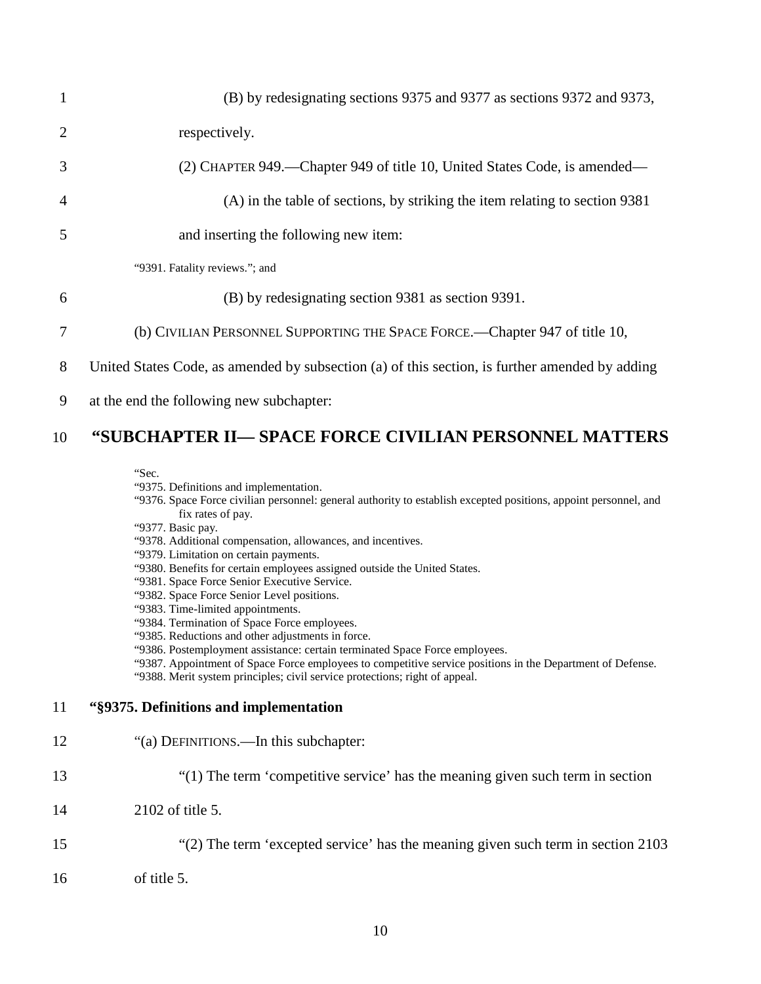| $\mathbf{1}$   | (B) by redesignating sections 9375 and 9377 as sections 9372 and 9373,                         |
|----------------|------------------------------------------------------------------------------------------------|
| $\overline{2}$ | respectively.                                                                                  |
| 3              | (2) CHAPTER 949.—Chapter 949 of title 10, United States Code, is amended—                      |
| $\overline{4}$ | (A) in the table of sections, by striking the item relating to section 9381                    |
| 5              | and inserting the following new item:                                                          |
|                | "9391. Fatality reviews."; and                                                                 |
| 6              | (B) by redesignating section 9381 as section 9391.                                             |
| $\overline{7}$ | (b) CIVILIAN PERSONNEL SUPPORTING THE SPACE FORCE.—Chapter 947 of title 10,                    |
| 8              | United States Code, as amended by subsection (a) of this section, is further amended by adding |

9 at the end the following new subchapter:

## 10 **"SUBCHAPTER II— SPACE FORCE CIVILIAN PERSONNEL MATTERS**

"Sec.

- "9375. Definitions and implementation.
- "9376. Space Force civilian personnel: general authority to establish excepted positions, appoint personnel, and fix rates of pay.
- "9377. Basic pay.
- "9378. Additional compensation, allowances, and incentives.
- "9379. Limitation on certain payments.
- "9380. Benefits for certain employees assigned outside the United States.
- "9381. Space Force Senior Executive Service.
- "9382. Space Force Senior Level positions.
- "9383. Time-limited appointments.
- "9384. Termination of Space Force employees.
- "9385. Reductions and other adjustments in force.
- "9386. Postemployment assistance: certain terminated Space Force employees.
- "9387. Appointment of Space Force employees to competitive service positions in the Department of Defense.

"9388. Merit system principles; civil service protections; right of appeal.

## 11 **"§9375. Definitions and implementation**

- 12 "(a) DEFINITIONS.—In this subchapter:
- 13 "(1) The term 'competitive service' has the meaning given such term in section
- 14 2102 of title 5.
- 15 "(2) The term 'excepted service' has the meaning given such term in [section 2103](https://1.next.westlaw.com/Link/Document/FullText?findType=L&pubNum=1000546&cite=5USCAS2103&originatingDoc=NDDE34430B36411D8983DF34406B5929B&refType=LQ&originationContext=document&transitionType=DocumentItem&contextData=(sc.Document))
- 16 [of title 5.](https://1.next.westlaw.com/Link/Document/FullText?findType=L&pubNum=1000546&cite=5USCAS2103&originatingDoc=NDDE34430B36411D8983DF34406B5929B&refType=LQ&originationContext=document&transitionType=DocumentItem&contextData=(sc.Document))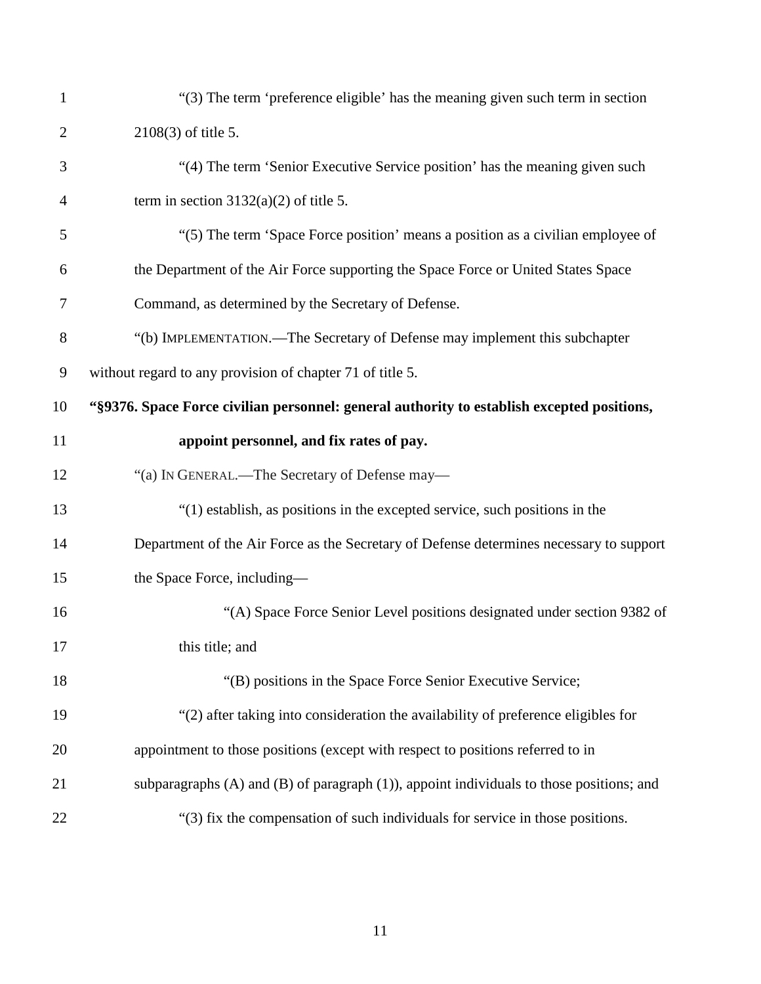| $\mathbf{1}$   | "(3) The term 'preference eligible' has the meaning given such term in section                 |
|----------------|------------------------------------------------------------------------------------------------|
| $\overline{2}$ | 2108(3) of title 5.                                                                            |
| 3              | "(4) The term 'Senior Executive Service position' has the meaning given such                   |
| $\overline{4}$ | term in section $3132(a)(2)$ of title 5.                                                       |
| 5              | "(5) The term 'Space Force position' means a position as a civilian employee of                |
| 6              | the Department of the Air Force supporting the Space Force or United States Space              |
| 7              | Command, as determined by the Secretary of Defense.                                            |
| 8              | "(b) IMPLEMENTATION.—The Secretary of Defense may implement this subchapter                    |
| 9              | without regard to any provision of chapter 71 of title 5.                                      |
| 10             | "§9376. Space Force civilian personnel: general authority to establish excepted positions,     |
| 11             | appoint personnel, and fix rates of pay.                                                       |
| 12             | "(a) IN GENERAL.—The Secretary of Defense may—                                                 |
| 13             | "(1) establish, as positions in the excepted service, such positions in the                    |
| 14             | Department of the Air Force as the Secretary of Defense determines necessary to support        |
| 15             | the Space Force, including-                                                                    |
| 16             | "(A) Space Force Senior Level positions designated under section 9382 of                       |
| 17             | this title; and                                                                                |
| 18             | "(B) positions in the Space Force Senior Executive Service;                                    |
| 19             | "(2) after taking into consideration the availability of preference eligibles for              |
| 20             | appointment to those positions (except with respect to positions referred to in                |
| 21             | subparagraphs $(A)$ and $(B)$ of paragraph $(1)$ , appoint individuals to those positions; and |
| 22             | "(3) fix the compensation of such individuals for service in those positions.                  |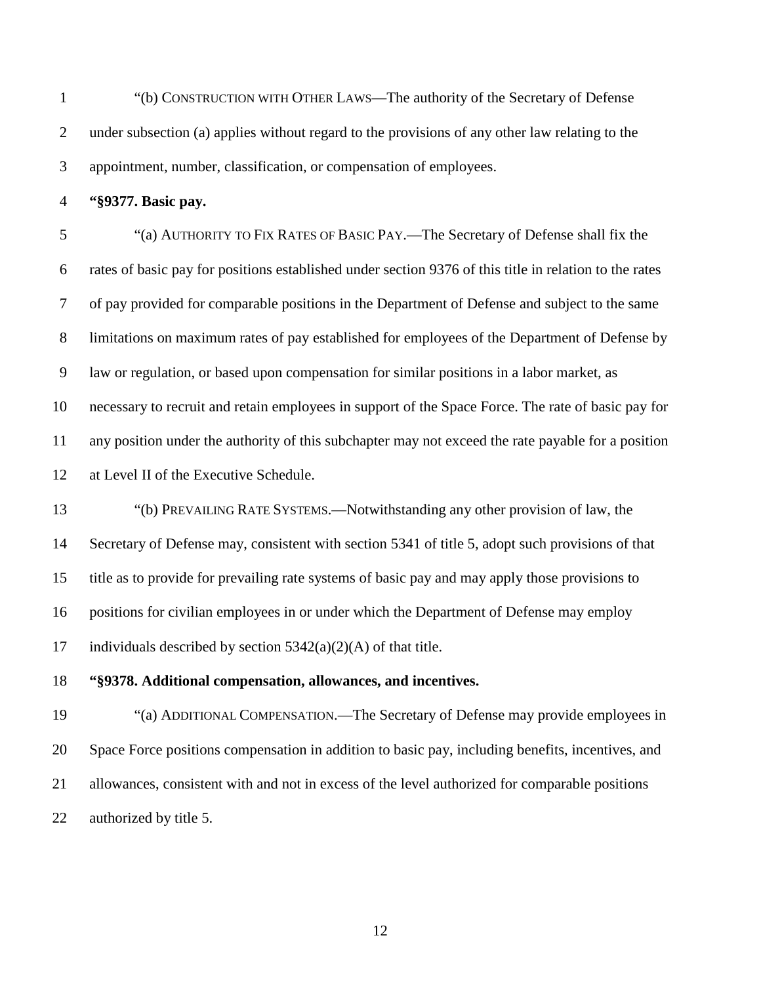"(b) CONSTRUCTION WITH OTHER LAWS—The authority of the Secretary of Defense under subsection (a) applies without regard to the provisions of any other law relating to the appointment, number, classification, or compensation of employees.

**"§9377. Basic pay.**

 "(a) AUTHORITY TO FIX RATES OF BASIC PAY.—The Secretary of Defense shall fix the rates of basic pay for positions established under section 9376 of this title in relation to the rates of pay provided for comparable positions in the Department of Defense and subject to the same limitations on maximum rates of pay established for employees of the Department of Defense by law or regulation, or based upon compensation for similar positions in a labor market, as necessary to recruit and retain employees in support of the Space Force. The rate of basic pay for any position under the authority of this subchapter may not exceed the rate payable for a position at Level II of the Executive Schedule.

 "(b) PREVAILING RATE SYSTEMS.—Notwithstanding any other provision of law, the Secretary of Defense may, consistent with section 5341 of title 5, adopt such provisions of that title as to provide for prevailing rate systems of basic pay and may apply those provisions to positions for civilian employees in or under which the Department of Defense may employ 17 individuals described by section  $5342(a)(2)(A)$  of that title.

#### **"§9378. Additional compensation, allowances, and incentives.**

 "(a) ADDITIONAL COMPENSATION.—The Secretary of Defense may provide employees in Space Force positions compensation in addition to basic pay, including benefits, incentives, and allowances, consistent with and not in excess of the level authorized for comparable positions authorized by title 5.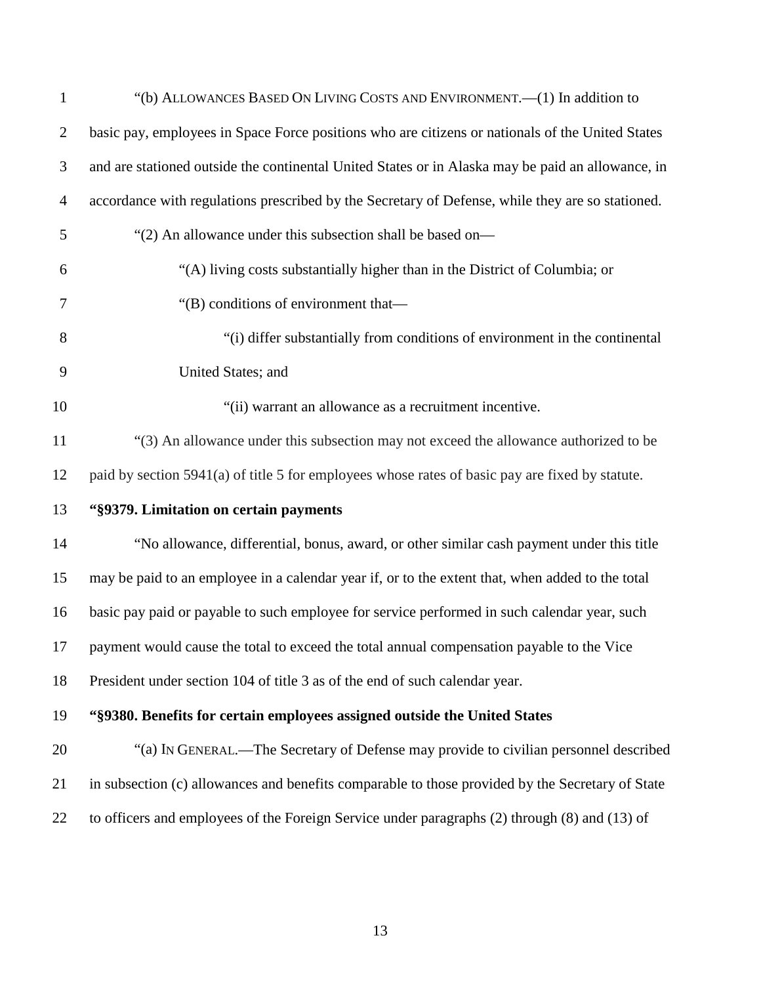| $\mathbf{1}$   | "(b) ALLOWANCES BASED ON LIVING COSTS AND ENVIRONMENT.—(1) In addition to                         |
|----------------|---------------------------------------------------------------------------------------------------|
| $\overline{2}$ | basic pay, employees in Space Force positions who are citizens or nationals of the United States  |
| 3              | and are stationed outside the continental United States or in Alaska may be paid an allowance, in |
| 4              | accordance with regulations prescribed by the Secretary of Defense, while they are so stationed.  |
| 5              | "(2) An allowance under this subsection shall be based on—                                        |
| 6              | "(A) living costs substantially higher than in the District of Columbia; or                       |
| 7              | "(B) conditions of environment that-                                                              |
| 8              | "(i) differ substantially from conditions of environment in the continental                       |
| 9              | United States; and                                                                                |
| 10             | "(ii) warrant an allowance as a recruitment incentive.                                            |
| 11             | "(3) An allowance under this subsection may not exceed the allowance authorized to be             |
| 12             | paid by section 5941(a) of title 5 for employees whose rates of basic pay are fixed by statute.   |
| 13             | "§9379. Limitation on certain payments                                                            |
| 14             | "No allowance, differential, bonus, award, or other similar cash payment under this title         |
| 15             | may be paid to an employee in a calendar year if, or to the extent that, when added to the total  |
| 16             | basic pay paid or payable to such employee for service performed in such calendar year, such      |
| 17             | payment would cause the total to exceed the total annual compensation payable to the Vice         |
| 18             | President under section 104 of title 3 as of the end of such calendar year.                       |
| 19             | "§9380. Benefits for certain employees assigned outside the United States                         |
| 20             | "(a) IN GENERAL.—The Secretary of Defense may provide to civilian personnel described             |
| 21             | in subsection (c) allowances and benefits comparable to those provided by the Secretary of State  |
| 22             | to officers and employees of the Foreign Service under paragraphs (2) through (8) and (13) of     |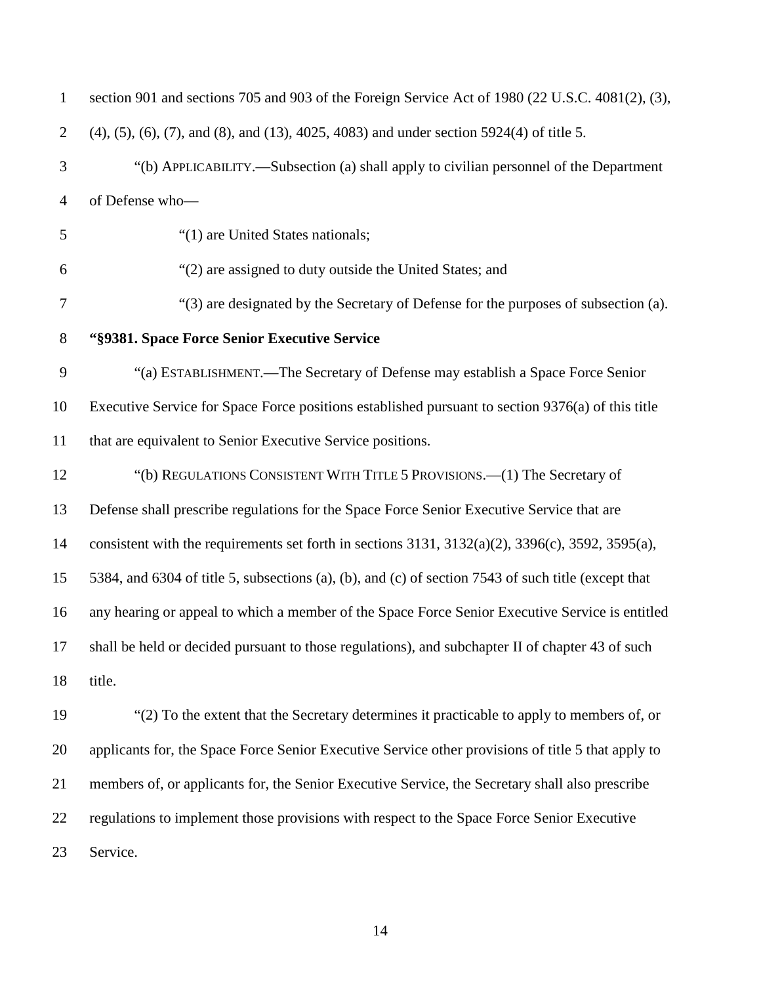| $\mathbf{1}$   | section 901 and sections 705 and 903 of the Foreign Service Act of 1980 (22 U.S.C. 4081(2), (3),                   |
|----------------|--------------------------------------------------------------------------------------------------------------------|
| $\overline{2}$ | $(4)$ , $(5)$ , $(6)$ , $(7)$ , and $(8)$ , and $(13)$ , $4025$ , $4083$ ) and under section $5924(4)$ of title 5. |
| 3              | "(b) APPLICABILITY.—Subsection (a) shall apply to civilian personnel of the Department                             |
| $\overline{4}$ | of Defense who-                                                                                                    |
| 5              | "(1) are United States nationals;                                                                                  |
| 6              | "(2) are assigned to duty outside the United States; and                                                           |
| 7              | "(3) are designated by the Secretary of Defense for the purposes of subsection (a).                                |
| $8\phantom{1}$ | "§9381. Space Force Senior Executive Service                                                                       |
| $\mathbf{9}$   | "(a) ESTABLISHMENT.—The Secretary of Defense may establish a Space Force Senior                                    |
| 10             | Executive Service for Space Force positions established pursuant to section 9376(a) of this title                  |
| 11             | that are equivalent to Senior Executive Service positions.                                                         |
| 12             | "(b) REGULATIONS CONSISTENT WITH TITLE 5 PROVISIONS.—(1) The Secretary of                                          |
| 13             | Defense shall prescribe regulations for the Space Force Senior Executive Service that are                          |
| 14             | consistent with the requirements set forth in sections $3131$ , $3132(a)(2)$ , $3396(c)$ , $3592$ , $3595(a)$ ,    |
| 15             | 5384, and 6304 of title 5, subsections (a), (b), and (c) of section 7543 of such title (except that                |
| 16             | any hearing or appeal to which a member of the Space Force Senior Executive Service is entitled                    |
| 17             | shall be held or decided pursuant to those regulations), and subchapter II of chapter 43 of such                   |
| 18             | title.                                                                                                             |
| 19             | "(2) To the extent that the Secretary determines it practicable to apply to members of, or                         |
| 20             | applicants for, the Space Force Senior Executive Service other provisions of title 5 that apply to                 |
| 21             | members of, or applicants for, the Senior Executive Service, the Secretary shall also prescribe                    |
| 22             | regulations to implement those provisions with respect to the Space Force Senior Executive                         |
| 23             | Service.                                                                                                           |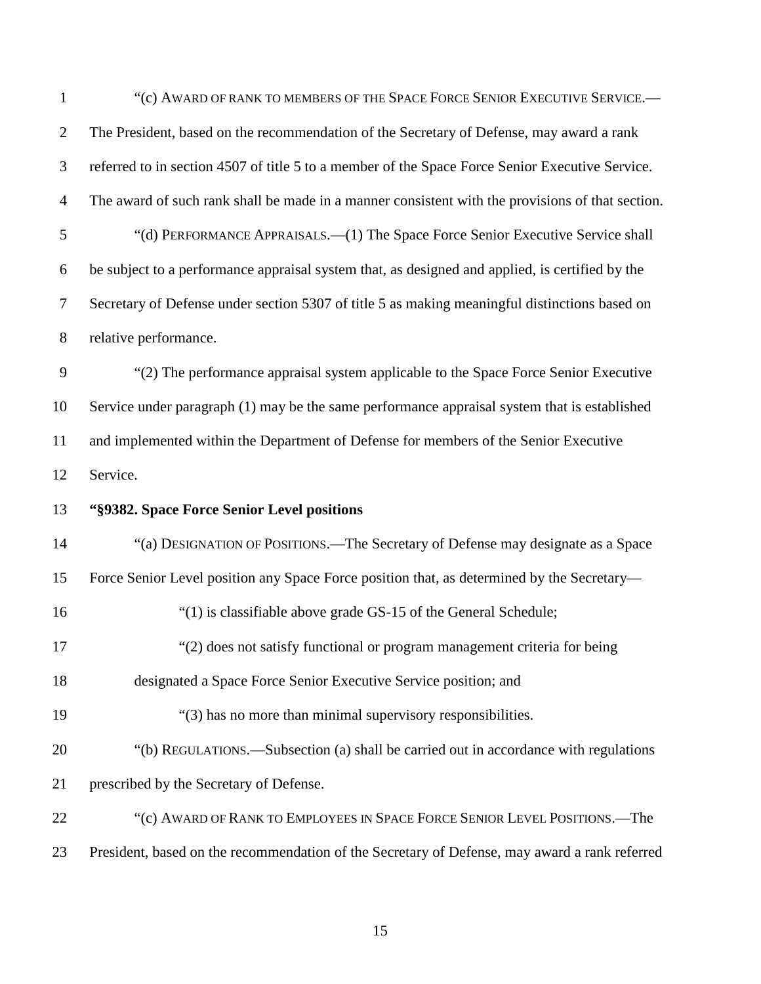| $\mathbf{1}$   | "(c) AWARD OF RANK TO MEMBERS OF THE SPACE FORCE SENIOR EXECUTIVE SERVICE.-                      |
|----------------|--------------------------------------------------------------------------------------------------|
| $\overline{2}$ | The President, based on the recommendation of the Secretary of Defense, may award a rank         |
| 3              | referred to in section 4507 of title 5 to a member of the Space Force Senior Executive Service.  |
| $\overline{4}$ | The award of such rank shall be made in a manner consistent with the provisions of that section. |
| 5              | "(d) PERFORMANCE APPRAISALS.—(1) The Space Force Senior Executive Service shall                  |
| 6              | be subject to a performance appraisal system that, as designed and applied, is certified by the  |
| $\tau$         | Secretary of Defense under section 5307 of title 5 as making meaningful distinctions based on    |
| 8              | relative performance.                                                                            |
| 9              | "(2) The performance appraisal system applicable to the Space Force Senior Executive             |
| 10             | Service under paragraph (1) may be the same performance appraisal system that is established     |
| 11             | and implemented within the Department of Defense for members of the Senior Executive             |
| 12             | Service.                                                                                         |
| 13             | "§9382. Space Force Senior Level positions                                                       |
| 14             | "(a) DESIGNATION OF POSITIONS.—The Secretary of Defense may designate as a Space                 |
| 15             | Force Senior Level position any Space Force position that, as determined by the Secretary—       |
| 16             | "(1) is classifiable above grade GS-15 of the General Schedule;                                  |
| 17             | "(2) does not satisfy functional or program management criteria for being                        |
| 18             | designated a Space Force Senior Executive Service position; and                                  |
| 19             | "(3) has no more than minimal supervisory responsibilities.                                      |
| 20             | "(b) REGULATIONS.—Subsection (a) shall be carried out in accordance with regulations             |
| 21             | prescribed by the Secretary of Defense.                                                          |
| 22             | "(c) AWARD OF RANK TO EMPLOYEES IN SPACE FORCE SENIOR LEVEL POSITIONS.—The                       |
| 23             | President, based on the recommendation of the Secretary of Defense, may award a rank referred    |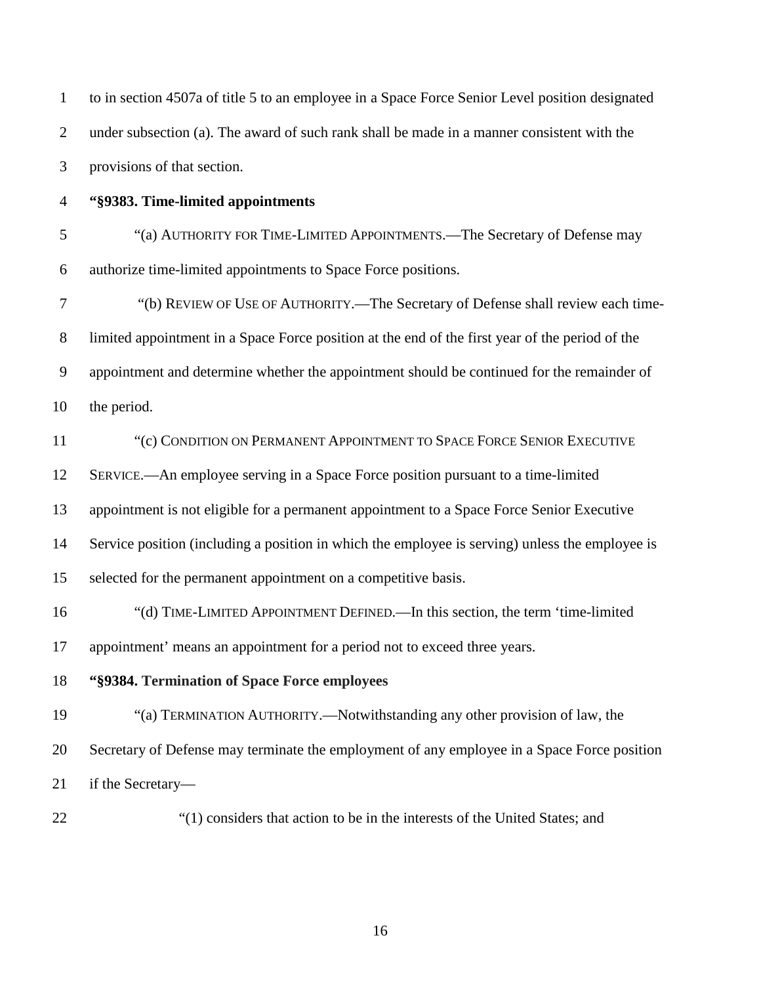| $\mathbf{1}$   | to in section 4507a of title 5 to an employee in a Space Force Senior Level position designated |
|----------------|-------------------------------------------------------------------------------------------------|
| $\overline{2}$ | under subsection (a). The award of such rank shall be made in a manner consistent with the      |
| 3              | provisions of that section.                                                                     |
| $\overline{4}$ | "§9383. Time-limited appointments                                                               |
| 5              | "(a) AUTHORITY FOR TIME-LIMITED APPOINTMENTS.—The Secretary of Defense may                      |
| 6              | authorize time-limited appointments to Space Force positions.                                   |
| $\tau$         | "(b) REVIEW OF USE OF AUTHORITY.—The Secretary of Defense shall review each time-               |
| $8\phantom{1}$ | limited appointment in a Space Force position at the end of the first year of the period of the |
| $\mathbf{9}$   | appointment and determine whether the appointment should be continued for the remainder of      |
| 10             | the period.                                                                                     |
| 11             | "(c) CONDITION ON PERMANENT APPOINTMENT TO SPACE FORCE SENIOR EXECUTIVE                         |
| 12             | SERVICE.—An employee serving in a Space Force position pursuant to a time-limited               |
| 13             | appointment is not eligible for a permanent appointment to a Space Force Senior Executive       |
| 14             | Service position (including a position in which the employee is serving) unless the employee is |
| 15             | selected for the permanent appointment on a competitive basis.                                  |
| 16             | "(d) TIME-LIMITED APPOINTMENT DEFINED.—In this section, the term 'time-limited                  |
| 17             | appointment' means an appointment for a period not to exceed three years.                       |
| 18             | "§9384. Termination of Space Force employees                                                    |
| 19             | "(a) TERMINATION AUTHORITY.—Notwithstanding any other provision of law, the                     |
| 20             | Secretary of Defense may terminate the employment of any employee in a Space Force position     |
| 21             | if the Secretary-                                                                               |
| 22             | "(1) considers that action to be in the interests of the United States; and                     |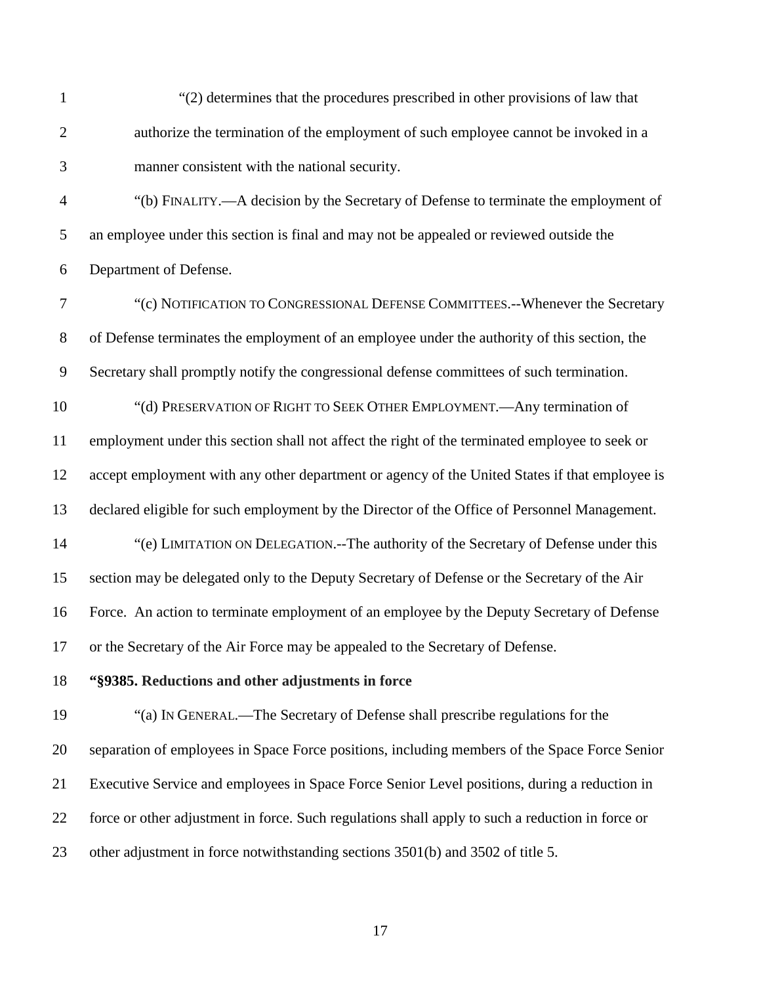"(2) determines that the procedures prescribed in other provisions of law that authorize the termination of the employment of such employee cannot be invoked in a manner consistent with the national security.

 "(b) FINALITY.—A decision by the Secretary of Defense to terminate the employment of an employee under this section is final and may not be appealed or reviewed outside the Department of Defense.

 "(c) NOTIFICATION TO CONGRESSIONAL DEFENSE COMMITTEES.--Whenever the Secretary of Defense terminates the employment of an employee under the authority of this section, the Secretary shall promptly notify the congressional defense committees of such termination.

 "(d) PRESERVATION OF RIGHT TO SEEK OTHER EMPLOYMENT.—Any termination of employment under this section shall not affect the right of the terminated employee to seek or accept employment with any other department or agency of the United States if that employee is declared eligible for such employment by the Director of the Office of Personnel Management. "(e) LIMITATION ON DELEGATION.--The authority of the Secretary of Defense under this section may be delegated only to the Deputy Secretary of Defense or the Secretary of the Air

Force. An action to terminate employment of an employee by the Deputy Secretary of Defense

or the Secretary of the Air Force may be appealed to the Secretary of Defense.

**"§9385. Reductions and other adjustments in force**

 "(a) IN GENERAL.—The Secretary of Defense shall prescribe regulations for the separation of employees in Space Force positions, including members of the Space Force Senior Executive Service and employees in Space Force Senior Level positions, during a reduction in force or other adjustment in force. Such regulations shall apply to such a reduction in force or other adjustment in force notwithstanding [sections 3501\(b\)](https://1.next.westlaw.com/Link/Document/FullText?findType=L&pubNum=1000546&cite=5USCAS3501&originatingDoc=NE81F3350B36411D8983DF34406B5929B&refType=RB&originationContext=document&transitionType=DocumentItem&contextData=(sc.Document)#co_pp_a83b000018c76) and [3502 of title 5.](https://1.next.westlaw.com/Link/Document/FullText?findType=L&pubNum=1000546&cite=5USCAS3502&originatingDoc=NE81F3350B36411D8983DF34406B5929B&refType=LQ&originationContext=document&transitionType=DocumentItem&contextData=(sc.Document))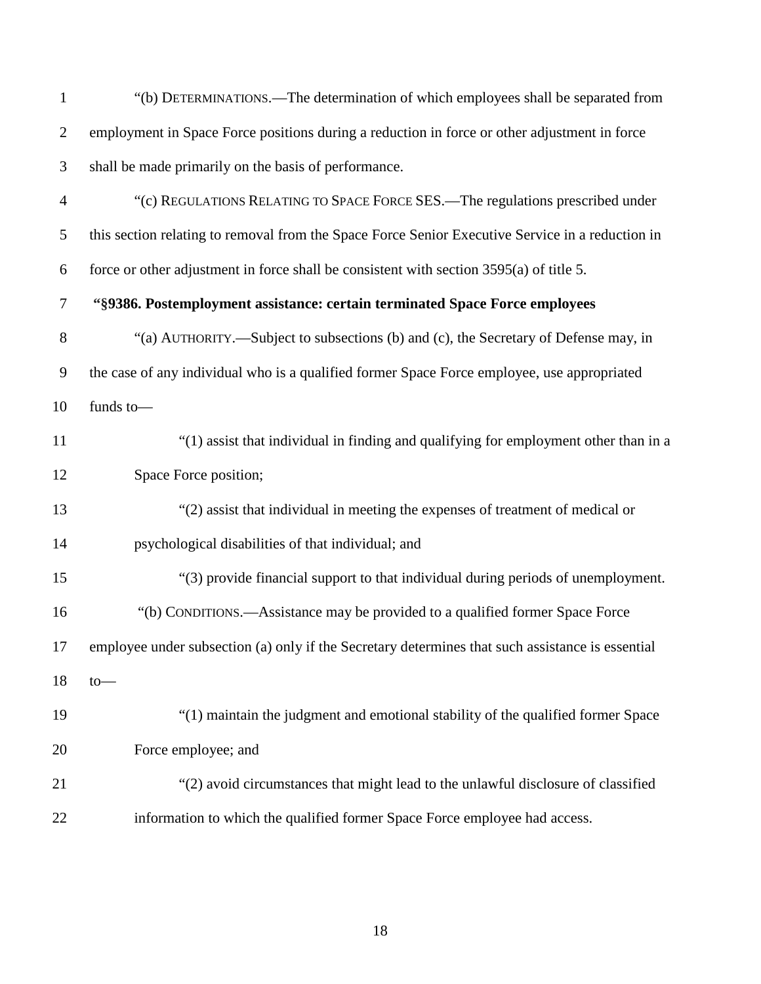| $\mathbf{1}$   | "(b) DETERMINATIONS.—The determination of which employees shall be separated from                |
|----------------|--------------------------------------------------------------------------------------------------|
| $\overline{c}$ | employment in Space Force positions during a reduction in force or other adjustment in force     |
| 3              | shall be made primarily on the basis of performance.                                             |
| $\overline{4}$ | "(c) REGULATIONS RELATING TO SPACE FORCE SES.—The regulations prescribed under                   |
| 5              | this section relating to removal from the Space Force Senior Executive Service in a reduction in |
| 6              | force or other adjustment in force shall be consistent with section 3595(a) of title 5.          |
| 7              | "§9386. Postemployment assistance: certain terminated Space Force employees                      |
| 8              | "(a) AUTHORITY.—Subject to subsections (b) and (c), the Secretary of Defense may, in             |
| 9              | the case of any individual who is a qualified former Space Force employee, use appropriated      |
| 10             | funds to-                                                                                        |
| 11             | "(1) assist that individual in finding and qualifying for employment other than in a             |
| 12             | Space Force position;                                                                            |
| 13             | "(2) assist that individual in meeting the expenses of treatment of medical or                   |
| 14             | psychological disabilities of that individual; and                                               |
| 15             | "(3) provide financial support to that individual during periods of unemployment.                |
| 16             | "(b) CONDITIONS.—Assistance may be provided to a qualified former Space Force                    |
| 17             | employee under subsection (a) only if the Secretary determines that such assistance is essential |
| 18             | to                                                                                               |
| 19             | "(1) maintain the judgment and emotional stability of the qualified former Space                 |
| 20             | Force employee; and                                                                              |
| 21             | "(2) avoid circumstances that might lead to the unlawful disclosure of classified                |
| 22             | information to which the qualified former Space Force employee had access.                       |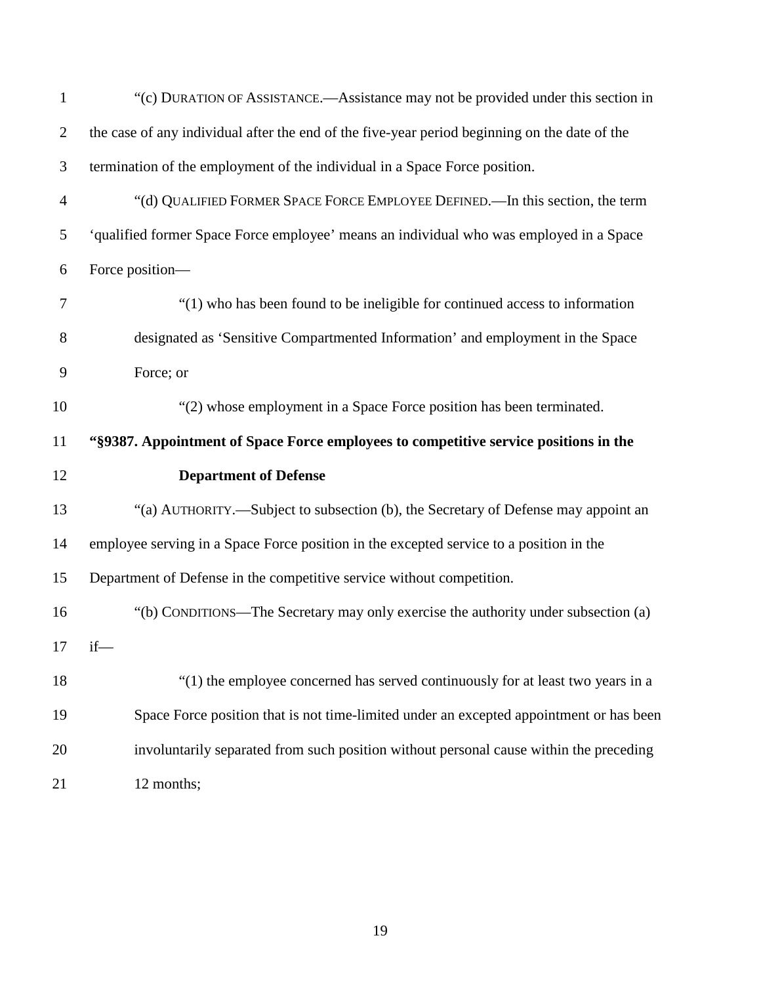| $\mathbf{1}$   | "(c) DURATION OF ASSISTANCE.—Assistance may not be provided under this section in             |
|----------------|-----------------------------------------------------------------------------------------------|
| $\overline{2}$ | the case of any individual after the end of the five-year period beginning on the date of the |
| $\mathfrak{Z}$ | termination of the employment of the individual in a Space Force position.                    |
| $\overline{4}$ | "(d) QUALIFIED FORMER SPACE FORCE EMPLOYEE DEFINED.—In this section, the term                 |
| 5              | 'qualified former Space Force employee' means an individual who was employed in a Space       |
| 6              | Force position-                                                                               |
| 7              | "(1) who has been found to be ineligible for continued access to information                  |
| 8              | designated as 'Sensitive Compartmented Information' and employment in the Space               |
| 9              | Force; or                                                                                     |
| 10             | "(2) whose employment in a Space Force position has been terminated.                          |
| 11             | "\\$9387. Appointment of Space Force employees to competitive service positions in the        |
| 12             | <b>Department of Defense</b>                                                                  |
| 13             | "(a) AUTHORITY.—Subject to subsection (b), the Secretary of Defense may appoint an            |
| 14             | employee serving in a Space Force position in the excepted service to a position in the       |
| 15             | Department of Defense in the competitive service without competition.                         |
| 16             | "(b) CONDITIONS—The Secretary may only exercise the authority under subsection (a)            |
| 17             | $if$ —                                                                                        |
| 18             | "(1) the employee concerned has served continuously for at least two years in a               |
|                |                                                                                               |
| 19             | Space Force position that is not time-limited under an excepted appointment or has been       |
| 20             | involuntarily separated from such position without personal cause within the preceding        |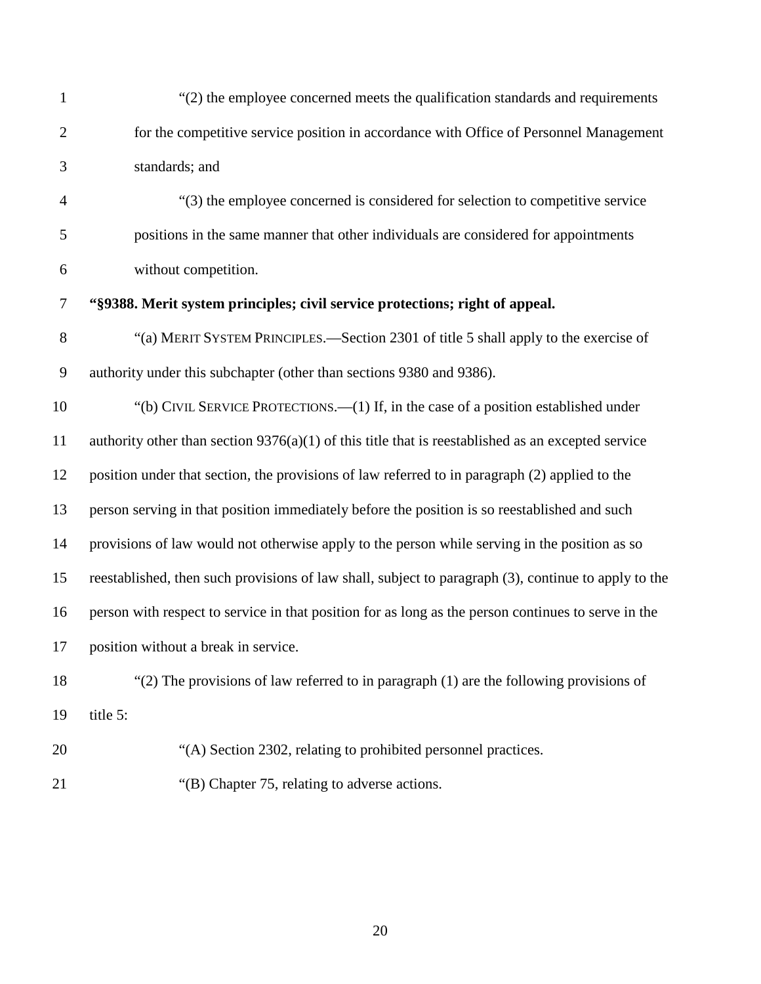| 1                | "(2) the employee concerned meets the qualification standards and requirements                       |
|------------------|------------------------------------------------------------------------------------------------------|
| $\overline{2}$   | for the competitive service position in accordance with Office of Personnel Management               |
| 3                | standards; and                                                                                       |
| $\overline{4}$   | "(3) the employee concerned is considered for selection to competitive service                       |
| 5                | positions in the same manner that other individuals are considered for appointments                  |
| 6                | without competition.                                                                                 |
| $\tau$           | "\\$9388. Merit system principles; civil service protections; right of appeal.                       |
| $8\,$            | "(a) MERIT SYSTEM PRINCIPLES.—Section 2301 of title 5 shall apply to the exercise of                 |
| $\boldsymbol{9}$ | authority under this subchapter (other than sections 9380 and 9386).                                 |
| 10               | "(b) CIVIL SERVICE PROTECTIONS.—(1) If, in the case of a position established under                  |
| 11               | authority other than section $9376(a)(1)$ of this title that is reestablished as an excepted service |
| 12               | position under that section, the provisions of law referred to in paragraph (2) applied to the       |
| 13               | person serving in that position immediately before the position is so reestablished and such         |
| 14               | provisions of law would not otherwise apply to the person while serving in the position as so        |
| 15               | reestablished, then such provisions of law shall, subject to paragraph (3), continue to apply to the |
| 16               | person with respect to service in that position for as long as the person continues to serve in the  |
| 17               | position without a break in service.                                                                 |
| 18               | " $(2)$ The provisions of law referred to in paragraph $(1)$ are the following provisions of         |
| 19               | title 5:                                                                                             |
| 20               | "(A) Section 2302, relating to prohibited personnel practices.                                       |
| 21               | "(B) Chapter 75, relating to adverse actions.                                                        |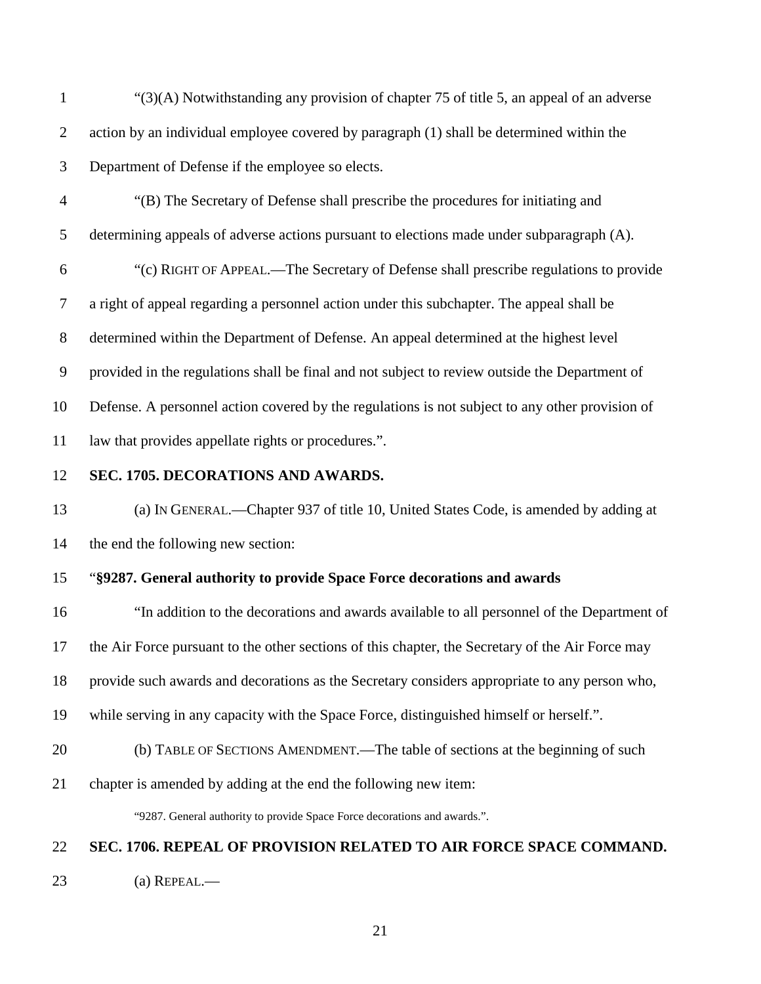"(3)(A) Notwithstanding any provision of chapter 75 of title 5, an appeal of an adverse action by an individual employee covered by paragraph (1) shall be determined within the Department of Defense if the employee so elects.

- "(B) The Secretary of Defense shall prescribe the procedures for initiating and
- determining appeals of adverse actions pursuant to elections made under subparagraph (A).

 "(c) RIGHT OF APPEAL.—The Secretary of Defense shall prescribe regulations to provide a right of appeal regarding a personnel action under this subchapter. The appeal shall be determined within the Department of Defense. An appeal determined at the highest level provided in the regulations shall be final and not subject to review outside the Department of Defense. A personnel action covered by the regulations is not subject to any other provision of law that provides appellate rights or procedures.".

### <span id="page-20-0"></span>**SEC. 1705. DECORATIONS AND AWARDS.**

 (a) IN GENERAL.—Chapter 937 of title 10, United States Code, is amended by adding at the end the following new section:

### "**§9287. General authority to provide Space Force decorations and awards**

 "In addition to the decorations and awards available to all personnel of the Department of the Air Force pursuant to the other sections of this chapter, the Secretary of the Air Force may provide such awards and decorations as the Secretary considers appropriate to any person who, while serving in any capacity with the Space Force, distinguished himself or herself.".

### (b) TABLE OF SECTIONS AMENDMENT.—The table of sections at the beginning of such

chapter is amended by adding at the end the following new item:

"9287. General authority to provide Space Force decorations and awards.".

### <span id="page-20-1"></span>**SEC. 1706. REPEAL OF PROVISION RELATED TO AIR FORCE SPACE COMMAND.**

(a) REPEAL.—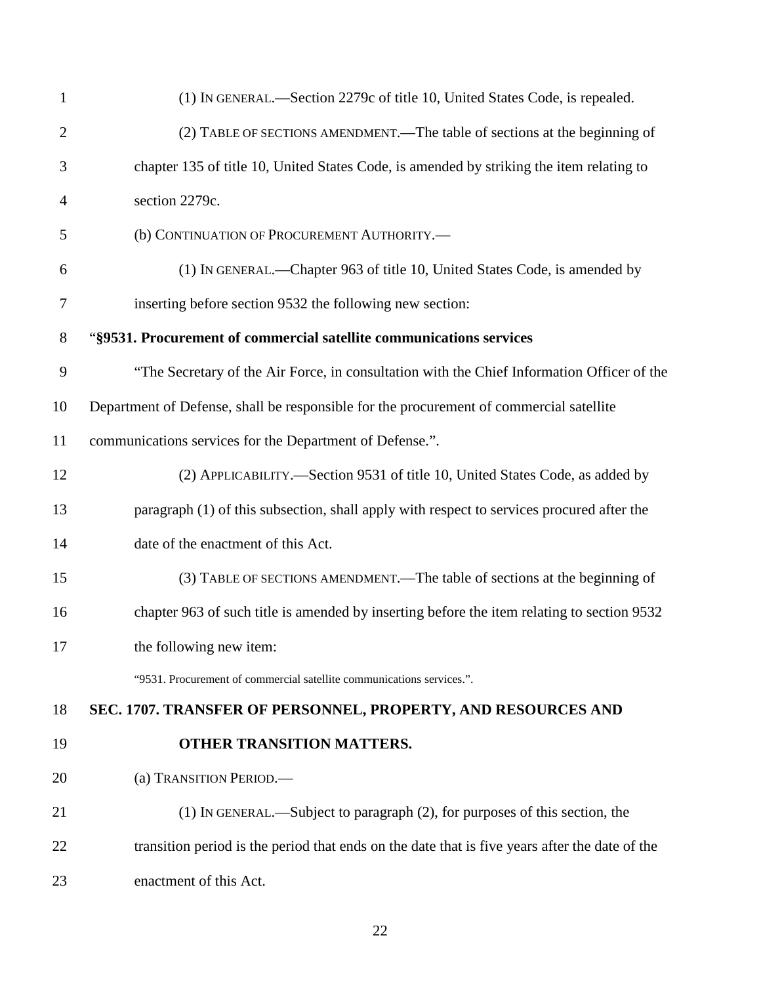<span id="page-21-0"></span>

| $\mathbf{1}$   | (1) IN GENERAL.—Section 2279c of title 10, United States Code, is repealed.                    |
|----------------|------------------------------------------------------------------------------------------------|
| $\overline{2}$ | (2) TABLE OF SECTIONS AMENDMENT.—The table of sections at the beginning of                     |
| 3              | chapter 135 of title 10, United States Code, is amended by striking the item relating to       |
| $\overline{4}$ | section 2279c.                                                                                 |
| 5              | (b) CONTINUATION OF PROCUREMENT AUTHORITY.-                                                    |
| 6              | (1) IN GENERAL.—Chapter 963 of title 10, United States Code, is amended by                     |
| $\tau$         | inserting before section 9532 the following new section:                                       |
| 8              | "§9531. Procurement of commercial satellite communications services                            |
| 9              | "The Secretary of the Air Force, in consultation with the Chief Information Officer of the     |
| 10             | Department of Defense, shall be responsible for the procurement of commercial satellite        |
| 11             | communications services for the Department of Defense.".                                       |
| 12             | (2) APPLICABILITY.—Section 9531 of title 10, United States Code, as added by                   |
| 13             | paragraph (1) of this subsection, shall apply with respect to services procured after the      |
| 14             | date of the enactment of this Act.                                                             |
| 15             | (3) TABLE OF SECTIONS AMENDMENT.—The table of sections at the beginning of                     |
| 16             | chapter 963 of such title is amended by inserting before the item relating to section 9532     |
| 17             | the following new item:                                                                        |
|                | "9531. Procurement of commercial satellite communications services.".                          |
| 18             | SEC. 1707. TRANSFER OF PERSONNEL, PROPERTY, AND RESOURCES AND                                  |
| 19             | OTHER TRANSITION MATTERS.                                                                      |
| 20             | (a) TRANSITION PERIOD.-                                                                        |
| 21             | (1) IN GENERAL.—Subject to paragraph (2), for purposes of this section, the                    |
| 22             | transition period is the period that ends on the date that is five years after the date of the |
| 23             | enactment of this Act.                                                                         |
|                |                                                                                                |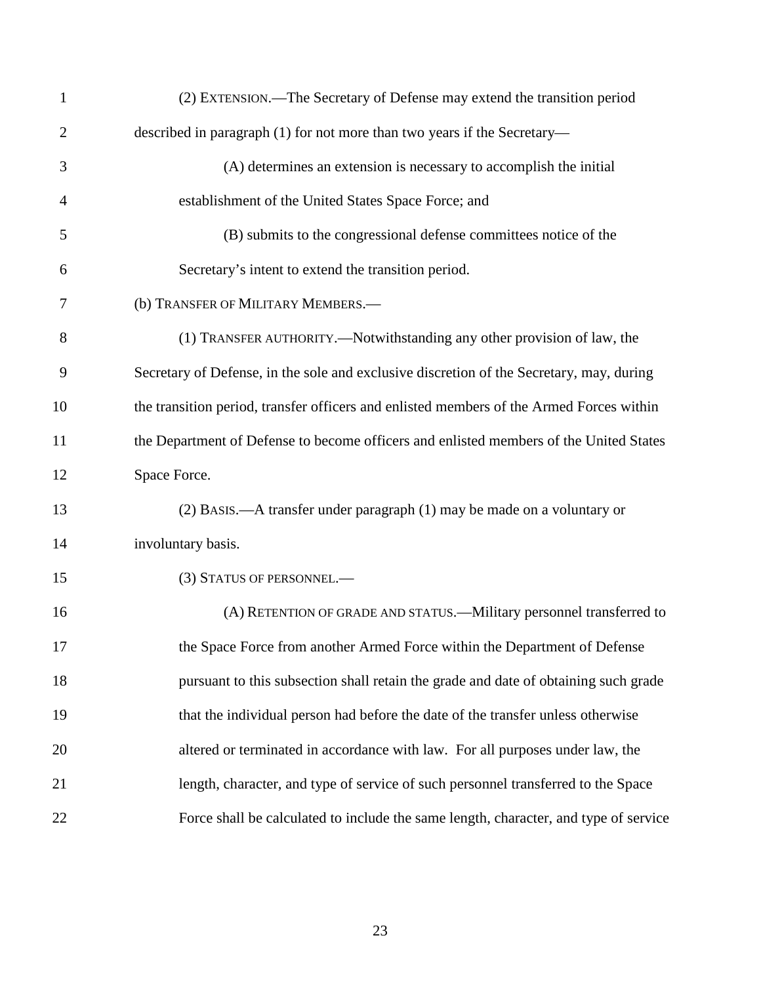| 1  | (2) EXTENSION.—The Secretary of Defense may extend the transition period                 |
|----|------------------------------------------------------------------------------------------|
| 2  | described in paragraph (1) for not more than two years if the Secretary—                 |
| 3  | (A) determines an extension is necessary to accomplish the initial                       |
| 4  | establishment of the United States Space Force; and                                      |
| 5  | (B) submits to the congressional defense committees notice of the                        |
| 6  | Secretary's intent to extend the transition period.                                      |
| 7  | (b) TRANSFER OF MILITARY MEMBERS.-                                                       |
| 8  | (1) TRANSFER AUTHORITY.—Notwithstanding any other provision of law, the                  |
| 9  | Secretary of Defense, in the sole and exclusive discretion of the Secretary, may, during |
| 10 | the transition period, transfer officers and enlisted members of the Armed Forces within |
| 11 | the Department of Defense to become officers and enlisted members of the United States   |
| 12 | Space Force.                                                                             |
| 13 | (2) BASIS.—A transfer under paragraph (1) may be made on a voluntary or                  |
| 14 | involuntary basis.                                                                       |
| 15 | (3) STATUS OF PERSONNEL.-                                                                |
| 16 | (A) RETENTION OF GRADE AND STATUS.—Military personnel transferred to                     |
| 17 | the Space Force from another Armed Force within the Department of Defense                |
| 18 | pursuant to this subsection shall retain the grade and date of obtaining such grade      |
| 19 | that the individual person had before the date of the transfer unless otherwise          |
| 20 | altered or terminated in accordance with law. For all purposes under law, the            |
| 21 | length, character, and type of service of such personnel transferred to the Space        |
| 22 | Force shall be calculated to include the same length, character, and type of service     |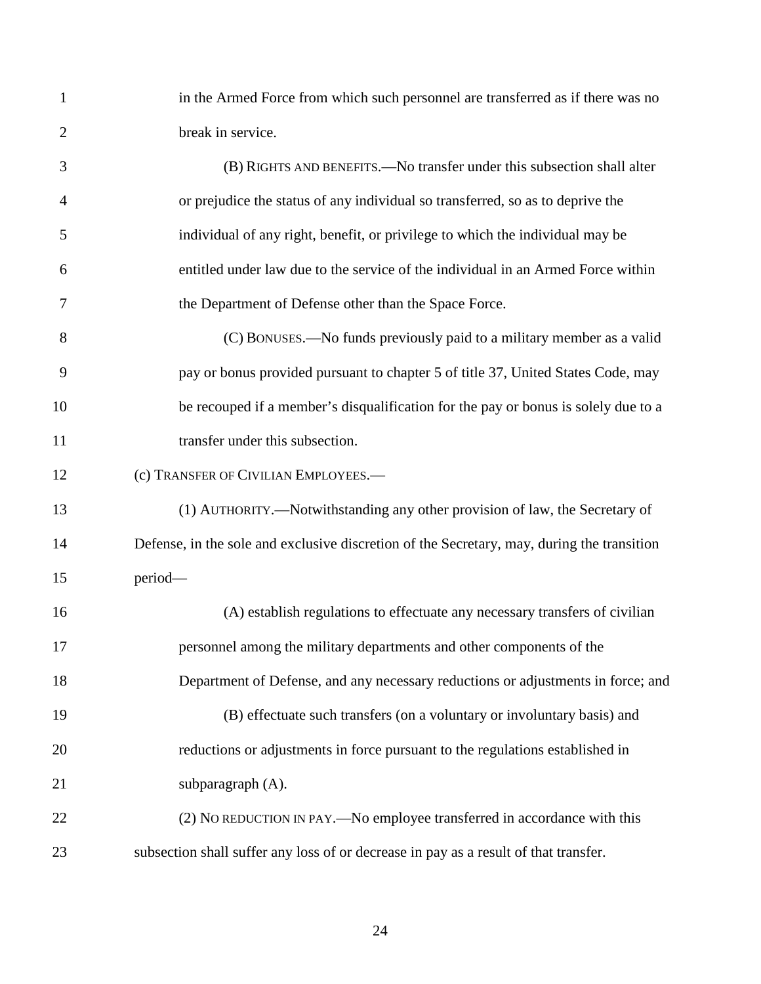in the Armed Force from which such personnel are transferred as if there was no break in service.

 (B) RIGHTS AND BENEFITS.—No transfer under this subsection shall alter or prejudice the status of any individual so transferred, so as to deprive the individual of any right, benefit, or privilege to which the individual may be entitled under law due to the service of the individual in an Armed Force within the Department of Defense other than the Space Force. (C) BONUSES.—No funds previously paid to a military member as a valid pay or bonus provided pursuant to chapter 5 of title 37, United States Code, may be recouped if a member's disqualification for the pay or bonus is solely due to a 11 transfer under this subsection. 12 (c) TRANSFER OF CIVILIAN EMPLOYEES.— (1) AUTHORITY.—Notwithstanding any other provision of law, the Secretary of Defense, in the sole and exclusive discretion of the Secretary, may, during the transition

period—

 (A) establish regulations to effectuate any necessary transfers of civilian personnel among the military departments and other components of the Department of Defense, and any necessary reductions or adjustments in force; and (B) effectuate such transfers (on a voluntary or involuntary basis) and reductions or adjustments in force pursuant to the regulations established in 21 subparagraph (A). 22 (2) NO REDUCTION IN PAY.—No employee transferred in accordance with this

subsection shall suffer any loss of or decrease in pay as a result of that transfer.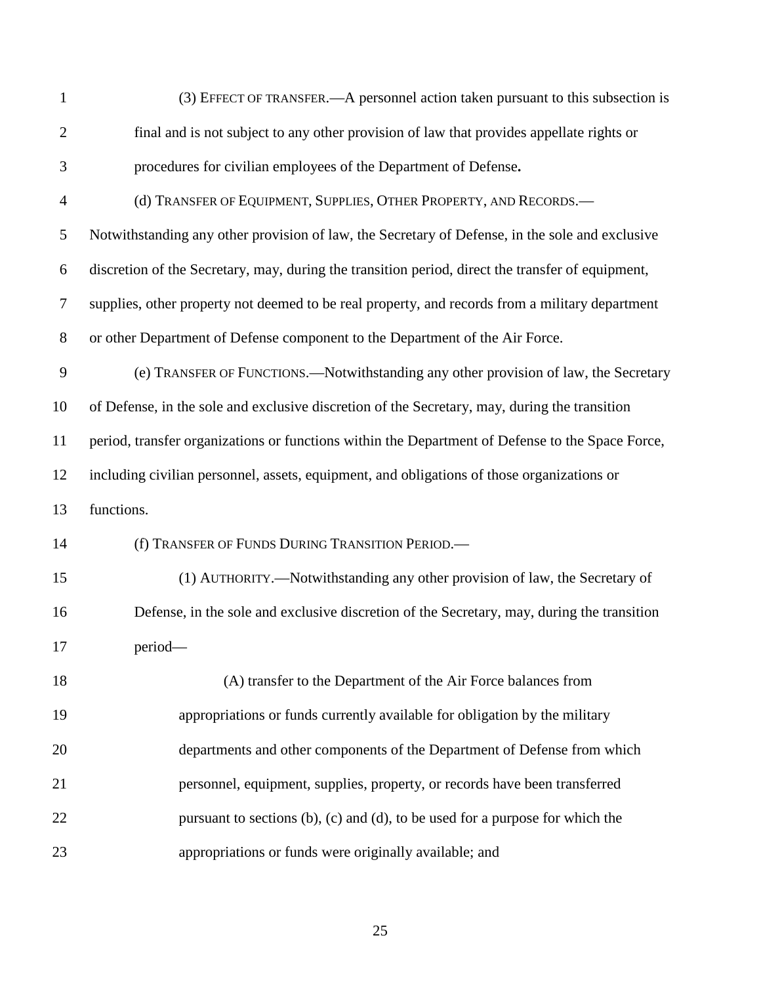| $\mathbf{1}$   | (3) EFFECT OF TRANSFER.—A personnel action taken pursuant to this subsection is                   |
|----------------|---------------------------------------------------------------------------------------------------|
| $\overline{2}$ | final and is not subject to any other provision of law that provides appellate rights or          |
| 3              | procedures for civilian employees of the Department of Defense.                                   |
| $\overline{4}$ | (d) TRANSFER OF EQUIPMENT, SUPPLIES, OTHER PROPERTY, AND RECORDS.-                                |
| 5              | Notwithstanding any other provision of law, the Secretary of Defense, in the sole and exclusive   |
| 6              | discretion of the Secretary, may, during the transition period, direct the transfer of equipment, |
| $\tau$         | supplies, other property not deemed to be real property, and records from a military department   |
| $8\,$          | or other Department of Defense component to the Department of the Air Force.                      |
| 9              | (e) TRANSFER OF FUNCTIONS.—Notwithstanding any other provision of law, the Secretary              |
| 10             | of Defense, in the sole and exclusive discretion of the Secretary, may, during the transition     |
| 11             | period, transfer organizations or functions within the Department of Defense to the Space Force,  |
| 12             | including civilian personnel, assets, equipment, and obligations of those organizations or        |
| 13             | functions.                                                                                        |
| 14             | (f) TRANSFER OF FUNDS DURING TRANSITION PERIOD.                                                   |
| 15             | (1) AUTHORITY.—Notwithstanding any other provision of law, the Secretary of                       |
| 16             | Defense, in the sole and exclusive discretion of the Secretary, may, during the transition        |
| 17             | period-                                                                                           |
| 18             | (A) transfer to the Department of the Air Force balances from                                     |
| 19             | appropriations or funds currently available for obligation by the military                        |
| 20             | departments and other components of the Department of Defense from which                          |
| 21             | personnel, equipment, supplies, property, or records have been transferred                        |
| 22             | pursuant to sections $(b)$ , $(c)$ and $(d)$ , to be used for a purpose for which the             |
| 23             | appropriations or funds were originally available; and                                            |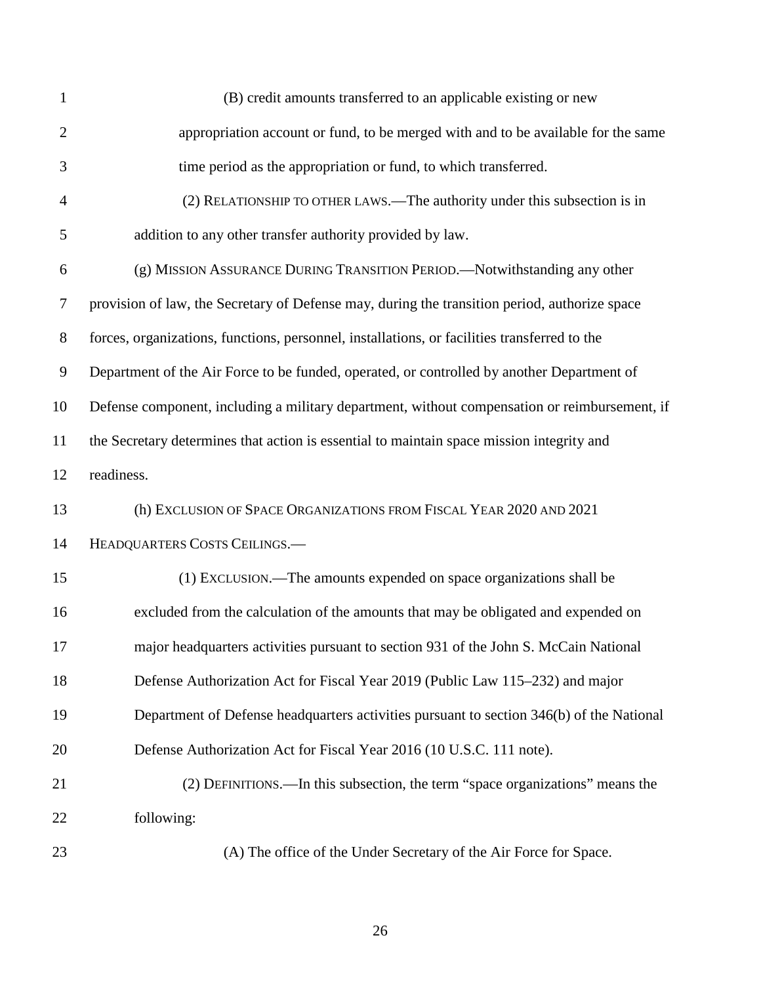| $\mathbf{1}$   | (B) credit amounts transferred to an applicable existing or new                               |
|----------------|-----------------------------------------------------------------------------------------------|
| $\overline{2}$ | appropriation account or fund, to be merged with and to be available for the same             |
| 3              | time period as the appropriation or fund, to which transferred.                               |
| 4              | (2) RELATIONSHIP TO OTHER LAWS.—The authority under this subsection is in                     |
| 5              | addition to any other transfer authority provided by law.                                     |
| 6              | (g) MISSION ASSURANCE DURING TRANSITION PERIOD.—Notwithstanding any other                     |
| $\tau$         | provision of law, the Secretary of Defense may, during the transition period, authorize space |
| $8\,$          | forces, organizations, functions, personnel, installations, or facilities transferred to the  |
| 9              | Department of the Air Force to be funded, operated, or controlled by another Department of    |
| 10             | Defense component, including a military department, without compensation or reimbursement, if |
| 11             | the Secretary determines that action is essential to maintain space mission integrity and     |
| 12             | readiness.                                                                                    |
| 13             | (h) EXCLUSION OF SPACE ORGANIZATIONS FROM FISCAL YEAR 2020 AND 2021                           |
| 14             | HEADQUARTERS COSTS CEILINGS.                                                                  |
| 15             | (1) EXCLUSION.—The amounts expended on space organizations shall be                           |
| 16             | excluded from the calculation of the amounts that may be obligated and expended on            |
| 17             | major headquarters activities pursuant to section 931 of the John S. McCain National          |
| 18             | Defense Authorization Act for Fiscal Year 2019 (Public Law 115–232) and major                 |
| 19             | Department of Defense headquarters activities pursuant to section 346(b) of the National      |
| 20             | Defense Authorization Act for Fiscal Year 2016 (10 U.S.C. 111 note).                          |
| 21             | (2) DEFINITIONS.—In this subsection, the term "space organizations" means the                 |
| 22             | following:                                                                                    |
| 23             | (A) The office of the Under Secretary of the Air Force for Space.                             |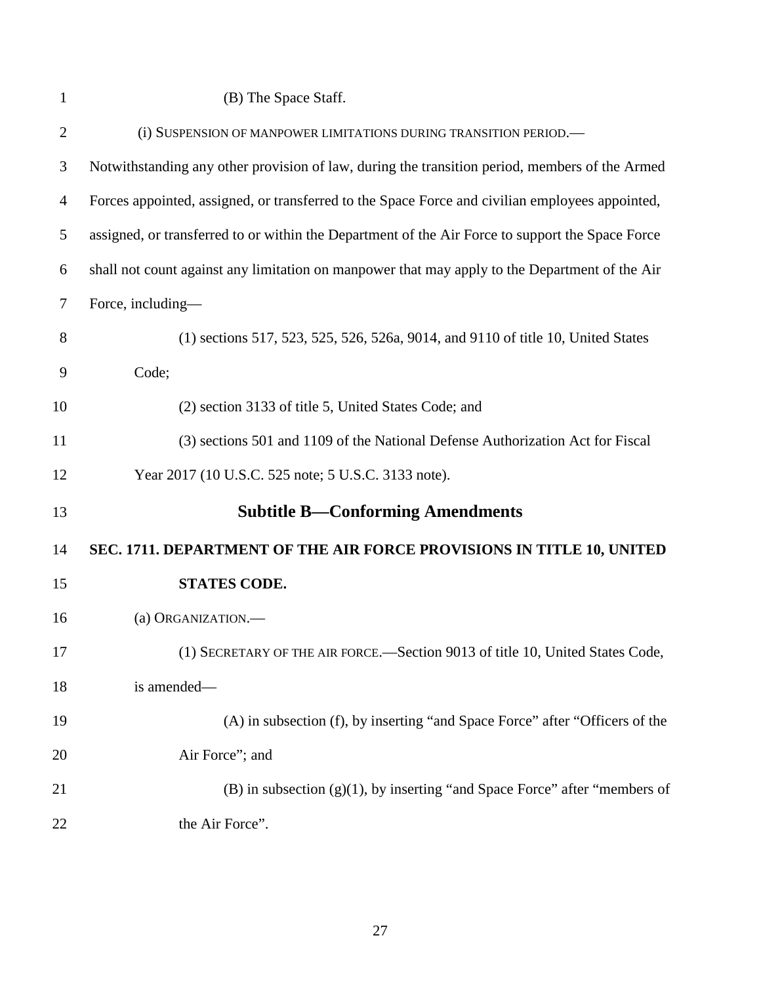(B) The Space Staff.

<span id="page-26-1"></span><span id="page-26-0"></span>

| $\overline{2}$ | (i) SUSPENSION OF MANPOWER LIMITATIONS DURING TRANSITION PERIOD.-                                |
|----------------|--------------------------------------------------------------------------------------------------|
| 3              | Notwithstanding any other provision of law, during the transition period, members of the Armed   |
| $\overline{4}$ | Forces appointed, assigned, or transferred to the Space Force and civilian employees appointed,  |
| 5              | assigned, or transferred to or within the Department of the Air Force to support the Space Force |
| 6              | shall not count against any limitation on manpower that may apply to the Department of the Air   |
| $\tau$         | Force, including—                                                                                |
| 8              | (1) sections 517, 523, 525, 526, 526a, 9014, and 9110 of title 10, United States                 |
| 9              | Code;                                                                                            |
| 10             | (2) section 3133 of title 5, United States Code; and                                             |
| 11             | (3) sections 501 and 1109 of the National Defense Authorization Act for Fiscal                   |
| 12             | Year 2017 (10 U.S.C. 525 note; 5 U.S.C. 3133 note).                                              |
| 13             | <b>Subtitle B—Conforming Amendments</b>                                                          |
| 14             | SEC. 1711. DEPARTMENT OF THE AIR FORCE PROVISIONS IN TITLE 10, UNITED                            |
| 15             | <b>STATES CODE.</b>                                                                              |
| 16             | (a) ORGANIZATION.                                                                                |
| 17             | (1) SECRETARY OF THE AIR FORCE.—Section 9013 of title 10, United States Code,                    |
| 18             | is amended-                                                                                      |
| 19             | (A) in subsection (f), by inserting "and Space Force" after "Officers of the                     |
| 20             | Air Force"; and                                                                                  |
| 21             | $(B)$ in subsection $(g)(1)$ , by inserting "and Space Force" after "members of                  |
| 22             | the Air Force".                                                                                  |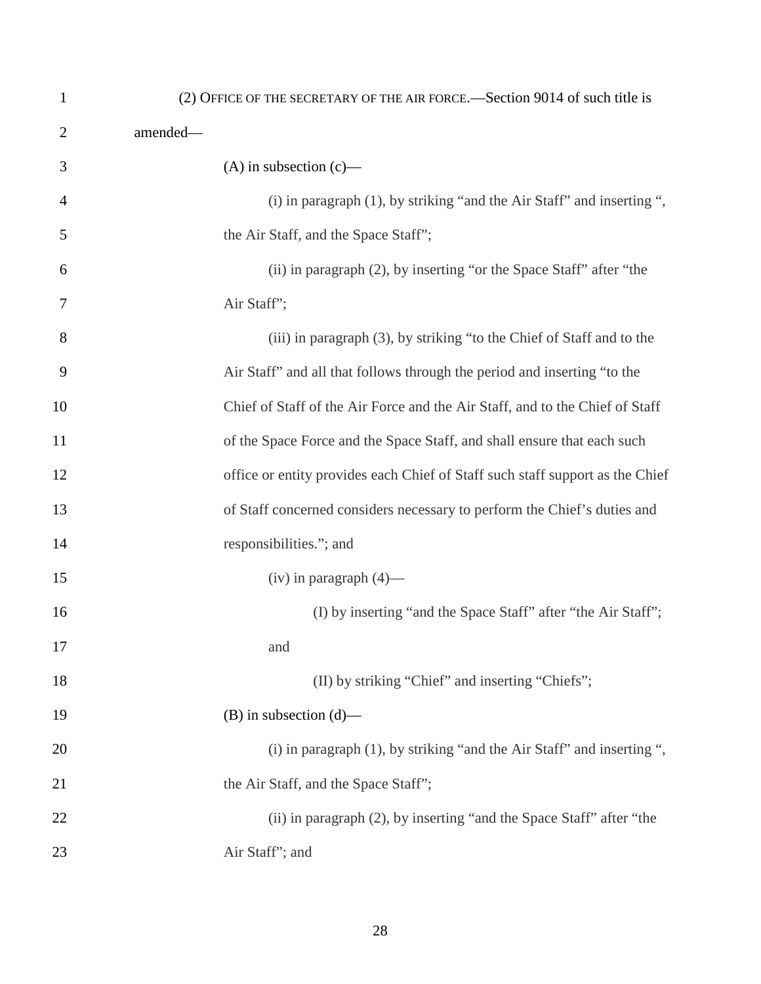| $\mathbf{1}$   | (2) OFFICE OF THE SECRETARY OF THE AIR FORCE.—Section 9014 of such title is   |
|----------------|-------------------------------------------------------------------------------|
| $\overline{2}$ | amended-                                                                      |
| 3              | $(A)$ in subsection $(c)$ —                                                   |
| 4              | $(i)$ in paragraph $(1)$ , by striking "and the Air Staff" and inserting ",   |
| 5              | the Air Staff, and the Space Staff";                                          |
| 6              | (ii) in paragraph (2), by inserting "or the Space Staff" after "the           |
| 7              | Air Staff";                                                                   |
| 8              | (iii) in paragraph (3), by striking "to the Chief of Staff and to the         |
| 9              | Air Staff" and all that follows through the period and inserting "to the      |
| 10             | Chief of Staff of the Air Force and the Air Staff, and to the Chief of Staff  |
| 11             | of the Space Force and the Space Staff, and shall ensure that each such       |
| 12             | office or entity provides each Chief of Staff such staff support as the Chief |
| 13             | of Staff concerned considers necessary to perform the Chief's duties and      |
| 14             | responsibilities."; and                                                       |
| 15             | $(iv)$ in paragraph $(4)$ —                                                   |
| 16             | (I) by inserting "and the Space Staff" after "the Air Staff";                 |
| 17             | and                                                                           |
| 18             | (II) by striking "Chief" and inserting "Chiefs";                              |
| 19             | $(B)$ in subsection $(d)$ —                                                   |
| 20             | $(i)$ in paragraph $(1)$ , by striking "and the Air Staff" and inserting ",   |
| 21             | the Air Staff, and the Space Staff";                                          |
| 22             | (ii) in paragraph (2), by inserting "and the Space Staff" after "the          |
| 23             | Air Staff"; and                                                               |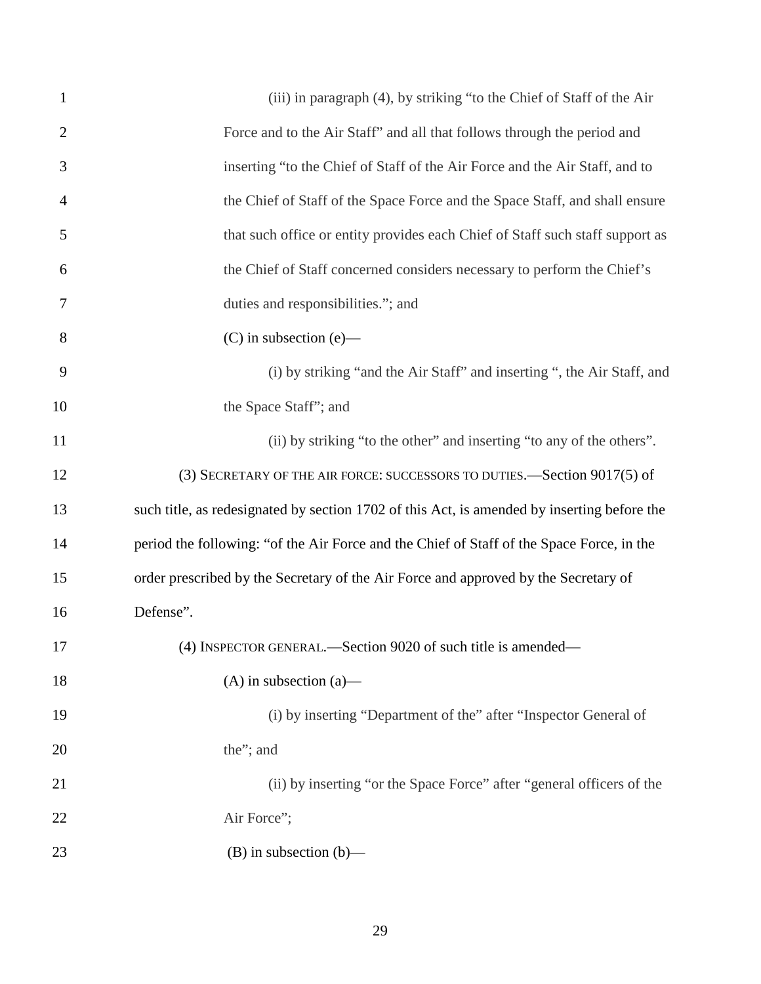| $\mathbf{1}$   | (iii) in paragraph (4), by striking "to the Chief of Staff of the Air                       |
|----------------|---------------------------------------------------------------------------------------------|
| $\overline{2}$ | Force and to the Air Staff" and all that follows through the period and                     |
| 3              | inserting "to the Chief of Staff of the Air Force and the Air Staff, and to                 |
| $\overline{4}$ | the Chief of Staff of the Space Force and the Space Staff, and shall ensure                 |
| 5              | that such office or entity provides each Chief of Staff such staff support as               |
| 6              | the Chief of Staff concerned considers necessary to perform the Chief's                     |
| 7              | duties and responsibilities."; and                                                          |
| 8              | $(C)$ in subsection $(e)$ —                                                                 |
| 9              | (i) by striking "and the Air Staff" and inserting ", the Air Staff, and                     |
| 10             | the Space Staff"; and                                                                       |
| 11             | (ii) by striking "to the other" and inserting "to any of the others".                       |
| 12             | (3) SECRETARY OF THE AIR FORCE: SUCCESSORS TO DUTIES. Section 9017(5) of                    |
| 13             | such title, as redesignated by section 1702 of this Act, is amended by inserting before the |
| 14             | period the following: "of the Air Force and the Chief of Staff of the Space Force, in the   |
| 15             | order prescribed by the Secretary of the Air Force and approved by the Secretary of         |
| 16             | Defense".                                                                                   |
| 17             | (4) INSPECTOR GENERAL.—Section 9020 of such title is amended—                               |
| 18             | $(A)$ in subsection $(a)$ —                                                                 |
| 19             | (i) by inserting "Department of the" after "Inspector General of                            |
| 20             | the"; and                                                                                   |
| 21             | (ii) by inserting "or the Space Force" after "general officers of the                       |
| 22             | Air Force";                                                                                 |
| 23             | $(B)$ in subsection $(b)$ —                                                                 |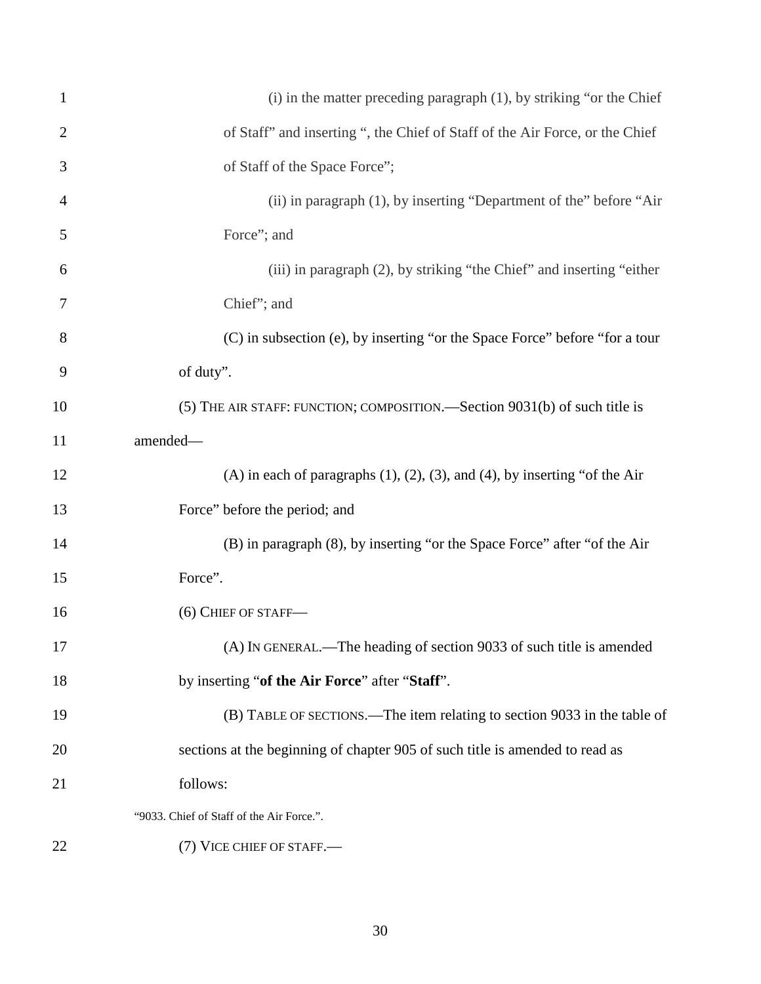| $\mathbf{1}$   | $(i)$ in the matter preceding paragraph $(1)$ , by striking "or the Chief              |
|----------------|----------------------------------------------------------------------------------------|
| $\overline{2}$ | of Staff" and inserting ", the Chief of Staff of the Air Force, or the Chief           |
| 3              | of Staff of the Space Force";                                                          |
| 4              | (ii) in paragraph (1), by inserting "Department of the" before "Air                    |
| 5              | Force"; and                                                                            |
| 6              | (iii) in paragraph (2), by striking "the Chief" and inserting "either                  |
| 7              | Chief"; and                                                                            |
| 8              | (C) in subsection (e), by inserting "or the Space Force" before "for a tour            |
| 9              | of duty".                                                                              |
| 10             | (5) THE AIR STAFF: FUNCTION; COMPOSITION.—Section 9031(b) of such title is             |
| 11             | amended-                                                                               |
| 12             | (A) in each of paragraphs $(1)$ , $(2)$ , $(3)$ , and $(4)$ , by inserting "of the Air |
| 13             | Force" before the period; and                                                          |
| 14             | (B) in paragraph (8), by inserting "or the Space Force" after "of the Air              |
| 15             | Force".                                                                                |
| 16             | (6) CHIEF OF STAFF-                                                                    |
| 17             | (A) IN GENERAL.—The heading of section 9033 of such title is amended                   |
| 18             | by inserting "of the Air Force" after "Staff".                                         |
| 19             | (B) TABLE OF SECTIONS.—The item relating to section 9033 in the table of               |
| 20             | sections at the beginning of chapter 905 of such title is amended to read as           |
| 21             | follows:                                                                               |
|                | "9033. Chief of Staff of the Air Force.".                                              |
| 22             | (7) VICE CHIEF OF STAFF.—                                                              |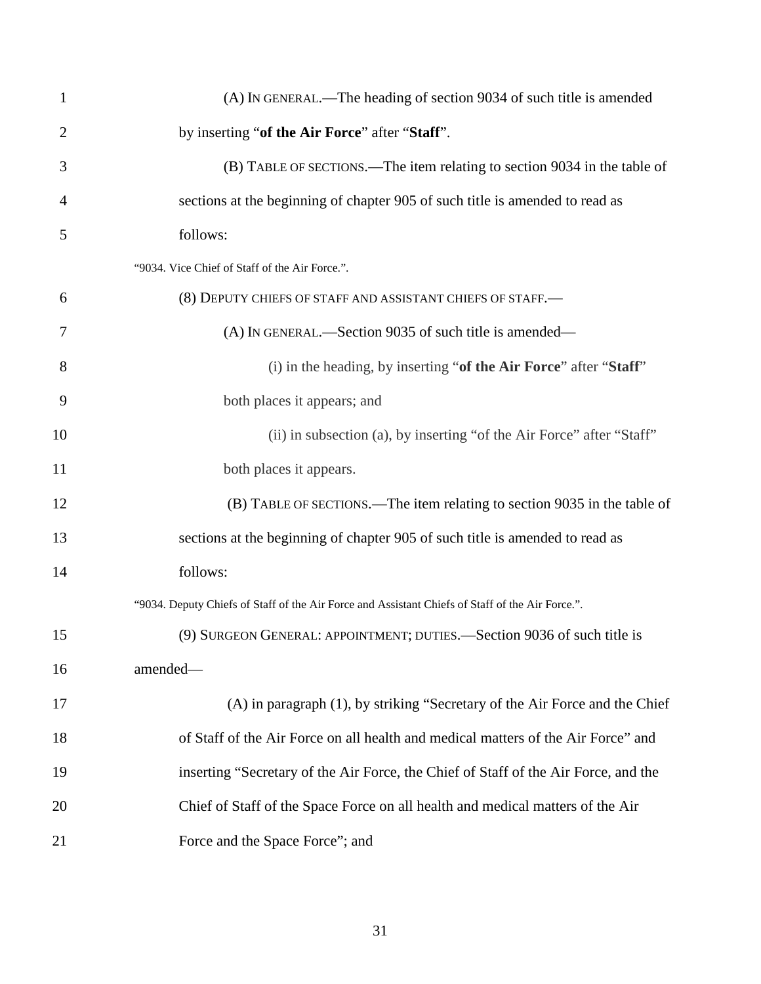| $\mathbf{1}$   | (A) IN GENERAL.—The heading of section 9034 of such title is amended                             |
|----------------|--------------------------------------------------------------------------------------------------|
| $\overline{2}$ | by inserting "of the Air Force" after "Staff".                                                   |
| 3              | (B) TABLE OF SECTIONS.—The item relating to section 9034 in the table of                         |
| 4              | sections at the beginning of chapter 905 of such title is amended to read as                     |
| 5              | follows:                                                                                         |
|                | "9034. Vice Chief of Staff of the Air Force.".                                                   |
| 6              | (8) DEPUTY CHIEFS OF STAFF AND ASSISTANT CHIEFS OF STAFF.                                        |
| 7              | (A) IN GENERAL.—Section 9035 of such title is amended—                                           |
| 8              | (i) in the heading, by inserting "of the Air Force" after "Staff"                                |
| 9              | both places it appears; and                                                                      |
| 10             | (ii) in subsection (a), by inserting "of the Air Force" after "Staff"                            |
| 11             | both places it appears.                                                                          |
| 12             | (B) TABLE OF SECTIONS.—The item relating to section 9035 in the table of                         |
| 13             | sections at the beginning of chapter 905 of such title is amended to read as                     |
| 14             | follows:                                                                                         |
|                | "9034. Deputy Chiefs of Staff of the Air Force and Assistant Chiefs of Staff of the Air Force.". |
| 15             | (9) SURGEON GENERAL: APPOINTMENT; DUTIES.—Section 9036 of such title is                          |
| 16             | amended-                                                                                         |
| 17             | (A) in paragraph (1), by striking "Secretary of the Air Force and the Chief                      |
| 18             | of Staff of the Air Force on all health and medical matters of the Air Force" and                |
| 19             | inserting "Secretary of the Air Force, the Chief of Staff of the Air Force, and the              |
| 20             | Chief of Staff of the Space Force on all health and medical matters of the Air                   |
| 21             | Force and the Space Force"; and                                                                  |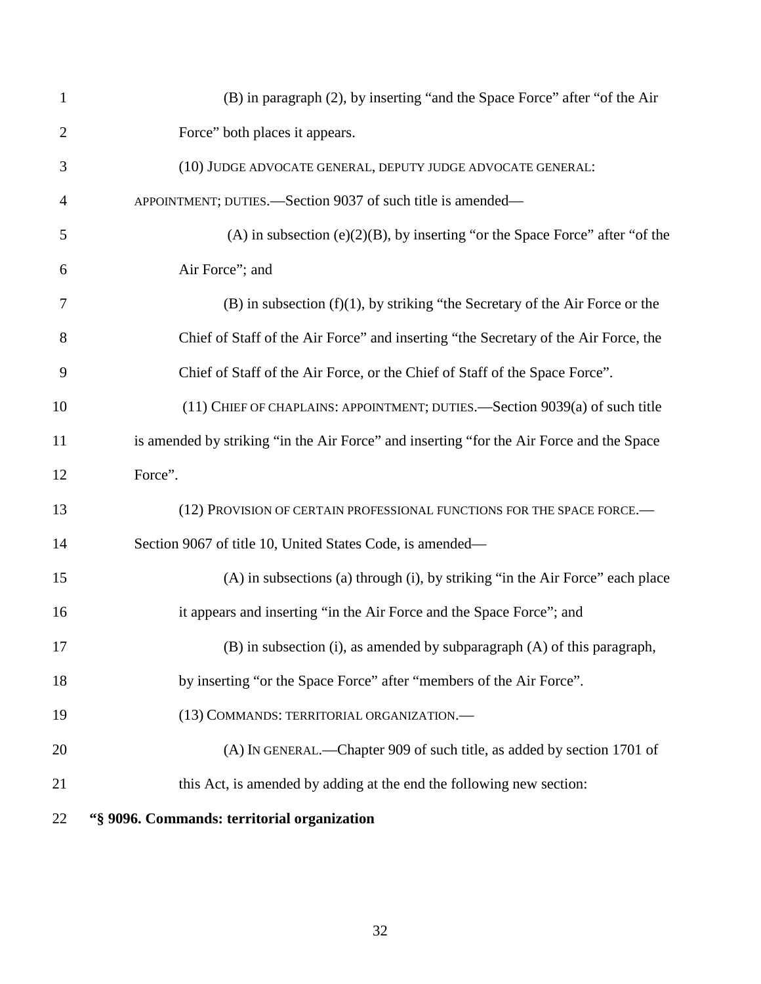| $\mathbf{1}$   | (B) in paragraph (2), by inserting "and the Space Force" after "of the Air               |
|----------------|------------------------------------------------------------------------------------------|
| $\overline{2}$ | Force" both places it appears.                                                           |
| 3              | (10) JUDGE ADVOCATE GENERAL, DEPUTY JUDGE ADVOCATE GENERAL:                              |
| $\overline{4}$ | APPOINTMENT; DUTIES.—Section 9037 of such title is amended—                              |
| 5              | $(A)$ in subsection $(e)(2)(B)$ , by inserting "or the Space Force" after "of the        |
| 6              | Air Force"; and                                                                          |
| 7              | $(B)$ in subsection $(f)(1)$ , by striking "the Secretary of the Air Force or the        |
| 8              | Chief of Staff of the Air Force" and inserting "the Secretary of the Air Force, the      |
| 9              | Chief of Staff of the Air Force, or the Chief of Staff of the Space Force".              |
| 10             | (11) CHIEF OF CHAPLAINS: APPOINTMENT; DUTIES.—Section 9039(a) of such title              |
| 11             | is amended by striking "in the Air Force" and inserting "for the Air Force and the Space |
| 12             | Force".                                                                                  |
| 13             | (12) PROVISION OF CERTAIN PROFESSIONAL FUNCTIONS FOR THE SPACE FORCE.                    |
| 14             | Section 9067 of title 10, United States Code, is amended—                                |
| 15             | (A) in subsections (a) through (i), by striking "in the Air Force" each place            |
| 16             | it appears and inserting "in the Air Force and the Space Force"; and                     |
| 17             | (B) in subsection (i), as amended by subparagraph (A) of this paragraph,                 |
| 18             | by inserting "or the Space Force" after "members of the Air Force".                      |
| 19             | (13) COMMANDS: TERRITORIAL ORGANIZATION.-                                                |
| 20             | (A) IN GENERAL.—Chapter 909 of such title, as added by section 1701 of                   |
| 21             | this Act, is amended by adding at the end the following new section:                     |
| 22             | "§ 9096. Commands: territorial organization                                              |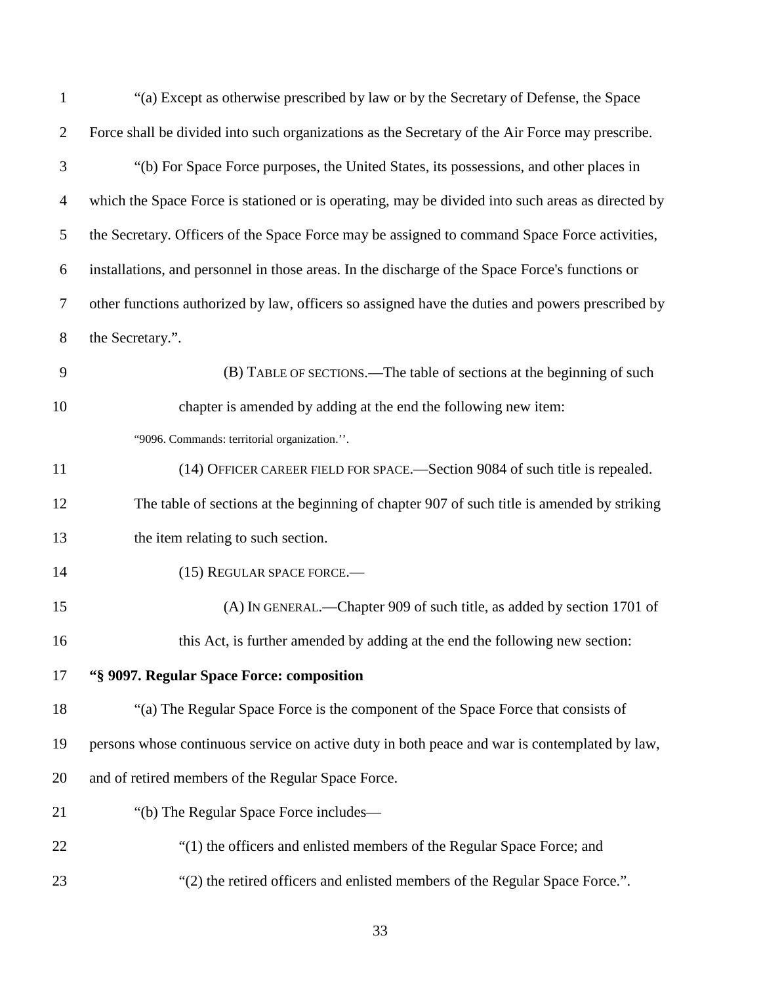| $\mathbf{1}$   | "(a) Except as otherwise prescribed by law or by the Secretary of Defense, the Space              |
|----------------|---------------------------------------------------------------------------------------------------|
| $\overline{2}$ | Force shall be divided into such organizations as the Secretary of the Air Force may prescribe.   |
| $\mathfrak{Z}$ | "(b) For Space Force purposes, the United States, its possessions, and other places in            |
| $\overline{4}$ | which the Space Force is stationed or is operating, may be divided into such areas as directed by |
| 5              | the Secretary. Officers of the Space Force may be assigned to command Space Force activities,     |
| 6              | installations, and personnel in those areas. In the discharge of the Space Force's functions or   |
| $\tau$         | other functions authorized by law, officers so assigned have the duties and powers prescribed by  |
| 8              | the Secretary.".                                                                                  |
| 9              | (B) TABLE OF SECTIONS.—The table of sections at the beginning of such                             |
| 10             | chapter is amended by adding at the end the following new item:                                   |
|                | "9096. Commands: territorial organization.".                                                      |
| 11             | (14) OFFICER CAREER FIELD FOR SPACE.—Section 9084 of such title is repealed.                      |
| 12             | The table of sections at the beginning of chapter 907 of such title is amended by striking        |
| 13             | the item relating to such section.                                                                |
| 14             | (15) REGULAR SPACE FORCE.-                                                                        |
| 15             | (A) IN GENERAL.—Chapter 909 of such title, as added by section 1701 of                            |
| 16             | this Act, is further amended by adding at the end the following new section:                      |
| 17             | "§ 9097. Regular Space Force: composition                                                         |
| 18             | "(a) The Regular Space Force is the component of the Space Force that consists of                 |
| 19             | persons whose continuous service on active duty in both peace and war is contemplated by law,     |
| 20             | and of retired members of the Regular Space Force.                                                |
| 21             | "(b) The Regular Space Force includes—                                                            |
| 22             | "(1) the officers and enlisted members of the Regular Space Force; and                            |
| 23             | "(2) the retired officers and enlisted members of the Regular Space Force.".                      |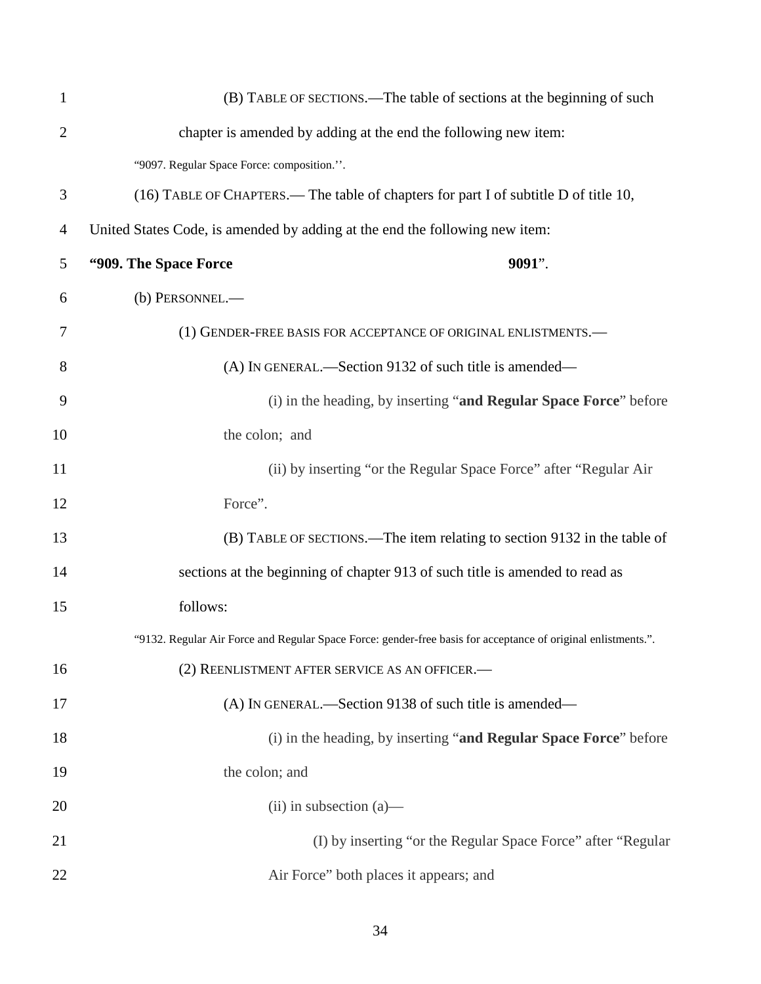| $\mathbf{1}$   | (B) TABLE OF SECTIONS.—The table of sections at the beginning of such                                         |
|----------------|---------------------------------------------------------------------------------------------------------------|
| $\overline{2}$ | chapter is amended by adding at the end the following new item:                                               |
|                | "9097. Regular Space Force: composition.".                                                                    |
| 3              | (16) TABLE OF CHAPTERS.— The table of chapters for part I of subtitle D of title 10,                          |
| $\overline{4}$ | United States Code, is amended by adding at the end the following new item:                                   |
| 5              | "909. The Space Force"<br>$9091$ ".                                                                           |
| 6              | (b) PERSONNEL.-                                                                                               |
| 7              | (1) GENDER-FREE BASIS FOR ACCEPTANCE OF ORIGINAL ENLISTMENTS.                                                 |
| 8              | (A) IN GENERAL.—Section 9132 of such title is amended—                                                        |
| 9              | (i) in the heading, by inserting "and Regular Space Force" before                                             |
| 10             | the colon; and                                                                                                |
| 11             | (ii) by inserting "or the Regular Space Force" after "Regular Air                                             |
| 12             | Force".                                                                                                       |
| 13             | (B) TABLE OF SECTIONS.—The item relating to section 9132 in the table of                                      |
| 14             | sections at the beginning of chapter 913 of such title is amended to read as                                  |
| 15             | follows:                                                                                                      |
|                | "9132. Regular Air Force and Regular Space Force: gender-free basis for acceptance of original enlistments.". |
| 16             | (2) REENLISTMENT AFTER SERVICE AS AN OFFICER.-                                                                |
| 17             | (A) IN GENERAL.—Section 9138 of such title is amended—                                                        |
| 18             | (i) in the heading, by inserting "and Regular Space Force" before                                             |
| 19             | the colon; and                                                                                                |
| 20             | $(ii)$ in subsection $(a)$ —                                                                                  |
| 21             | (I) by inserting "or the Regular Space Force" after "Regular                                                  |
| 22             | Air Force" both places it appears; and                                                                        |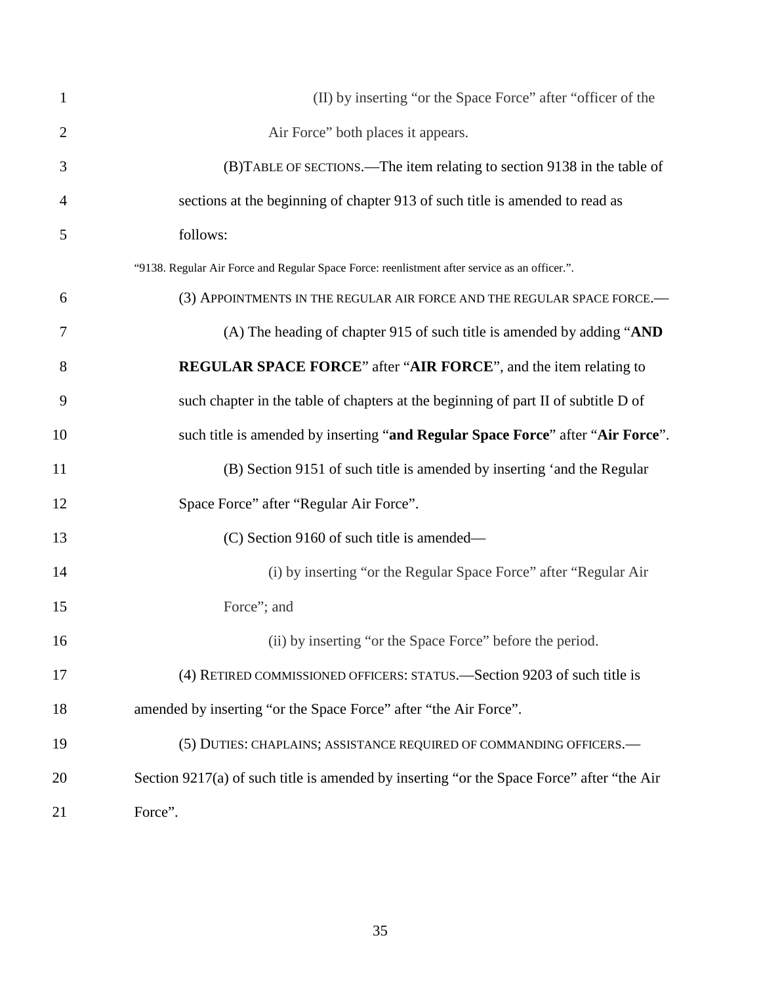| $\mathbf{1}$   | (II) by inserting "or the Space Force" after "officer of the                                  |
|----------------|-----------------------------------------------------------------------------------------------|
| $\overline{2}$ | Air Force" both places it appears.                                                            |
| 3              | (B) TABLE OF SECTIONS.—The item relating to section 9138 in the table of                      |
| 4              | sections at the beginning of chapter 913 of such title is amended to read as                  |
| 5              | follows:                                                                                      |
|                | "9138. Regular Air Force and Regular Space Force: reenlistment after service as an officer.". |
| 6              | (3) APPOINTMENTS IN THE REGULAR AIR FORCE AND THE REGULAR SPACE FORCE.                        |
| 7              | (A) The heading of chapter 915 of such title is amended by adding "AND                        |
| 8              | REGULAR SPACE FORCE" after "AIR FORCE", and the item relating to                              |
| 9              | such chapter in the table of chapters at the beginning of part II of subtitle D of            |
| 10             | such title is amended by inserting "and Regular Space Force" after "Air Force".               |
| 11             | (B) Section 9151 of such title is amended by inserting 'and the Regular                       |
| 12             | Space Force" after "Regular Air Force".                                                       |
| 13             | (C) Section 9160 of such title is amended—                                                    |
| 14             | (i) by inserting "or the Regular Space Force" after "Regular Air                              |
| 15             | Force"; and                                                                                   |
| 16             | (ii) by inserting "or the Space Force" before the period.                                     |
| 17             | (4) RETIRED COMMISSIONED OFFICERS: STATUS.—Section 9203 of such title is                      |
| 18             | amended by inserting "or the Space Force" after "the Air Force".                              |
| 19             | (5) DUTIES: CHAPLAINS; ASSISTANCE REQUIRED OF COMMANDING OFFICERS.-                           |
| 20             | Section 9217(a) of such title is amended by inserting "or the Space Force" after "the Air     |
| 21             | Force".                                                                                       |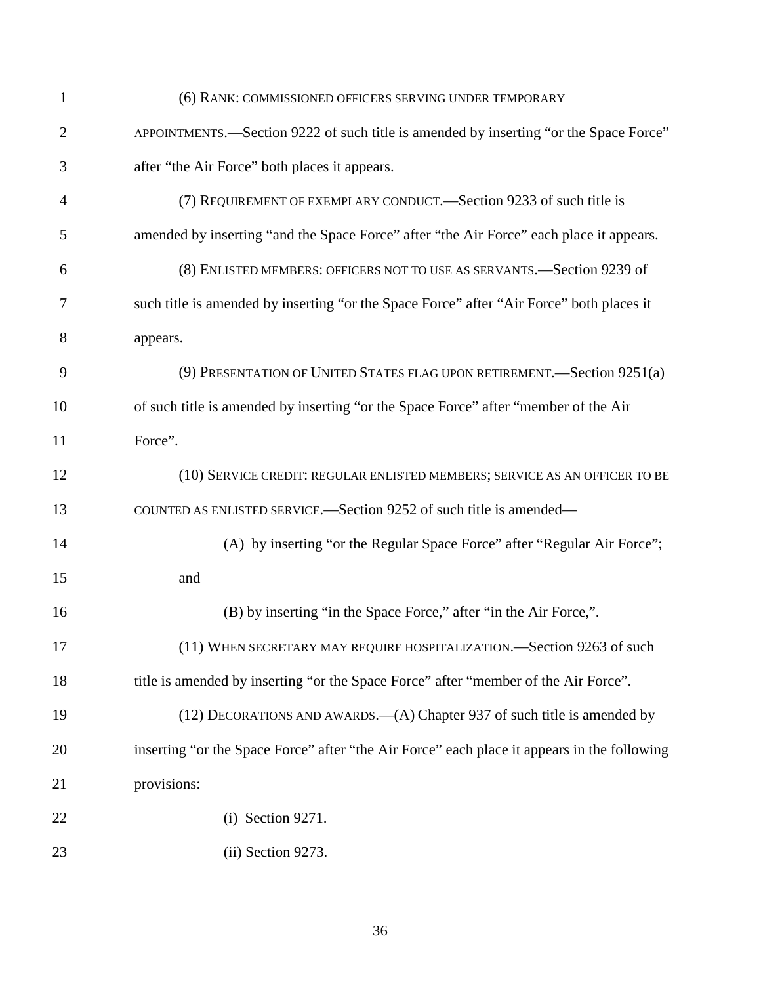| $\mathbf{1}$   | (6) RANK: COMMISSIONED OFFICERS SERVING UNDER TEMPORARY                                     |
|----------------|---------------------------------------------------------------------------------------------|
| $\overline{2}$ | APPOINTMENTS.-Section 9222 of such title is amended by inserting "or the Space Force"       |
| 3              | after "the Air Force" both places it appears.                                               |
| $\overline{4}$ | (7) REQUIREMENT OF EXEMPLARY CONDUCT.—Section 9233 of such title is                         |
| 5              | amended by inserting "and the Space Force" after "the Air Force" each place it appears.     |
| 6              | (8) ENLISTED MEMBERS: OFFICERS NOT TO USE AS SERVANTS.-Section 9239 of                      |
| 7              | such title is amended by inserting "or the Space Force" after "Air Force" both places it    |
| 8              | appears.                                                                                    |
| 9              | (9) PRESENTATION OF UNITED STATES FLAG UPON RETIREMENT.—Section 9251(a)                     |
| 10             | of such title is amended by inserting "or the Space Force" after "member of the Air         |
| 11             | Force".                                                                                     |
| 12             | (10) SERVICE CREDIT: REGULAR ENLISTED MEMBERS; SERVICE AS AN OFFICER TO BE                  |
| 13             | COUNTED AS ENLISTED SERVICE.—Section 9252 of such title is amended—                         |
| 14             | (A) by inserting "or the Regular Space Force" after "Regular Air Force";                    |
| 15             | and                                                                                         |
| 16             | (B) by inserting "in the Space Force," after "in the Air Force,".                           |
| 17             | (11) WHEN SECRETARY MAY REQUIRE HOSPITALIZATION. Section 9263 of such                       |
| 18             | title is amended by inserting "or the Space Force" after "member of the Air Force".         |
| 19             | $(12)$ DECORATIONS AND AWARDS.— $(A)$ Chapter 937 of such title is amended by               |
| 20             | inserting "or the Space Force" after "the Air Force" each place it appears in the following |
| 21             | provisions:                                                                                 |
| 22             | $(i)$ Section 9271.                                                                         |
| 23             | (ii) Section 9273.                                                                          |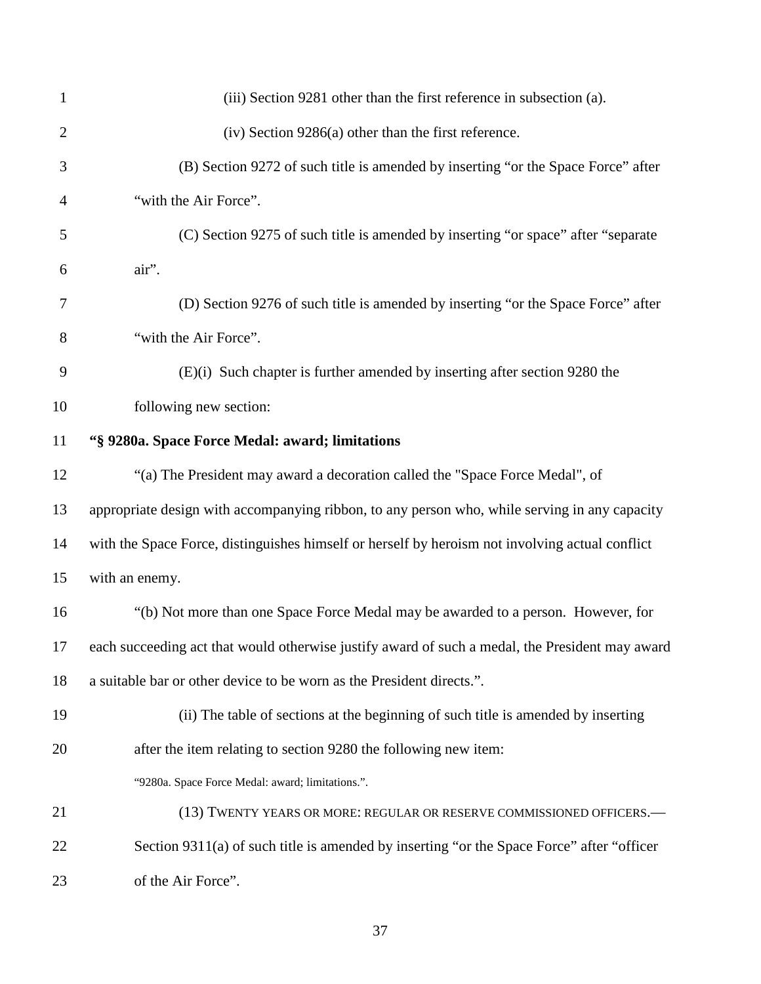| $\mathbf{1}$ | (iii) Section 9281 other than the first reference in subsection (a).                            |
|--------------|-------------------------------------------------------------------------------------------------|
| $\mathbf{2}$ | $(iv)$ Section 9286(a) other than the first reference.                                          |
| 3            | (B) Section 9272 of such title is amended by inserting "or the Space Force" after               |
| 4            | "with the Air Force".                                                                           |
| 5            | (C) Section 9275 of such title is amended by inserting "or space" after "separate               |
| 6            | air".                                                                                           |
| 7            | (D) Section 9276 of such title is amended by inserting "or the Space Force" after               |
| 8            | "with the Air Force".                                                                           |
| 9            | (E)(i) Such chapter is further amended by inserting after section 9280 the                      |
| 10           | following new section:                                                                          |
| 11           | "§ 9280a. Space Force Medal: award; limitations                                                 |
| 12           | "(a) The President may award a decoration called the "Space Force Medal", of                    |
| 13           | appropriate design with accompanying ribbon, to any person who, while serving in any capacity   |
| 14           | with the Space Force, distinguishes himself or herself by heroism not involving actual conflict |
| 15           | with an enemy.                                                                                  |
| 16           | "(b) Not more than one Space Force Medal may be awarded to a person. However, for               |
| 17           | each succeeding act that would otherwise justify award of such a medal, the President may award |
| 18           | a suitable bar or other device to be worn as the President directs.".                           |
| 19           | (ii) The table of sections at the beginning of such title is amended by inserting               |
| 20           | after the item relating to section 9280 the following new item:                                 |
|              | "9280a. Space Force Medal: award; limitations.".                                                |
| 21           | (13) TWENTY YEARS OR MORE: REGULAR OR RESERVE COMMISSIONED OFFICERS.-                           |
| 22           | Section 9311(a) of such title is amended by inserting "or the Space Force" after "officer       |
| 23           | of the Air Force".                                                                              |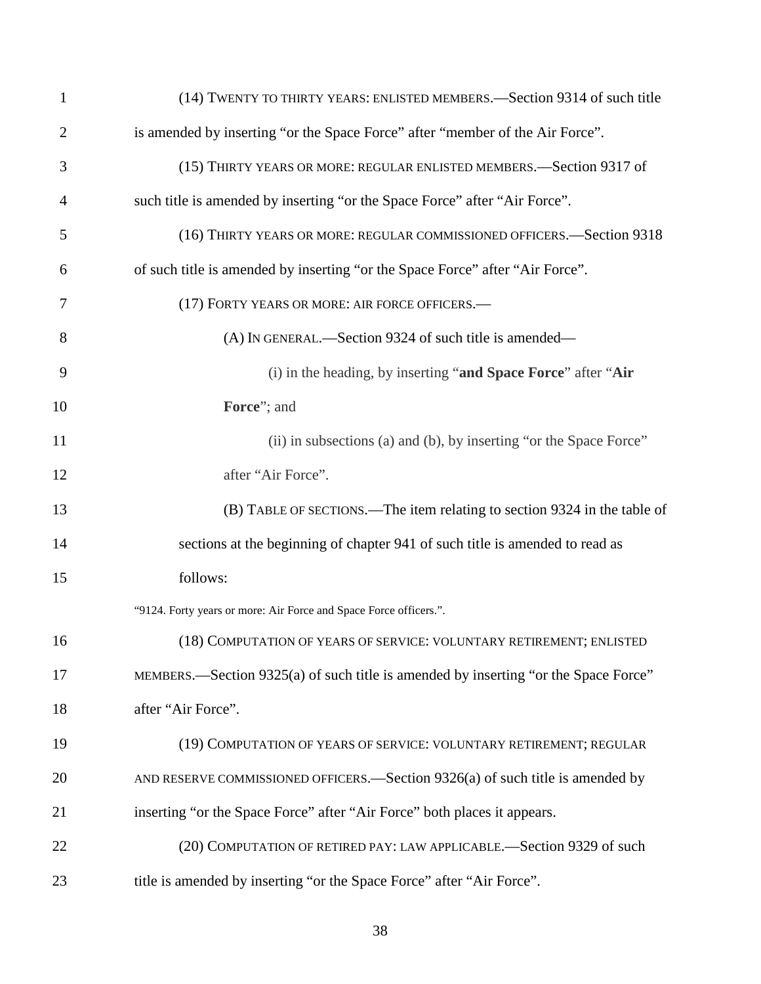| 1              | (14) TWENTY TO THIRTY YEARS: ENLISTED MEMBERS.—Section 9314 of such title           |
|----------------|-------------------------------------------------------------------------------------|
| $\overline{2}$ | is amended by inserting "or the Space Force" after "member of the Air Force".       |
| 3              | (15) THIRTY YEARS OR MORE: REGULAR ENLISTED MEMBERS. - Section 9317 of              |
| 4              | such title is amended by inserting "or the Space Force" after "Air Force".          |
| 5              | (16) THIRTY YEARS OR MORE: REGULAR COMMISSIONED OFFICERS.-Section 9318              |
| 6              | of such title is amended by inserting "or the Space Force" after "Air Force".       |
| 7              | (17) FORTY YEARS OR MORE: AIR FORCE OFFICERS.-                                      |
| 8              | (A) IN GENERAL.—Section 9324 of such title is amended—                              |
| 9              | (i) in the heading, by inserting "and Space Force" after "Air                       |
| 10             | Force"; and                                                                         |
| 11             | (ii) in subsections (a) and (b), by inserting "or the Space Force"                  |
| 12             | after "Air Force".                                                                  |
| 13             | (B) TABLE OF SECTIONS.—The item relating to section 9324 in the table of            |
| 14             | sections at the beginning of chapter 941 of such title is amended to read as        |
| 15             | follows:                                                                            |
|                | "9124. Forty years or more: Air Force and Space Force officers.".                   |
| 16             | (18) COMPUTATION OF YEARS OF SERVICE: VOLUNTARY RETIREMENT; ENLISTED                |
| 17             | MEMBERS.—Section 9325(a) of such title is amended by inserting "or the Space Force" |
| 18             | after "Air Force".                                                                  |
| 19             | (19) COMPUTATION OF YEARS OF SERVICE: VOLUNTARY RETIREMENT; REGULAR                 |
| 20             | AND RESERVE COMMISSIONED OFFICERS.—Section $9326(a)$ of such title is amended by    |
| 21             | inserting "or the Space Force" after "Air Force" both places it appears.            |
| 22             | (20) COMPUTATION OF RETIRED PAY: LAW APPLICABLE.-Section 9329 of such               |
| 23             | title is amended by inserting "or the Space Force" after "Air Force".               |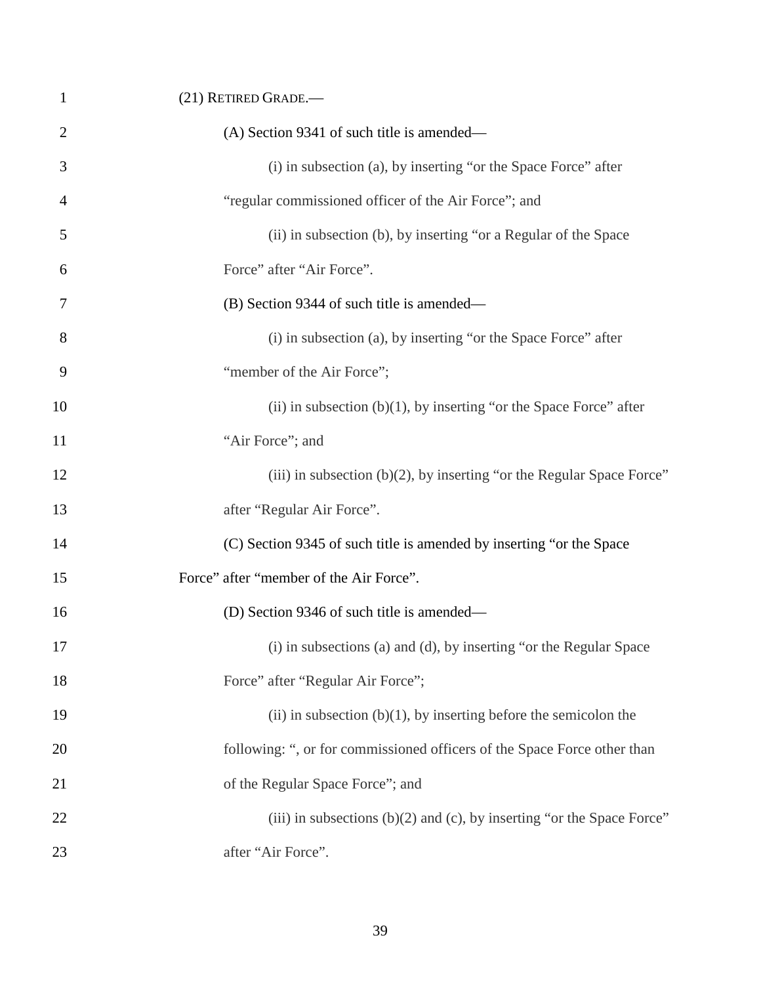| 1              | (21) RETIRED GRADE.-                                                        |
|----------------|-----------------------------------------------------------------------------|
| $\overline{2}$ | (A) Section 9341 of such title is amended—                                  |
| 3              | (i) in subsection (a), by inserting "or the Space Force" after              |
| $\overline{4}$ | "regular commissioned officer of the Air Force"; and                        |
| 5              | (ii) in subsection (b), by inserting "or a Regular of the Space             |
| 6              | Force" after "Air Force".                                                   |
| 7              | (B) Section 9344 of such title is amended—                                  |
| 8              | (i) in subsection (a), by inserting "or the Space Force" after              |
| 9              | "member of the Air Force";                                                  |
| 10             | (ii) in subsection $(b)(1)$ , by inserting "or the Space Force" after       |
| 11             | "Air Force"; and                                                            |
| 12             | (iii) in subsection $(b)(2)$ , by inserting "or the Regular Space Force"    |
| 13             | after "Regular Air Force".                                                  |
| 14             | (C) Section 9345 of such title is amended by inserting "or the Space        |
| 15             | Force" after "member of the Air Force".                                     |
| 16             | (D) Section 9346 of such title is amended—                                  |
| 17             | (i) in subsections (a) and (d), by inserting "or the Regular Space          |
| 18             | Force" after "Regular Air Force";                                           |
| 19             | (ii) in subsection $(b)(1)$ , by inserting before the semicolon the         |
| 20             | following: ", or for commissioned officers of the Space Force other than    |
| 21             | of the Regular Space Force"; and                                            |
| 22             | (iii) in subsections $(b)(2)$ and $(c)$ , by inserting "or the Space Force" |
| 23             | after "Air Force".                                                          |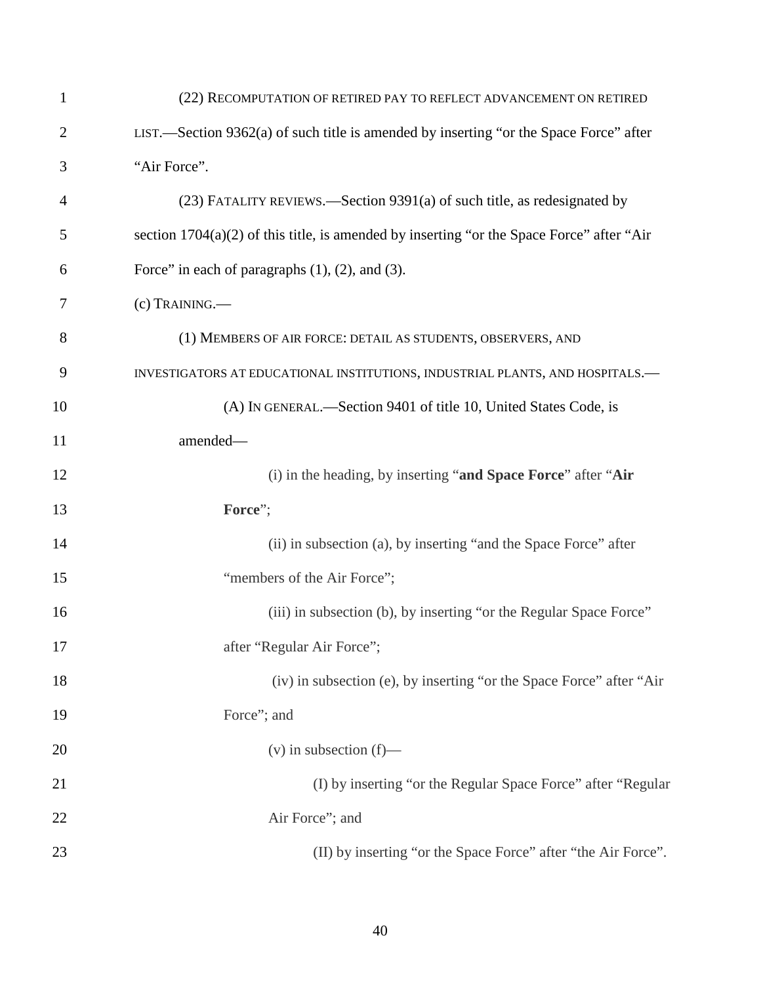| $\mathbf{1}$   | (22) RECOMPUTATION OF RETIRED PAY TO REFLECT ADVANCEMENT ON RETIRED                         |
|----------------|---------------------------------------------------------------------------------------------|
| $\overline{2}$ | LIST.—Section $9362(a)$ of such title is amended by inserting "or the Space Force" after    |
| 3              | "Air Force".                                                                                |
| 4              | (23) FATALITY REVIEWS.—Section 9391(a) of such title, as redesignated by                    |
| 5              | section $1704(a)(2)$ of this title, is amended by inserting "or the Space Force" after "Air |
| 6              | Force" in each of paragraphs $(1)$ , $(2)$ , and $(3)$ .                                    |
| 7              | (c) TRAINING.                                                                               |
| 8              | (1) MEMBERS OF AIR FORCE: DETAIL AS STUDENTS, OBSERVERS, AND                                |
| 9              | INVESTIGATORS AT EDUCATIONAL INSTITUTIONS, INDUSTRIAL PLANTS, AND HOSPITALS.-               |
| 10             | (A) IN GENERAL.—Section 9401 of title 10, United States Code, is                            |
| 11             | amended-                                                                                    |
| 12             | (i) in the heading, by inserting "and Space Force" after "Air                               |
| 13             | Force";                                                                                     |
| 14             | (ii) in subsection (a), by inserting "and the Space Force" after                            |
| 15             | "members of the Air Force";                                                                 |
| 16             | (iii) in subsection (b), by inserting "or the Regular Space Force"                          |
| 17             | after "Regular Air Force";                                                                  |
| 18             | (iv) in subsection (e), by inserting "or the Space Force" after "Air                        |
| 19             | Force"; and                                                                                 |
| 20             | $(v)$ in subsection $(f)$ —                                                                 |
| 21             | (I) by inserting "or the Regular Space Force" after "Regular                                |
| 22             | Air Force"; and                                                                             |
| 23             | (II) by inserting "or the Space Force" after "the Air Force".                               |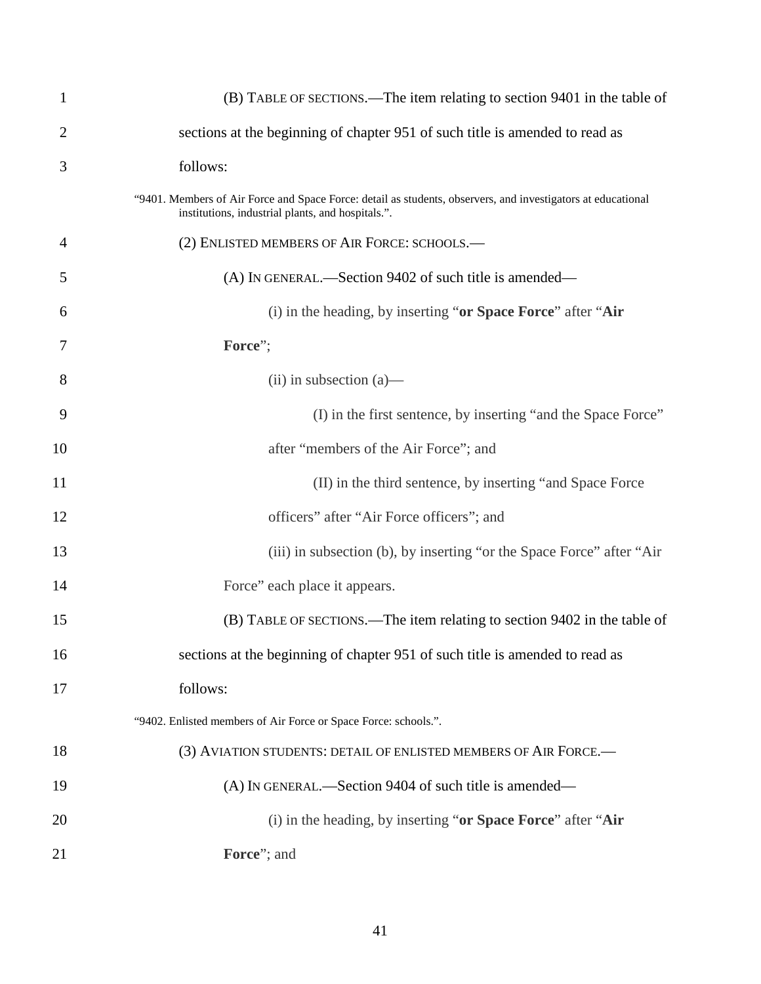| $\mathbf{1}$   | (B) TABLE OF SECTIONS.—The item relating to section 9401 in the table of                                                                                          |
|----------------|-------------------------------------------------------------------------------------------------------------------------------------------------------------------|
| 2              | sections at the beginning of chapter 951 of such title is amended to read as                                                                                      |
| 3              | follows:                                                                                                                                                          |
|                | "9401. Members of Air Force and Space Force: detail as students, observers, and investigators at educational<br>institutions, industrial plants, and hospitals.". |
| $\overline{4}$ | (2) ENLISTED MEMBERS OF AIR FORCE: SCHOOLS.-                                                                                                                      |
| 5              | (A) IN GENERAL.—Section 9402 of such title is amended—                                                                                                            |
| 6              | (i) in the heading, by inserting "or Space Force" after "Air                                                                                                      |
| 7              | Force";                                                                                                                                                           |
| 8              | $(ii)$ in subsection $(a)$ —                                                                                                                                      |
| 9              | (I) in the first sentence, by inserting "and the Space Force"                                                                                                     |
| 10             | after "members of the Air Force"; and                                                                                                                             |
| 11             | (II) in the third sentence, by inserting "and Space Force                                                                                                         |
| 12             | officers" after "Air Force officers"; and                                                                                                                         |
| 13             | (iii) in subsection (b), by inserting "or the Space Force" after "Air                                                                                             |
| 14             | Force" each place it appears.                                                                                                                                     |
| 15             | (B) TABLE OF SECTIONS.—The item relating to section 9402 in the table of                                                                                          |
| 16             | sections at the beginning of chapter 951 of such title is amended to read as                                                                                      |
| 17             | follows:                                                                                                                                                          |
|                | "9402. Enlisted members of Air Force or Space Force: schools.".                                                                                                   |
| 18             | (3) AVIATION STUDENTS: DETAIL OF ENLISTED MEMBERS OF AIR FORCE.-                                                                                                  |
| 19             | (A) IN GENERAL.—Section 9404 of such title is amended—                                                                                                            |
| 20             | (i) in the heading, by inserting "or Space Force" after "Air                                                                                                      |
| 21             | Force"; and                                                                                                                                                       |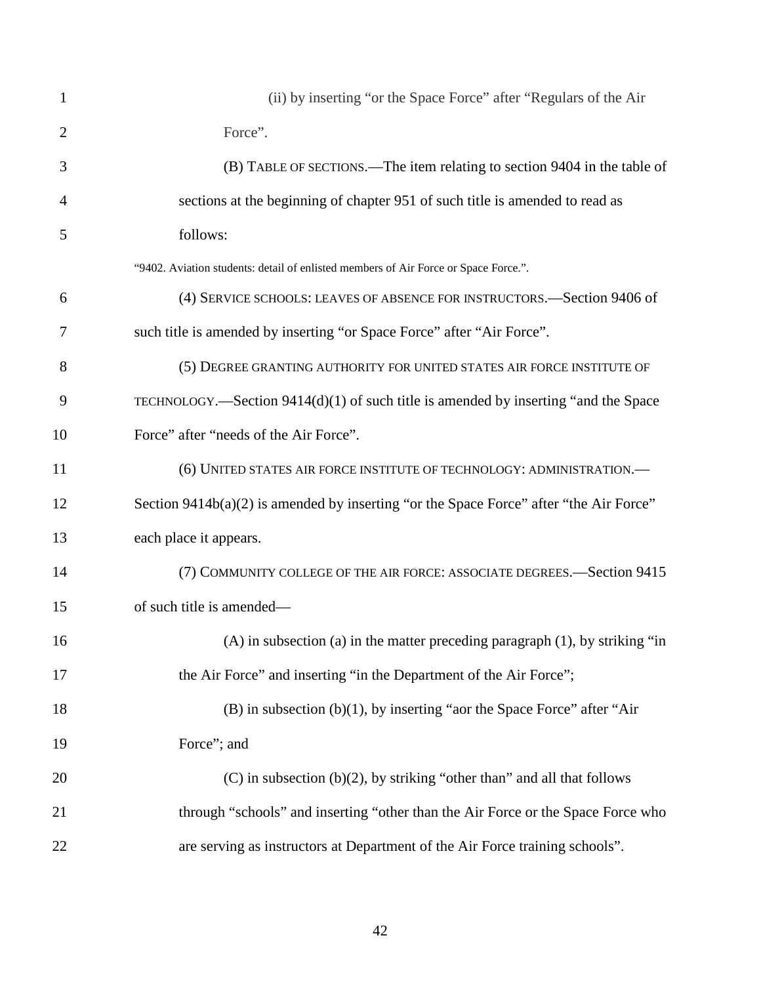| 1              | (ii) by inserting "or the Space Force" after "Regulars of the Air                      |
|----------------|----------------------------------------------------------------------------------------|
| $\overline{2}$ | Force".                                                                                |
| 3              | (B) TABLE OF SECTIONS.—The item relating to section 9404 in the table of               |
| $\overline{4}$ | sections at the beginning of chapter 951 of such title is amended to read as           |
| 5              | follows:                                                                               |
|                | "9402. Aviation students: detail of enlisted members of Air Force or Space Force.".    |
| 6              | (4) SERVICE SCHOOLS: LEAVES OF ABSENCE FOR INSTRUCTORS.—Section 9406 of                |
| 7              | such title is amended by inserting "or Space Force" after "Air Force".                 |
| 8              | (5) DEGREE GRANTING AUTHORITY FOR UNITED STATES AIR FORCE INSTITUTE OF                 |
| 9              | TECHNOLOGY.—Section 9414(d)(1) of such title is amended by inserting "and the Space    |
| 10             | Force" after "needs of the Air Force".                                                 |
| 11             | (6) UNITED STATES AIR FORCE INSTITUTE OF TECHNOLOGY: ADMINISTRATION.-                  |
| 12             | Section 9414b(a)(2) is amended by inserting "or the Space Force" after "the Air Force" |
| 13             | each place it appears.                                                                 |
| 14             | (7) COMMUNITY COLLEGE OF THE AIR FORCE: ASSOCIATE DEGREES.—Section 9415                |
| 15             | of such title is amended—                                                              |
| 16             | (A) in subsection (a) in the matter preceding paragraph $(1)$ , by striking "in        |
| 17             | the Air Force" and inserting "in the Department of the Air Force";                     |
| 18             | $(B)$ in subsection $(b)(1)$ , by inserting "aor the Space Force" after "Air           |
| 19             | Force"; and                                                                            |
| 20             | $(C)$ in subsection $(b)(2)$ , by striking "other than" and all that follows           |
| 21             | through "schools" and inserting "other than the Air Force or the Space Force who       |
| 22             | are serving as instructors at Department of the Air Force training schools".           |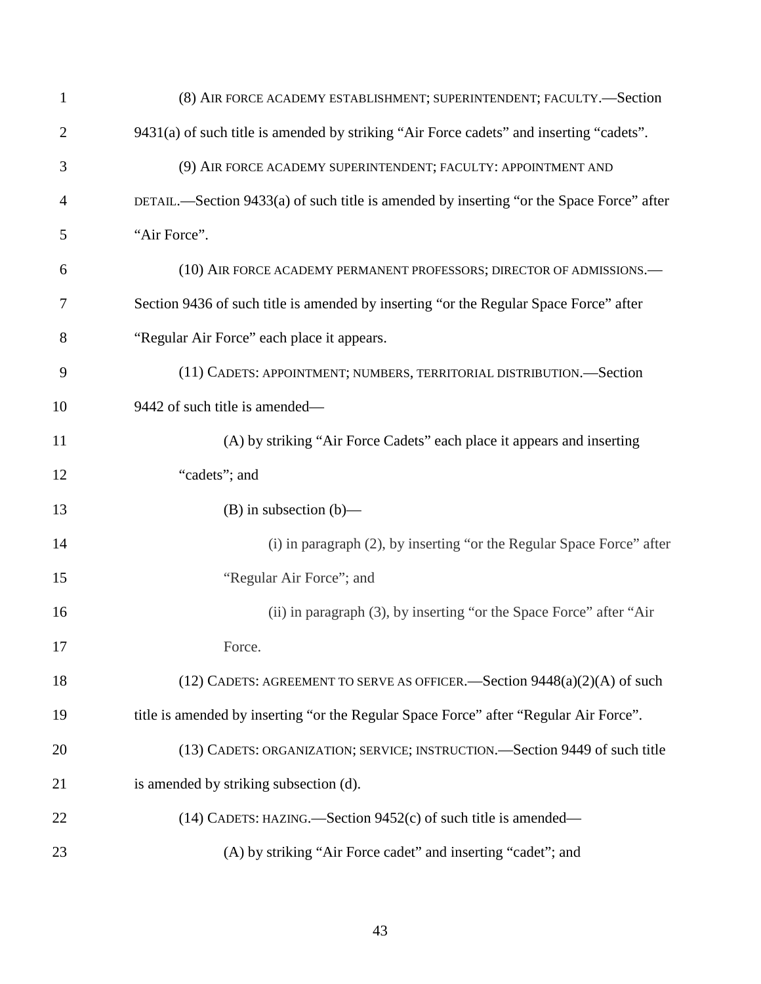| $\mathbf{1}$   | (8) AIR FORCE ACADEMY ESTABLISHMENT; SUPERINTENDENT; FACULTY.—Section                    |
|----------------|------------------------------------------------------------------------------------------|
| $\overline{2}$ | 9431(a) of such title is amended by striking "Air Force cadets" and inserting "cadets".  |
| 3              | (9) AIR FORCE ACADEMY SUPERINTENDENT; FACULTY: APPOINTMENT AND                           |
| 4              | DETAIL.—Section 9433(a) of such title is amended by inserting "or the Space Force" after |
| 5              | "Air Force".                                                                             |
| 6              | (10) AIR FORCE ACADEMY PERMANENT PROFESSORS; DIRECTOR OF ADMISSIONS.-                    |
| 7              | Section 9436 of such title is amended by inserting "or the Regular Space Force" after    |
| 8              | "Regular Air Force" each place it appears.                                               |
| 9              | (11) CADETS: APPOINTMENT; NUMBERS, TERRITORIAL DISTRIBUTION.—Section                     |
| 10             | 9442 of such title is amended—                                                           |
| 11             | (A) by striking "Air Force Cadets" each place it appears and inserting                   |
| 12             | "cadets"; and                                                                            |
| 13             | $(B)$ in subsection $(b)$ —                                                              |
| 14             | (i) in paragraph (2), by inserting "or the Regular Space Force" after                    |
| 15             | "Regular Air Force"; and                                                                 |
| 16             | (ii) in paragraph (3), by inserting "or the Space Force" after "Air                      |
| 17             | Force.                                                                                   |
| 18             | (12) CADETS: AGREEMENT TO SERVE AS OFFICER. Section $9448(a)(2)(A)$ of such              |
| 19             | title is amended by inserting "or the Regular Space Force" after "Regular Air Force".    |
| 20             | (13) CADETS: ORGANIZATION; SERVICE; INSTRUCTION.—Section 9449 of such title              |
| 21             | is amended by striking subsection (d).                                                   |
| 22             | $(14)$ CADETS: HAZING.—Section 9452 $(c)$ of such title is amended—                      |
| 23             | (A) by striking "Air Force cadet" and inserting "cadet"; and                             |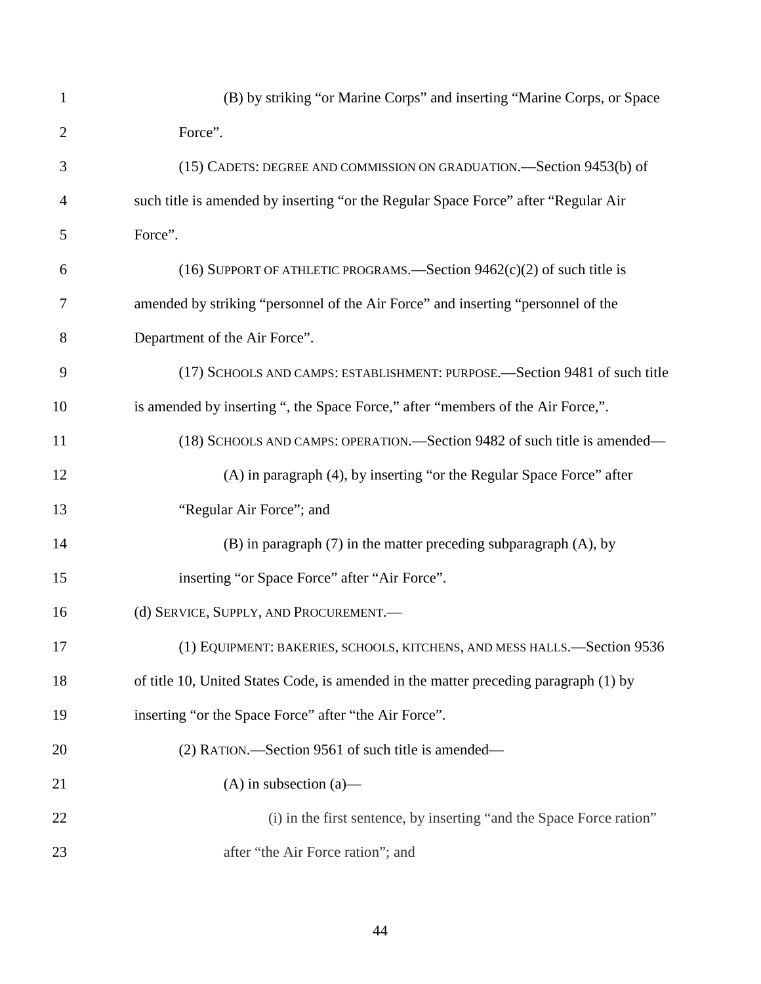| 1              | (B) by striking "or Marine Corps" and inserting "Marine Corps, or Space              |
|----------------|--------------------------------------------------------------------------------------|
| $\overline{2}$ | Force".                                                                              |
| 3              | (15) CADETS: DEGREE AND COMMISSION ON GRADUATION. Section 9453(b) of                 |
| $\overline{4}$ | such title is amended by inserting "or the Regular Space Force" after "Regular Air   |
| 5              | Force".                                                                              |
| 6              | (16) SUPPORT OF ATHLETIC PROGRAMS.—Section $9462(c)(2)$ of such title is             |
| $\overline{7}$ | amended by striking "personnel of the Air Force" and inserting "personnel of the     |
| 8              | Department of the Air Force".                                                        |
| 9              | (17) SCHOOLS AND CAMPS: ESTABLISHMENT: PURPOSE.—Section 9481 of such title           |
| 10             | is amended by inserting ", the Space Force," after "members of the Air Force,".      |
| 11             | (18) SCHOOLS AND CAMPS: OPERATION. Section 9482 of such title is amended—            |
| 12             | (A) in paragraph (4), by inserting "or the Regular Space Force" after                |
| 13             | "Regular Air Force"; and                                                             |
| 14             | $(B)$ in paragraph $(7)$ in the matter preceding subparagraph $(A)$ , by             |
| 15             | inserting "or Space Force" after "Air Force".                                        |
| 16             | (d) SERVICE, SUPPLY, AND PROCUREMENT.                                                |
| 17             | (1) EQUIPMENT: BAKERIES, SCHOOLS, KITCHENS, AND MESS HALLS.-Section 9536             |
| 18             | of title 10, United States Code, is amended in the matter preceding paragraph (1) by |
| 19             | inserting "or the Space Force" after "the Air Force".                                |
| 20             | (2) RATION.—Section 9561 of such title is amended—                                   |
| 21             | $(A)$ in subsection $(a)$ —                                                          |
| 22             | (i) in the first sentence, by inserting "and the Space Force ration"                 |
| 23             | after "the Air Force ration"; and                                                    |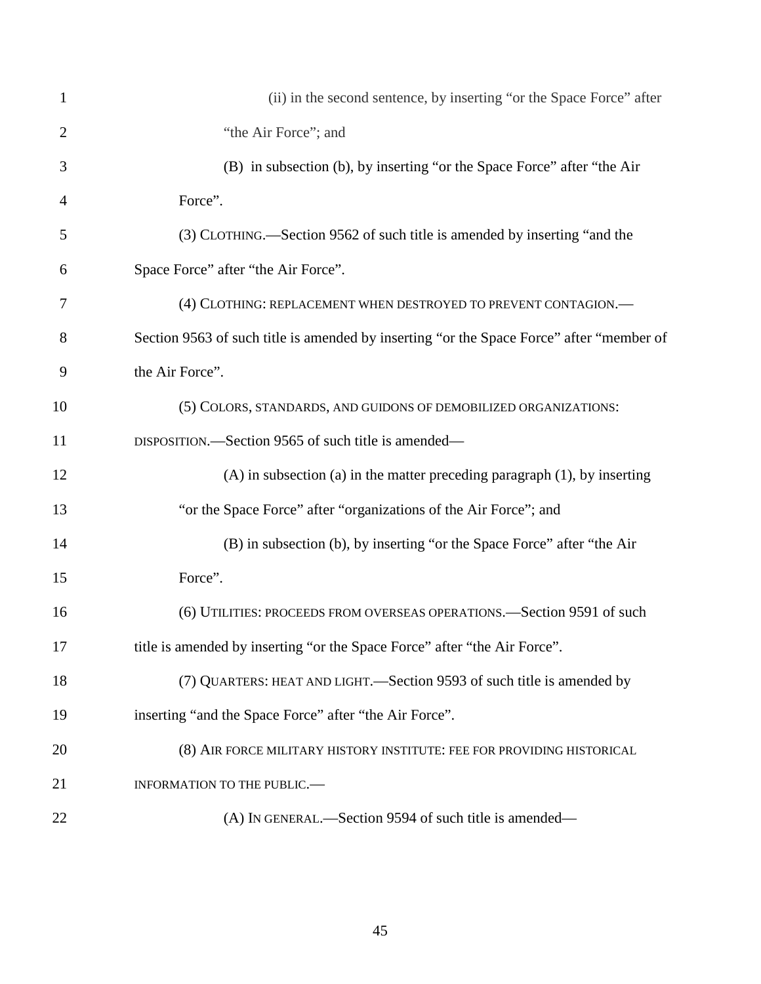| $\mathbf{1}$   | (ii) in the second sentence, by inserting "or the Space Force" after                     |
|----------------|------------------------------------------------------------------------------------------|
| $\overline{2}$ | "the Air Force"; and                                                                     |
| 3              | (B) in subsection (b), by inserting "or the Space Force" after "the Air                  |
| $\overline{4}$ | Force".                                                                                  |
| 5              | (3) CLOTHING.—Section 9562 of such title is amended by inserting "and the                |
| 6              | Space Force" after "the Air Force".                                                      |
| 7              | (4) CLOTHING: REPLACEMENT WHEN DESTROYED TO PREVENT CONTAGION.-                          |
| 8              | Section 9563 of such title is amended by inserting "or the Space Force" after "member of |
| 9              | the Air Force".                                                                          |
| 10             | (5) COLORS, STANDARDS, AND GUIDONS OF DEMOBILIZED ORGANIZATIONS:                         |
| 11             | DISPOSITION.—Section 9565 of such title is amended—                                      |
| 12             | $(A)$ in subsection $(a)$ in the matter preceding paragraph $(1)$ , by inserting         |
| 13             | "or the Space Force" after "organizations of the Air Force"; and                         |
| 14             | (B) in subsection (b), by inserting "or the Space Force" after "the Air                  |
| 15             | Force".                                                                                  |
| 16             | (6) UTILITIES: PROCEEDS FROM OVERSEAS OPERATIONS.—Section 9591 of such                   |
| 17             | title is amended by inserting "or the Space Force" after "the Air Force".                |
| 18             | (7) QUARTERS: HEAT AND LIGHT.—Section 9593 of such title is amended by                   |
| 19             | inserting "and the Space Force" after "the Air Force".                                   |
| 20             | (8) AIR FORCE MILITARY HISTORY INSTITUTE: FEE FOR PROVIDING HISTORICAL                   |
| 21             | INFORMATION TO THE PUBLIC.-                                                              |
| 22             | (A) IN GENERAL.—Section 9594 of such title is amended—                                   |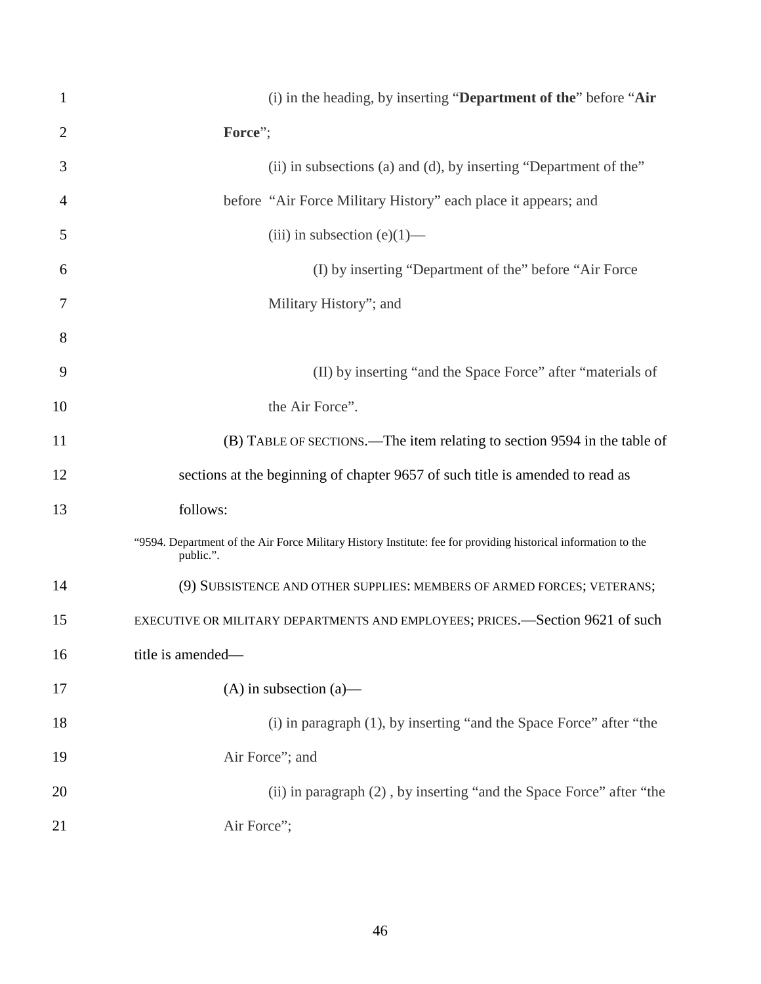| $\mathbf{1}$   | (i) in the heading, by inserting "Department of the" before "Air                                                            |
|----------------|-----------------------------------------------------------------------------------------------------------------------------|
| $\overline{2}$ | Force";                                                                                                                     |
| 3              | (ii) in subsections (a) and (d), by inserting "Department of the"                                                           |
| $\overline{4}$ | before "Air Force Military History" each place it appears; and                                                              |
| 5              | (iii) in subsection (e) $(1)$ —                                                                                             |
| 6              | (I) by inserting "Department of the" before "Air Force"                                                                     |
| 7              | Military History"; and                                                                                                      |
| 8              |                                                                                                                             |
| 9              | (II) by inserting "and the Space Force" after "materials of                                                                 |
| 10             | the Air Force".                                                                                                             |
| 11             | (B) TABLE OF SECTIONS.—The item relating to section 9594 in the table of                                                    |
| 12             | sections at the beginning of chapter 9657 of such title is amended to read as                                               |
| 13             | follows:                                                                                                                    |
|                | "9594. Department of the Air Force Military History Institute: fee for providing historical information to the<br>public.". |
| 14             | (9) SUBSISTENCE AND OTHER SUPPLIES: MEMBERS OF ARMED FORCES; VETERANS;                                                      |
| 15             | EXECUTIVE OR MILITARY DEPARTMENTS AND EMPLOYEES; PRICES.-Section 9621 of such                                               |
| 16             | title is amended-                                                                                                           |
| 17             | $(A)$ in subsection $(a)$ —                                                                                                 |
| 18             | (i) in paragraph (1), by inserting "and the Space Force" after "the                                                         |
| 19             | Air Force"; and                                                                                                             |
| 20             | (ii) in paragraph (2), by inserting "and the Space Force" after "the                                                        |
| 21             | Air Force";                                                                                                                 |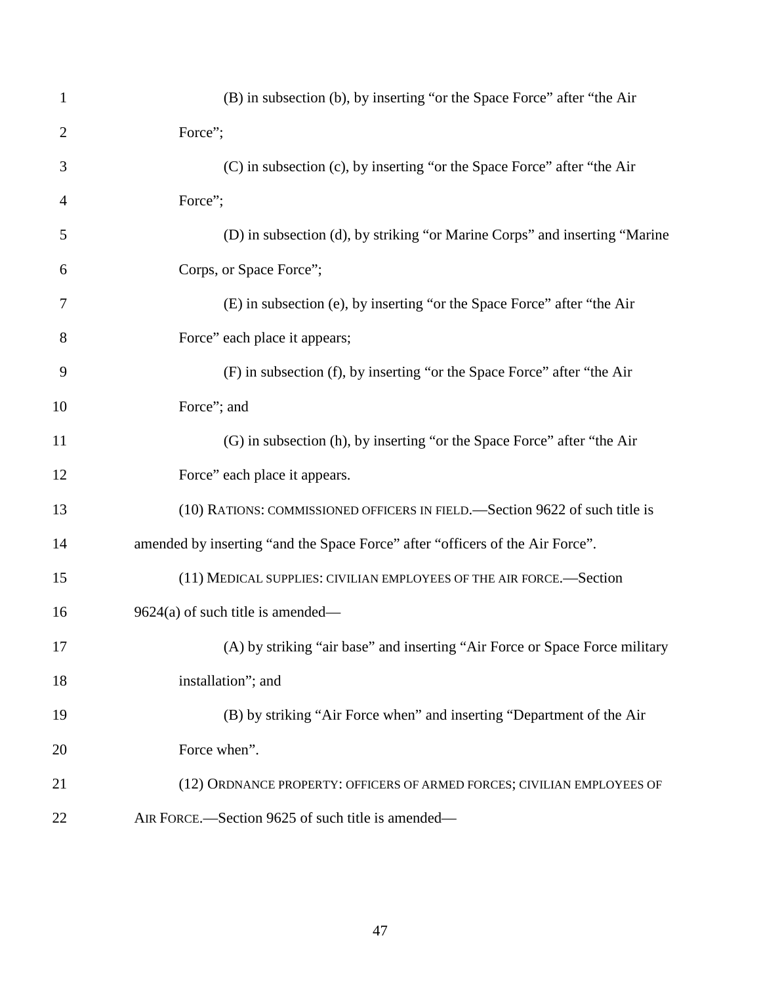| $\mathbf{1}$   | (B) in subsection (b), by inserting "or the Space Force" after "the Air       |
|----------------|-------------------------------------------------------------------------------|
| $\overline{2}$ | Force";                                                                       |
| 3              | (C) in subsection (c), by inserting "or the Space Force" after "the Air       |
| 4              | Force";                                                                       |
| 5              | (D) in subsection (d), by striking "or Marine Corps" and inserting "Marine    |
| 6              | Corps, or Space Force";                                                       |
| 7              | (E) in subsection (e), by inserting "or the Space Force" after "the Air       |
| 8              | Force" each place it appears;                                                 |
| 9              | (F) in subsection (f), by inserting "or the Space Force" after "the Air       |
| 10             | Force"; and                                                                   |
| 11             | (G) in subsection (h), by inserting "or the Space Force" after "the Air       |
| 12             | Force" each place it appears.                                                 |
| 13             | (10) RATIONS: COMMISSIONED OFFICERS IN FIELD. Section 9622 of such title is   |
| 14             | amended by inserting "and the Space Force" after "officers of the Air Force". |
| 15             | (11) MEDICAL SUPPLIES: CIVILIAN EMPLOYEES OF THE AIR FORCE.-Section           |
| 16             | $9624(a)$ of such title is amended—                                           |
| 17             | (A) by striking "air base" and inserting "Air Force or Space Force military   |
| 18             | installation"; and                                                            |
| 19             | (B) by striking "Air Force when" and inserting "Department of the Air         |
| 20             | Force when".                                                                  |
| 21             | (12) ORDNANCE PROPERTY: OFFICERS OF ARMED FORCES; CIVILIAN EMPLOYEES OF       |
| 22             | AIR FORCE.—Section 9625 of such title is amended—                             |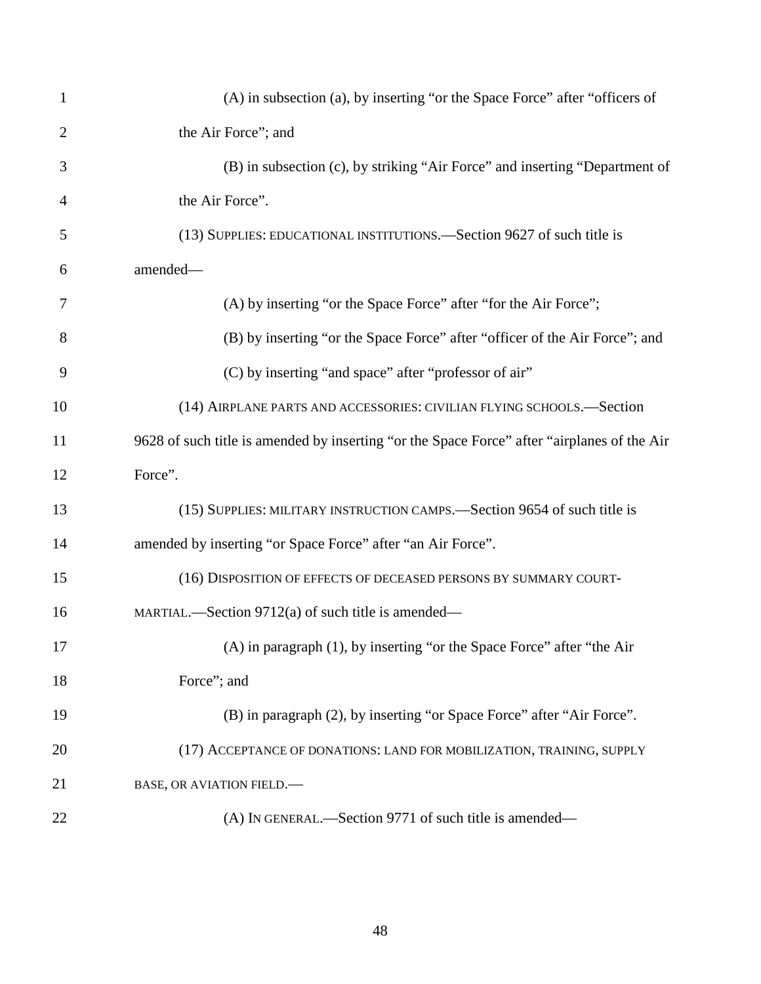| $\mathbf{1}$   | (A) in subsection (a), by inserting "or the Space Force" after "officers of                 |
|----------------|---------------------------------------------------------------------------------------------|
| $\overline{2}$ | the Air Force"; and                                                                         |
| 3              | (B) in subsection (c), by striking "Air Force" and inserting "Department of                 |
| $\overline{4}$ | the Air Force".                                                                             |
| 5              | (13) SUPPLIES: EDUCATIONAL INSTITUTIONS.—Section 9627 of such title is                      |
| 6              | amended-                                                                                    |
| 7              | (A) by inserting "or the Space Force" after "for the Air Force";                            |
| 8              | (B) by inserting "or the Space Force" after "officer of the Air Force"; and                 |
| 9              | (C) by inserting "and space" after "professor of air"                                       |
| 10             | (14) AIRPLANE PARTS AND ACCESSORIES: CIVILIAN FLYING SCHOOLS.-Section                       |
| 11             | 9628 of such title is amended by inserting "or the Space Force" after "airplanes of the Air |
| 12             | Force".                                                                                     |
| 13             | (15) SUPPLIES: MILITARY INSTRUCTION CAMPS.—Section 9654 of such title is                    |
| 14             | amended by inserting "or Space Force" after "an Air Force".                                 |
| 15             | (16) DISPOSITION OF EFFECTS OF DECEASED PERSONS BY SUMMARY COURT-                           |
| 16             | MARTIAL.—Section 9712(a) of such title is amended—                                          |
| 17             | (A) in paragraph (1), by inserting "or the Space Force" after "the Air                      |
| 18             | Force"; and                                                                                 |
| 19             | (B) in paragraph (2), by inserting "or Space Force" after "Air Force".                      |
| 20             | (17) ACCEPTANCE OF DONATIONS: LAND FOR MOBILIZATION, TRAINING, SUPPLY                       |
| 21             | <b>BASE, OR AVIATION FIELD.</b>                                                             |
| 22             | (A) IN GENERAL.—Section 9771 of such title is amended—                                      |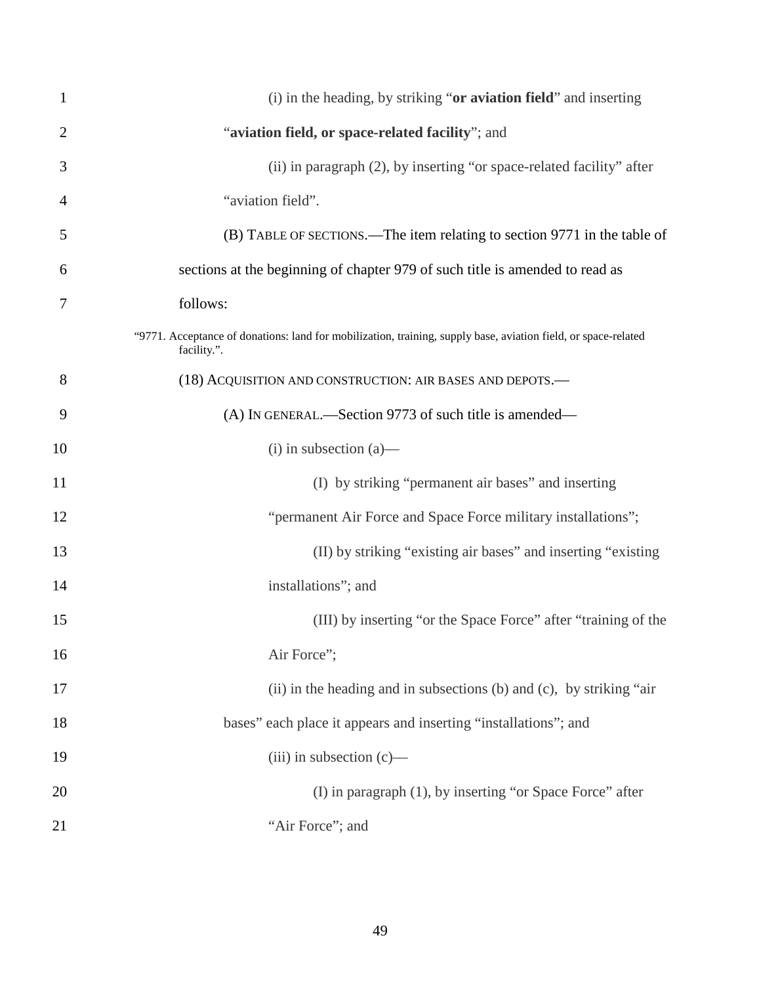| $\mathbf{1}$   | (i) in the heading, by striking "or aviation field" and inserting                                                             |
|----------------|-------------------------------------------------------------------------------------------------------------------------------|
| $\overline{2}$ | "aviation field, or space-related facility"; and                                                                              |
| 3              | (ii) in paragraph (2), by inserting "or space-related facility" after                                                         |
| $\overline{4}$ | "aviation field".                                                                                                             |
| 5              | (B) TABLE OF SECTIONS.—The item relating to section 9771 in the table of                                                      |
| 6              | sections at the beginning of chapter 979 of such title is amended to read as                                                  |
| 7              | follows:                                                                                                                      |
|                | "9771. Acceptance of donations: land for mobilization, training, supply base, aviation field, or space-related<br>facility.". |
| 8              | (18) ACQUISITION AND CONSTRUCTION: AIR BASES AND DEPOTS.-                                                                     |
| 9              | (A) IN GENERAL.—Section 9773 of such title is amended—                                                                        |
| 10             | $(i)$ in subsection $(a)$ —                                                                                                   |
| 11             | (I) by striking "permanent air bases" and inserting                                                                           |
| 12             | "permanent Air Force and Space Force military installations";                                                                 |
| 13             | (II) by striking "existing air bases" and inserting "existing                                                                 |
| 14             | installations"; and                                                                                                           |
| 15             | (III) by inserting "or the Space Force" after "training of the                                                                |
| 16             | Air Force";                                                                                                                   |
| 17             | (ii) in the heading and in subsections (b) and (c), by striking "air                                                          |
| 18             | bases" each place it appears and inserting "installations"; and                                                               |
| 19             | $(iii)$ in subsection $(c)$ —                                                                                                 |
| 20             | (I) in paragraph (1), by inserting "or Space Force" after                                                                     |
| 21             | "Air Force"; and                                                                                                              |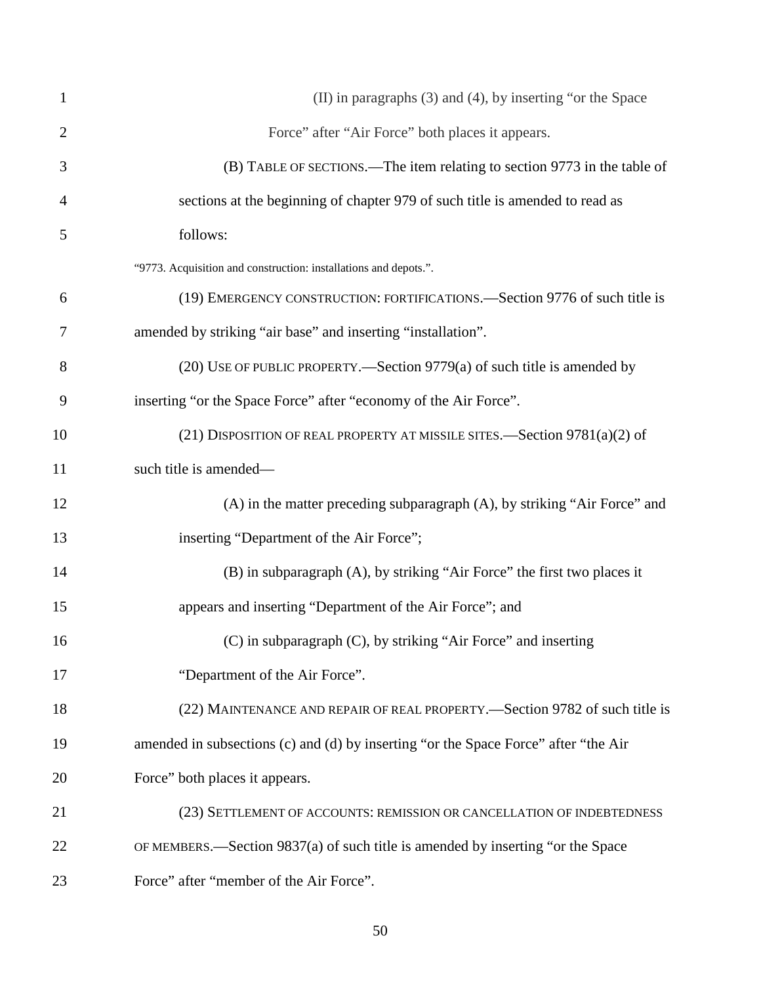| $\mathbf{1}$   | (II) in paragraphs (3) and (4), by inserting "or the Space                          |
|----------------|-------------------------------------------------------------------------------------|
| $\overline{2}$ | Force" after "Air Force" both places it appears.                                    |
| 3              | (B) TABLE OF SECTIONS.—The item relating to section 9773 in the table of            |
| 4              | sections at the beginning of chapter 979 of such title is amended to read as        |
| 5              | follows:                                                                            |
|                | "9773. Acquisition and construction: installations and depots.".                    |
| 6              | (19) EMERGENCY CONSTRUCTION: FORTIFICATIONS.—Section 9776 of such title is          |
| 7              | amended by striking "air base" and inserting "installation".                        |
| 8              | (20) USE OF PUBLIC PROPERTY.—Section 9779(a) of such title is amended by            |
| 9              | inserting "or the Space Force" after "economy of the Air Force".                    |
| 10             | (21) DISPOSITION OF REAL PROPERTY AT MISSILE SITES.—Section $9781(a)(2)$ of         |
| 11             | such title is amended-                                                              |
| 12             | (A) in the matter preceding subparagraph (A), by striking "Air Force" and           |
| 13             | inserting "Department of the Air Force";                                            |
| 14             | (B) in subparagraph (A), by striking "Air Force" the first two places it            |
| 15             | appears and inserting "Department of the Air Force"; and                            |
| 16             | (C) in subparagraph (C), by striking "Air Force" and inserting                      |
| 17             | "Department of the Air Force".                                                      |
| 18             | (22) MAINTENANCE AND REPAIR OF REAL PROPERTY.—Section 9782 of such title is         |
| 19             | amended in subsections (c) and (d) by inserting "or the Space Force" after "the Air |
| 20             | Force" both places it appears.                                                      |
| 21             | (23) SETTLEMENT OF ACCOUNTS: REMISSION OR CANCELLATION OF INDEBTEDNESS              |
| 22             | OF MEMBERS.—Section 9837(a) of such title is amended by inserting "or the Space     |
| 23             | Force" after "member of the Air Force".                                             |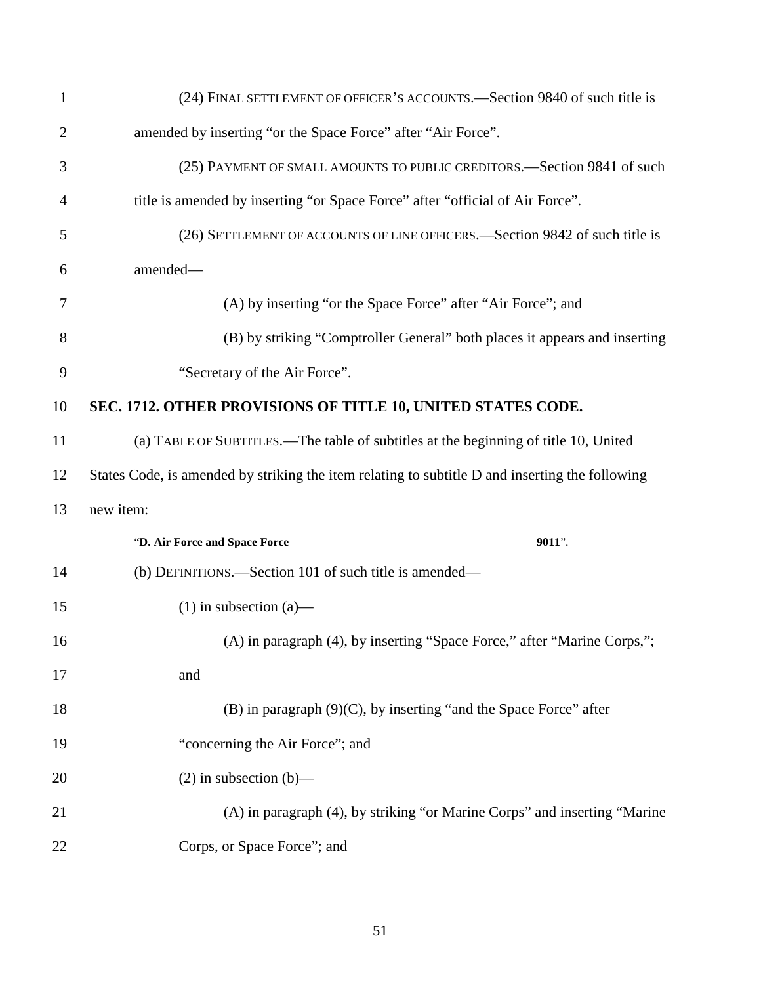| 1              | (24) FINAL SETTLEMENT OF OFFICER'S ACCOUNTS.—Section 9840 of such title is                      |
|----------------|-------------------------------------------------------------------------------------------------|
| $\overline{2}$ | amended by inserting "or the Space Force" after "Air Force".                                    |
| 3              | (25) PAYMENT OF SMALL AMOUNTS TO PUBLIC CREDITORS. Section 9841 of such                         |
| 4              | title is amended by inserting "or Space Force" after "official of Air Force".                   |
| 5              | (26) SETTLEMENT OF ACCOUNTS OF LINE OFFICERS. Section 9842 of such title is                     |
| 6              | amended-                                                                                        |
| 7              | (A) by inserting "or the Space Force" after "Air Force"; and                                    |
| 8              | (B) by striking "Comptroller General" both places it appears and inserting                      |
| 9              | "Secretary of the Air Force".                                                                   |
| 10             | SEC. 1712. OTHER PROVISIONS OF TITLE 10, UNITED STATES CODE.                                    |
| 11             | (a) TABLE OF SUBTITLES.—The table of subtitles at the beginning of title 10, United             |
| 12             | States Code, is amended by striking the item relating to subtitle D and inserting the following |
| 13             | new item:                                                                                       |
|                | "D. Air Force and Space Force<br>9011".                                                         |
| 14             | (b) DEFINITIONS.—Section 101 of such title is amended—                                          |
| 15             | $(1)$ in subsection $(a)$ —                                                                     |
| 16             | (A) in paragraph (4), by inserting "Space Force," after "Marine Corps,";                        |
| 17             | and                                                                                             |
| 18             | $(B)$ in paragraph $(9)(C)$ , by inserting "and the Space Force" after                          |
| 19             | "concerning the Air Force"; and                                                                 |
| 20             | $(2)$ in subsection $(b)$ —                                                                     |
| 21             | (A) in paragraph (4), by striking "or Marine Corps" and inserting "Marine                       |
| 22             | Corps, or Space Force"; and                                                                     |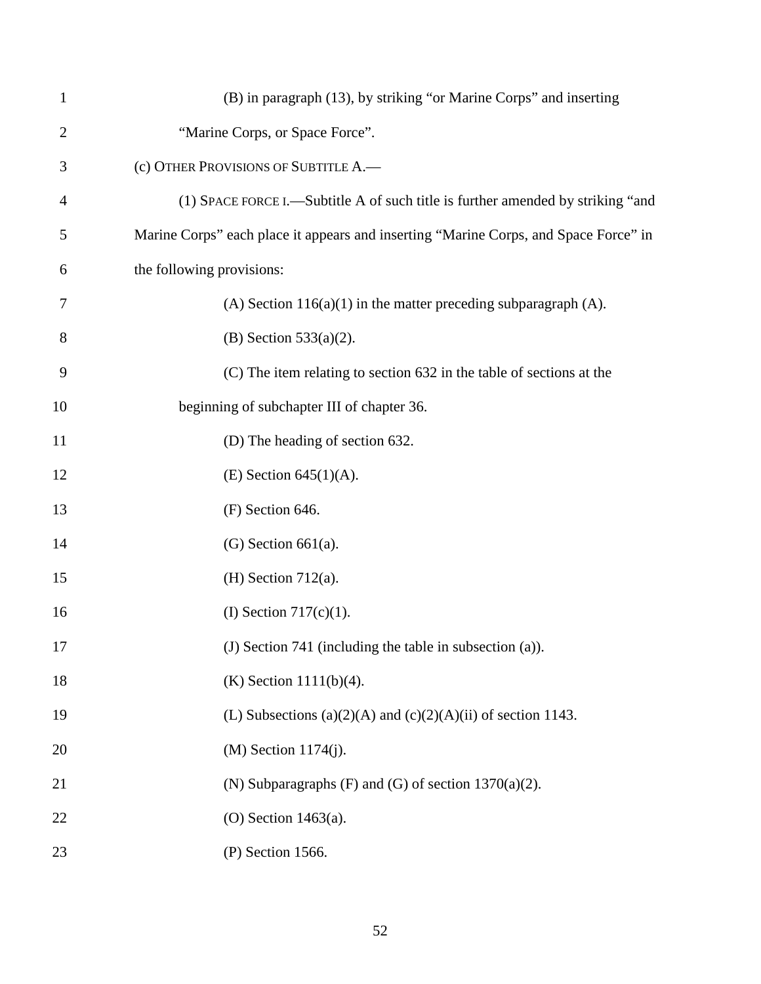| $\mathbf{1}$   | (B) in paragraph (13), by striking "or Marine Corps" and inserting                   |
|----------------|--------------------------------------------------------------------------------------|
| $\overline{2}$ | "Marine Corps, or Space Force".                                                      |
| 3              | (c) OTHER PROVISIONS OF SUBTITLE A.                                                  |
| $\overline{4}$ | (1) SPACE FORCE I.—Subtitle A of such title is further amended by striking "and      |
| 5              | Marine Corps" each place it appears and inserting "Marine Corps, and Space Force" in |
| 6              | the following provisions:                                                            |
| 7              | (A) Section $116(a)(1)$ in the matter preceding subparagraph (A).                    |
| 8              | $(B)$ Section 533(a)(2).                                                             |
| 9              | (C) The item relating to section 632 in the table of sections at the                 |
| 10             | beginning of subchapter III of chapter 36.                                           |
| 11             | (D) The heading of section 632.                                                      |
| 12             | $(E)$ Section 645(1)(A).                                                             |
| 13             | (F) Section 646.                                                                     |
| 14             | $(G)$ Section 661(a).                                                                |
| 15             | $(H)$ Section 712(a).                                                                |
| 16             | (I) Section $717(c)(1)$ .                                                            |
| 17             | (J) Section 741 (including the table in subsection (a)).                             |
| 18             | $(K)$ Section 1111(b)(4).                                                            |
| 19             | (L) Subsections (a)(2)(A) and (c)(2)(A)(ii) of section 1143.                         |
| 20             | (M) Section 1174(j).                                                                 |
| 21             | (N) Subparagraphs $(F)$ and $(G)$ of section 1370(a)(2).                             |
| 22             | $(O)$ Section 1463(a).                                                               |
| 23             | (P) Section 1566.                                                                    |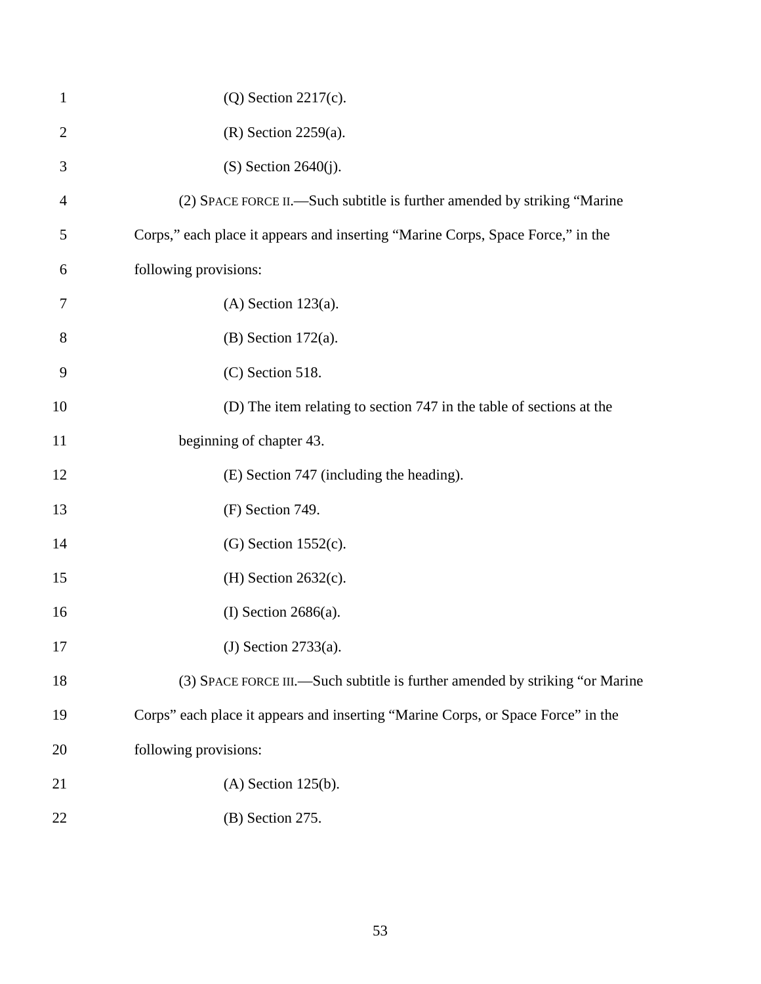| $\mathbf{1}$   | $(Q)$ Section 2217 $(c)$ .                                                       |
|----------------|----------------------------------------------------------------------------------|
| $\overline{2}$ | $(R)$ Section 2259 $(a)$ .                                                       |
| 3              | $(S)$ Section 2640 $(j)$ .                                                       |
| 4              | (2) SPACE FORCE II.—Such subtitle is further amended by striking "Marine"        |
| 5              | Corps," each place it appears and inserting "Marine Corps, Space Force," in the  |
| 6              | following provisions:                                                            |
| 7              | $(A)$ Section 123 $(a)$ .                                                        |
| 8              | $(B)$ Section 172 $(a)$ .                                                        |
| 9              | $(C)$ Section 518.                                                               |
| 10             | (D) The item relating to section 747 in the table of sections at the             |
| 11             | beginning of chapter 43.                                                         |
| 12             | (E) Section 747 (including the heading).                                         |
| 13             | (F) Section 749.                                                                 |
| 14             | $(G)$ Section 1552 $(c)$ .                                                       |
| 15             | (H) Section $2632(c)$ .                                                          |
| 16             | (I) Section $2686(a)$ .                                                          |
| 17             | (J) Section $2733(a)$ .                                                          |
| 18             | (3) SPACE FORCE III.—Such subtitle is further amended by striking "or Marine     |
| 19             | Corps" each place it appears and inserting "Marine Corps, or Space Force" in the |
| 20             | following provisions:                                                            |
| 21             | $(A)$ Section 125 $(b)$ .                                                        |
| 22             | (B) Section 275.                                                                 |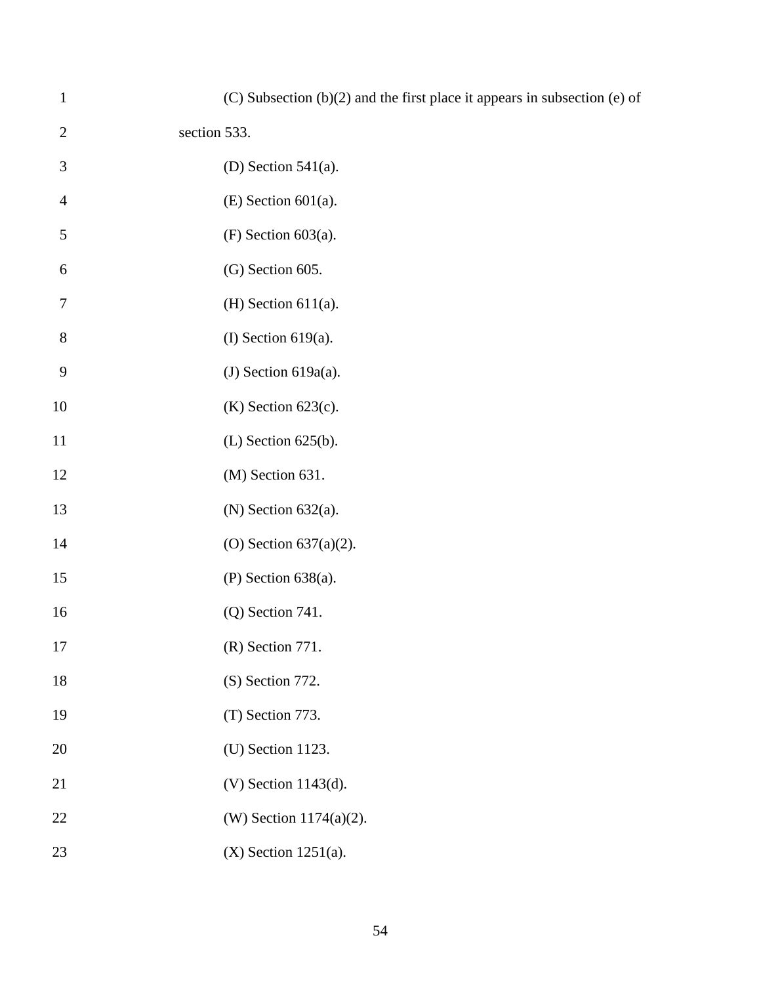| $\mathbf{1}$   | (C) Subsection (b)(2) and the first place it appears in subsection (e) of |
|----------------|---------------------------------------------------------------------------|
| $\overline{2}$ | section 533.                                                              |
| 3              | (D) Section $541(a)$ .                                                    |
| $\overline{4}$ | $(E)$ Section 601(a).                                                     |
| 5              | $(F)$ Section 603(a).                                                     |
| 6              | (G) Section 605.                                                          |
| 7              | $(H)$ Section 611(a).                                                     |
| $8\,$          | (I) Section $619(a)$ .                                                    |
| 9              | (J) Section $619a(a)$ .                                                   |
| 10             | $(K)$ Section 623 $(c)$ .                                                 |
| 11             | $(L)$ Section 625(b).                                                     |
| 12             | (M) Section 631.                                                          |
| 13             | $(N)$ Section 632(a).                                                     |
| 14             | (O) Section $637(a)(2)$ .                                                 |
| 15             | $(P)$ Section 638(a).                                                     |
| 16             | $(Q)$ Section 741.                                                        |
| 17             | (R) Section 771.                                                          |
| 18             | (S) Section 772.                                                          |
| 19             | (T) Section 773.                                                          |
| 20             | (U) Section 1123.                                                         |
| 21             | $(V)$ Section 1143 $(d)$ .                                                |
| 22             | (W) Section 1174(a)(2).                                                   |
| 23             | $(X)$ Section 1251(a).                                                    |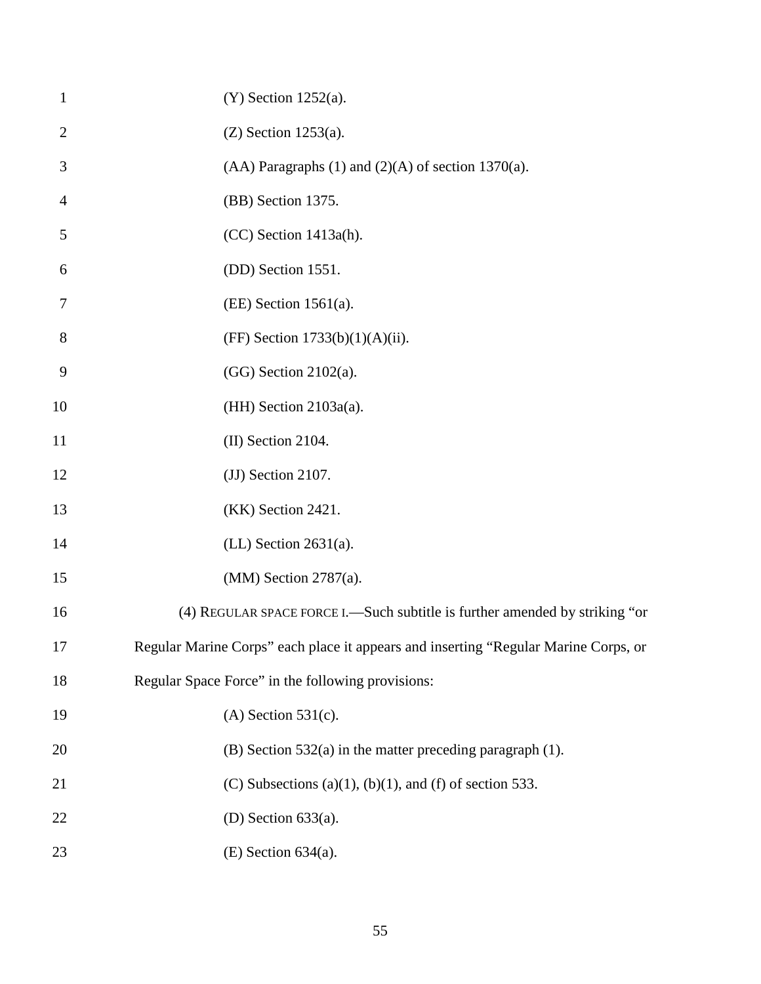| $\mathbf{1}$   | $(Y)$ Section 1252(a).                                                              |
|----------------|-------------------------------------------------------------------------------------|
| $\overline{2}$ | $(Z)$ Section 1253(a).                                                              |
| 3              | $(AA)$ Paragraphs $(1)$ and $(2)(A)$ of section 1370 $(a)$ .                        |
| 4              | (BB) Section 1375.                                                                  |
| 5              | (CC) Section 1413a(h).                                                              |
| 6              | (DD) Section 1551.                                                                  |
| 7              | $(EE)$ Section 1561(a).                                                             |
| 8              | (FF) Section $1733(b)(1)(A)(ii)$ .                                                  |
| 9              | $(GG)$ Section 2102(a).                                                             |
| 10             | $(HH)$ Section 2103a(a).                                                            |
| 11             | (II) Section 2104.                                                                  |
| 12             | (JJ) Section 2107.                                                                  |
| 13             | (KK) Section 2421.                                                                  |
| 14             | $(LL)$ Section 2631(a).                                                             |
| 15             | $(MM)$ Section 2787(a).                                                             |
| 16             | (4) REGULAR SPACE FORCE I. - Such subtitle is further amended by striking "or       |
| 17             | Regular Marine Corps" each place it appears and inserting "Regular Marine Corps, or |
| 18             | Regular Space Force" in the following provisions:                                   |
| 19             | $(A)$ Section 531(c).                                                               |
| 20             | $(B)$ Section 532(a) in the matter preceding paragraph (1).                         |
| 21             | (C) Subsections (a)(1), (b)(1), and (f) of section 533.                             |
| 22             | (D) Section $633(a)$ .                                                              |
| 23             | $(E)$ Section 634(a).                                                               |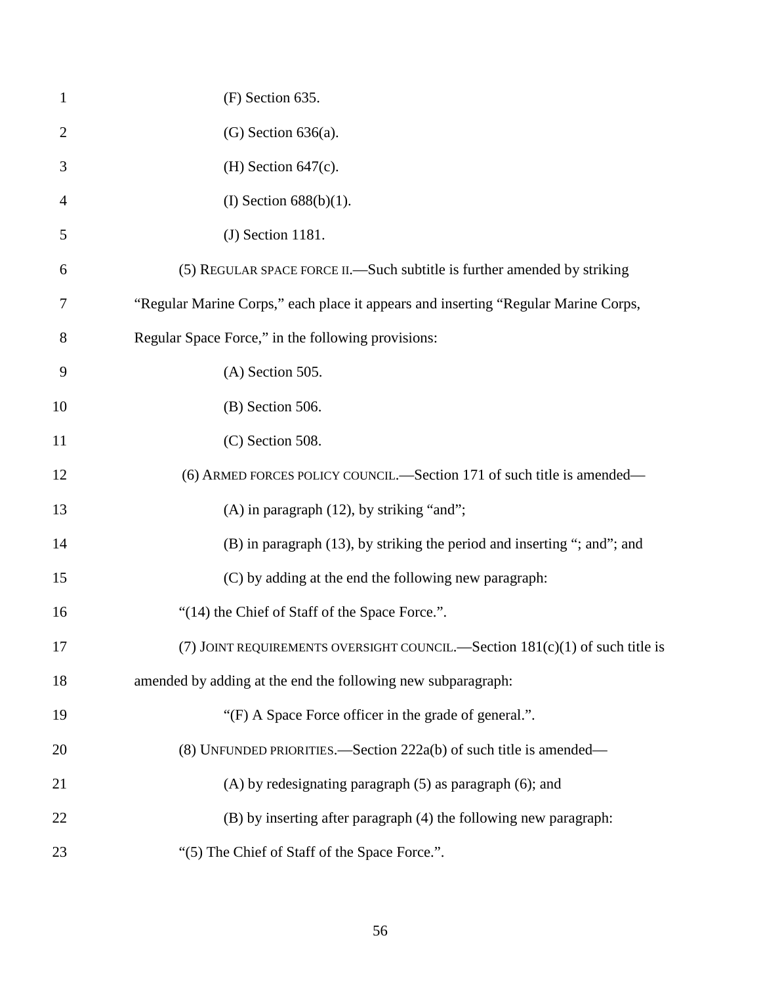| $\mathbf{1}$   | (F) Section 635.                                                                   |
|----------------|------------------------------------------------------------------------------------|
| $\overline{2}$ | $(G)$ Section 636(a).                                                              |
| 3              | (H) Section $647(c)$ .                                                             |
| 4              | (I) Section $688(b)(1)$ .                                                          |
| 5              | $(J)$ Section 1181.                                                                |
| 6              | (5) REGULAR SPACE FORCE II.—Such subtitle is further amended by striking           |
| 7              | "Regular Marine Corps," each place it appears and inserting "Regular Marine Corps, |
| 8              | Regular Space Force," in the following provisions:                                 |
| 9              | $(A)$ Section 505.                                                                 |
| 10             | $(B)$ Section 506.                                                                 |
| 11             | $(C)$ Section 508.                                                                 |
| 12             | (6) ARMED FORCES POLICY COUNCIL.—Section 171 of such title is amended—             |
| 13             | $(A)$ in paragraph $(12)$ , by striking "and";                                     |
| 14             | (B) in paragraph (13), by striking the period and inserting "; and"; and           |
| 15             | (C) by adding at the end the following new paragraph:                              |
| 16             | "(14) the Chief of Staff of the Space Force.".                                     |
| 17             | (7) JOINT REQUIREMENTS OVERSIGHT COUNCIL.—Section $181(c)(1)$ of such title is     |
| 18             | amended by adding at the end the following new subparagraph:                       |
| 19             | "(F) A Space Force officer in the grade of general.".                              |
| 20             | (8) UNFUNDED PRIORITIES.—Section 222a(b) of such title is amended—                 |
| 21             | $(A)$ by redesignating paragraph $(5)$ as paragraph $(6)$ ; and                    |
| 22             | (B) by inserting after paragraph (4) the following new paragraph:                  |
| 23             | "(5) The Chief of Staff of the Space Force.".                                      |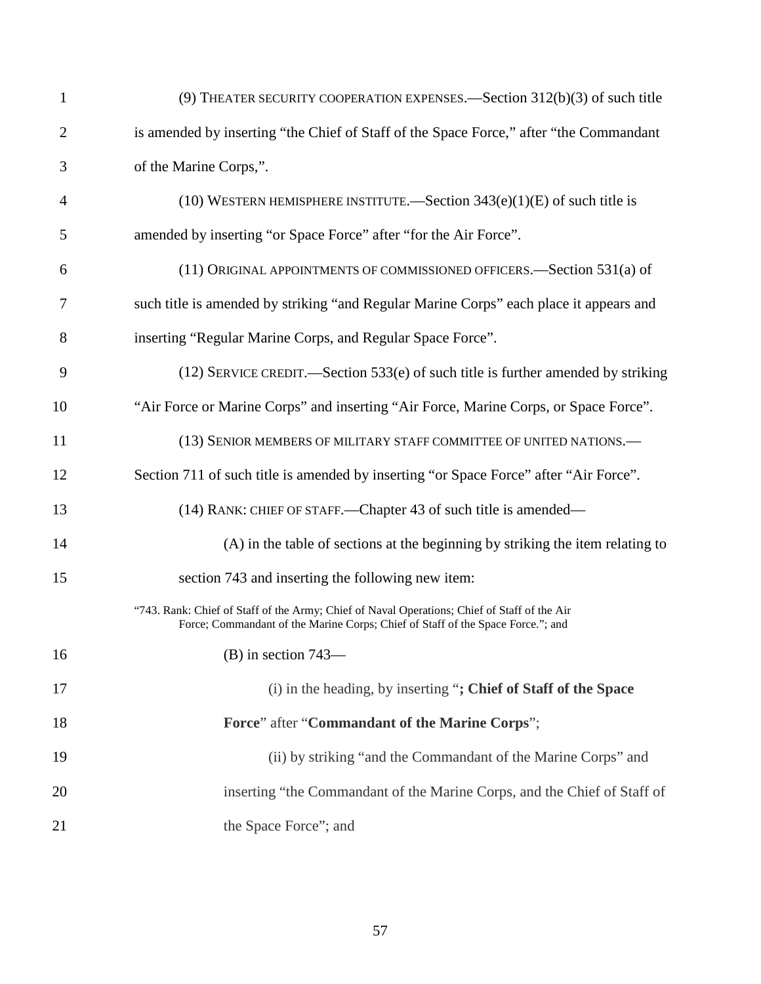| $\mathbf{1}$   | (9) THEATER SECURITY COOPERATION EXPENSES.—Section $312(b)(3)$ of such title                                                                                                    |
|----------------|---------------------------------------------------------------------------------------------------------------------------------------------------------------------------------|
| $\overline{c}$ | is amended by inserting "the Chief of Staff of the Space Force," after "the Commandant                                                                                          |
| 3              | of the Marine Corps,".                                                                                                                                                          |
| 4              | (10) WESTERN HEMISPHERE INSTITUTE.—Section $343(e)(1)(E)$ of such title is                                                                                                      |
| 5              | amended by inserting "or Space Force" after "for the Air Force".                                                                                                                |
| 6              | (11) ORIGINAL APPOINTMENTS OF COMMISSIONED OFFICERS. - Section 531(a) of                                                                                                        |
| 7              | such title is amended by striking "and Regular Marine Corps" each place it appears and                                                                                          |
| 8              | inserting "Regular Marine Corps, and Regular Space Force".                                                                                                                      |
| 9              | $(12)$ SERVICE CREDIT.—Section 533(e) of such title is further amended by striking                                                                                              |
| 10             | "Air Force or Marine Corps" and inserting "Air Force, Marine Corps, or Space Force".                                                                                            |
| 11             | (13) SENIOR MEMBERS OF MILITARY STAFF COMMITTEE OF UNITED NATIONS.-                                                                                                             |
| 12             | Section 711 of such title is amended by inserting "or Space Force" after "Air Force".                                                                                           |
| 13             | (14) RANK: CHIEF OF STAFF.—Chapter 43 of such title is amended—                                                                                                                 |
| 14             | (A) in the table of sections at the beginning by striking the item relating to                                                                                                  |
| 15             | section 743 and inserting the following new item:                                                                                                                               |
|                | "743. Rank: Chief of Staff of the Army; Chief of Naval Operations; Chief of Staff of the Air<br>Force; Commandant of the Marine Corps; Chief of Staff of the Space Force."; and |
| 16             | $(B)$ in section 743—                                                                                                                                                           |
| 17             | (i) in the heading, by inserting "; Chief of Staff of the Space                                                                                                                 |
| 18             | Force" after "Commandant of the Marine Corps";                                                                                                                                  |
| 19             | (ii) by striking "and the Commandant of the Marine Corps" and                                                                                                                   |
| 20             | inserting "the Commandant of the Marine Corps, and the Chief of Staff of                                                                                                        |
| 21             | the Space Force"; and                                                                                                                                                           |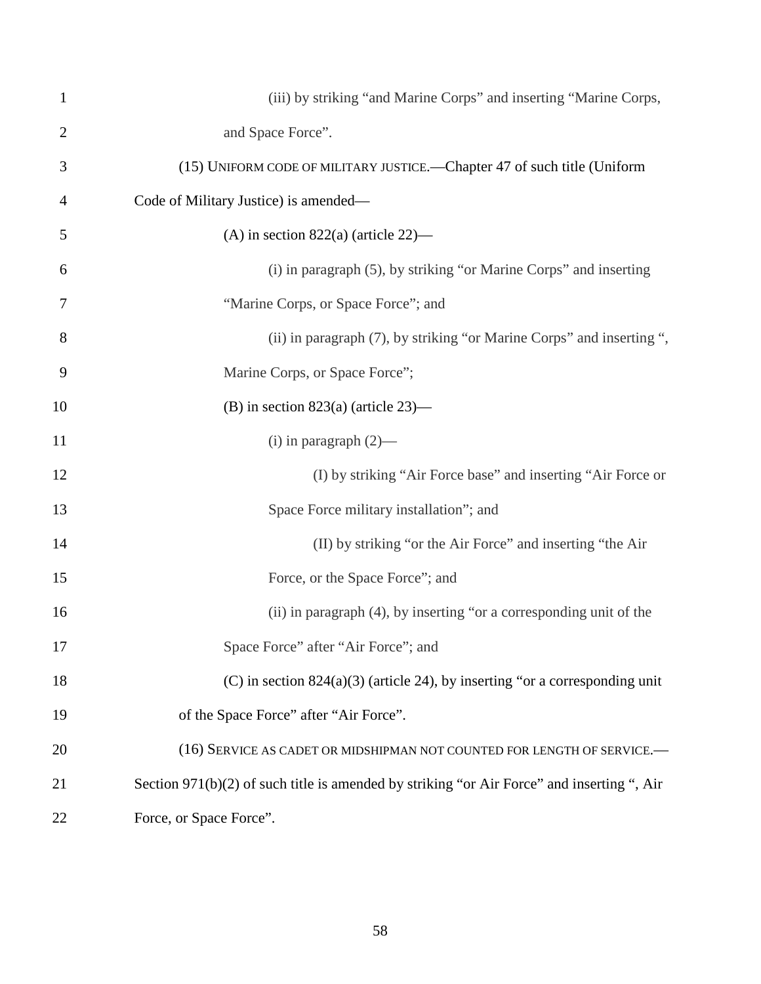| $\mathbf{1}$   | (iii) by striking "and Marine Corps" and inserting "Marine Corps,                          |
|----------------|--------------------------------------------------------------------------------------------|
| $\overline{c}$ | and Space Force".                                                                          |
| 3              | (15) UNIFORM CODE OF MILITARY JUSTICE.—Chapter 47 of such title (Uniform                   |
| 4              | Code of Military Justice) is amended—                                                      |
| 5              | (A) in section $822(a)$ (article 22)—                                                      |
| 6              | (i) in paragraph (5), by striking "or Marine Corps" and inserting                          |
| 7              | "Marine Corps, or Space Force"; and                                                        |
| 8              | (ii) in paragraph (7), by striking "or Marine Corps" and inserting ",                      |
| 9              | Marine Corps, or Space Force";                                                             |
| 10             | (B) in section $823(a)$ (article $23$ )—                                                   |
| 11             | $(i)$ in paragraph $(2)$ —                                                                 |
| 12             | (I) by striking "Air Force base" and inserting "Air Force or                               |
| 13             | Space Force military installation"; and                                                    |
| 14             | (II) by striking "or the Air Force" and inserting "the Air                                 |
| 15             | Force, or the Space Force"; and                                                            |
| 16             | (ii) in paragraph (4), by inserting "or a corresponding unit of the                        |
| 17             | Space Force" after "Air Force"; and                                                        |
| 18             | (C) in section $824(a)(3)$ (article 24), by inserting "or a corresponding unit             |
| 19             | of the Space Force" after "Air Force".                                                     |
| 20             | (16) SERVICE AS CADET OR MIDSHIPMAN NOT COUNTED FOR LENGTH OF SERVICE.-                    |
| 21             | Section 971(b)(2) of such title is amended by striking "or Air Force" and inserting ", Air |
| 22             | Force, or Space Force".                                                                    |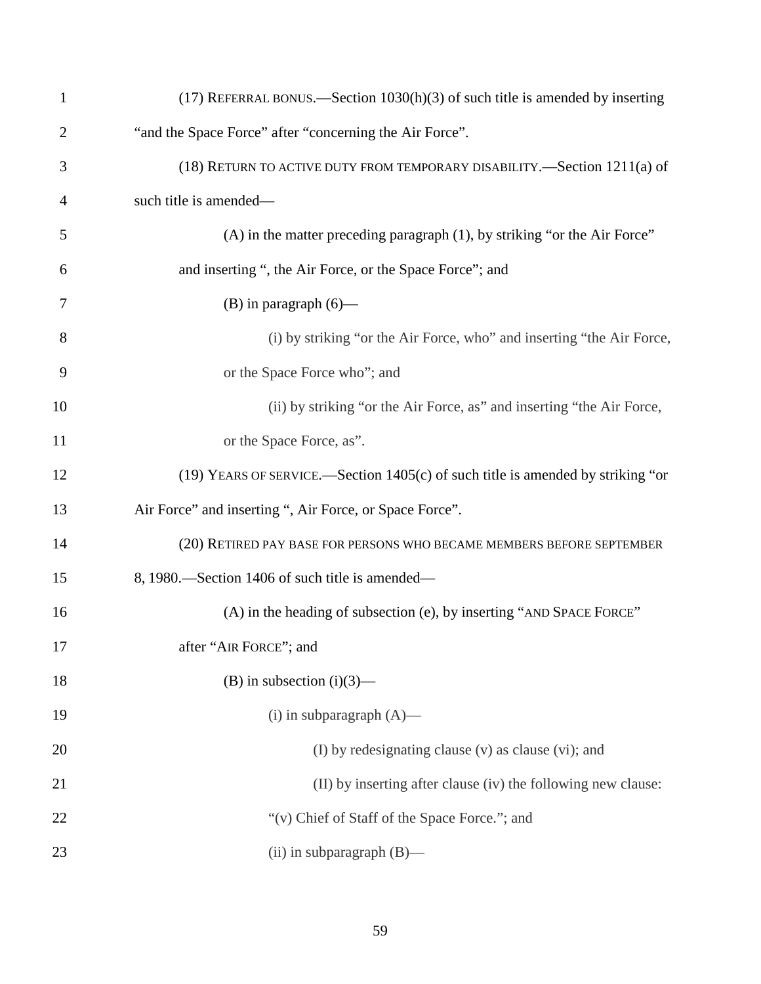| 1              | $(17)$ REFERRAL BONUS.—Section $1030(h)(3)$ of such title is amended by inserting |
|----------------|-----------------------------------------------------------------------------------|
| $\overline{2}$ | "and the Space Force" after "concerning the Air Force".                           |
| 3              | (18) RETURN TO ACTIVE DUTY FROM TEMPORARY DISABILITY.—Section 1211(a) of          |
| $\overline{4}$ | such title is amended—                                                            |
| 5              | (A) in the matter preceding paragraph (1), by striking "or the Air Force"         |
| 6              | and inserting ", the Air Force, or the Space Force"; and                          |
| 7              | $(B)$ in paragraph $(6)$ —                                                        |
| 8              | (i) by striking "or the Air Force, who" and inserting "the Air Force,             |
| 9              | or the Space Force who"; and                                                      |
| 10             | (ii) by striking "or the Air Force, as" and inserting "the Air Force,             |
| 11             | or the Space Force, as".                                                          |
| 12             | (19) YEARS OF SERVICE.—Section 1405(c) of such title is amended by striking "or   |
| 13             | Air Force" and inserting ", Air Force, or Space Force".                           |
| 14             | (20) RETIRED PAY BASE FOR PERSONS WHO BECAME MEMBERS BEFORE SEPTEMBER             |
| 15             | 8, 1980. Section 1406 of such title is amended—                                   |
| 16             | (A) in the heading of subsection (e), by inserting "AND SPACE FORCE"              |
| 17             | after "AIR FORCE"; and                                                            |
| 18             | (B) in subsection $(i)(3)$ —                                                      |
| 19             | $(i)$ in subparagraph $(A)$ —                                                     |
| 20             | (I) by redesignating clause (v) as clause (vi); and                               |
| 21             | (II) by inserting after clause (iv) the following new clause:                     |
| 22             | "(v) Chief of Staff of the Space Force."; and                                     |
| 23             | (ii) in subparagraph (B)-                                                         |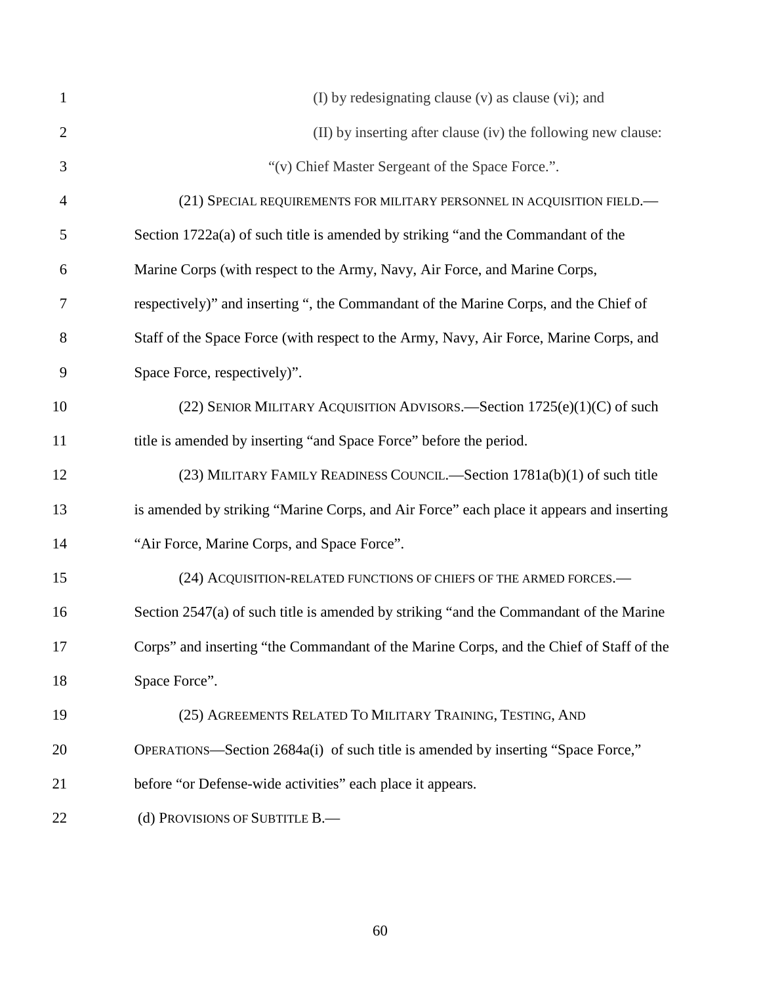| $\mathbf{1}$   | (I) by redesignating clause (v) as clause (vi); and                                      |
|----------------|------------------------------------------------------------------------------------------|
| $\overline{2}$ | (II) by inserting after clause (iv) the following new clause:                            |
| 3              | "(v) Chief Master Sergeant of the Space Force.".                                         |
| 4              | (21) SPECIAL REQUIREMENTS FOR MILITARY PERSONNEL IN ACQUISITION FIELD.                   |
| 5              | Section 1722a(a) of such title is amended by striking "and the Commandant of the         |
| 6              | Marine Corps (with respect to the Army, Navy, Air Force, and Marine Corps,               |
| 7              | respectively)" and inserting ", the Commandant of the Marine Corps, and the Chief of     |
| 8              | Staff of the Space Force (with respect to the Army, Navy, Air Force, Marine Corps, and   |
| 9              | Space Force, respectively)".                                                             |
| 10             | (22) SENIOR MILITARY ACQUISITION ADVISORS.—Section 1725(e)(1)(C) of such                 |
| 11             | title is amended by inserting "and Space Force" before the period.                       |
| 12             | (23) MILITARY FAMILY READINESS COUNCIL.—Section 1781a(b)(1) of such title                |
| 13             | is amended by striking "Marine Corps, and Air Force" each place it appears and inserting |
| 14             | "Air Force, Marine Corps, and Space Force".                                              |
| 15             | (24) ACQUISITION-RELATED FUNCTIONS OF CHIEFS OF THE ARMED FORCES.-                       |
| 16             | Section 2547(a) of such title is amended by striking "and the Commandant of the Marine   |
| 17             | Corps" and inserting "the Commandant of the Marine Corps, and the Chief of Staff of the  |
| 18             | Space Force".                                                                            |
| 19             | (25) AGREEMENTS RELATED TO MILITARY TRAINING, TESTING, AND                               |
| 20             | OPERATIONS—Section 2684a(i) of such title is amended by inserting "Space Force,"         |
| 21             | before "or Defense-wide activities" each place it appears.                               |
| 22             | (d) PROVISIONS OF SUBTITLE B.                                                            |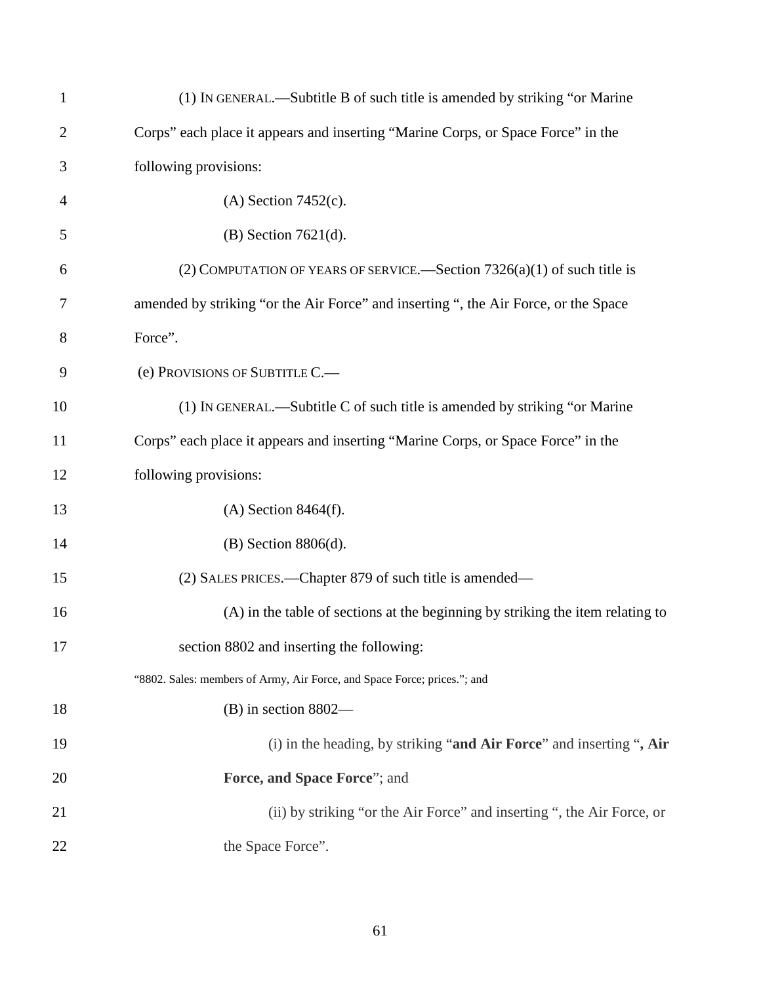| $\mathbf{1}$   | (1) IN GENERAL.—Subtitle B of such title is amended by striking "or Marine"         |
|----------------|-------------------------------------------------------------------------------------|
| $\overline{2}$ | Corps" each place it appears and inserting "Marine Corps, or Space Force" in the    |
| 3              | following provisions:                                                               |
| $\overline{4}$ | $(A)$ Section 7452 $(c)$ .                                                          |
| 5              | $(B)$ Section 7621 $(d)$ .                                                          |
| 6              | (2) COMPUTATION OF YEARS OF SERVICE.—Section $7326(a)(1)$ of such title is          |
| 7              | amended by striking "or the Air Force" and inserting ", the Air Force, or the Space |
| 8              | Force".                                                                             |
| 9              | (e) PROVISIONS OF SUBTITLE C.-                                                      |
| 10             | (1) IN GENERAL.—Subtitle C of such title is amended by striking "or Marine"         |
| 11             | Corps" each place it appears and inserting "Marine Corps, or Space Force" in the    |
| 12             | following provisions:                                                               |
| 13             | $(A)$ Section 8464 $(f)$ .                                                          |
| 14             | $(B)$ Section 8806 $(d)$ .                                                          |
| 15             | (2) SALES PRICES.—Chapter 879 of such title is amended—                             |
| 16             | (A) in the table of sections at the beginning by striking the item relating to      |
| 17             | section 8802 and inserting the following:                                           |
|                | "8802. Sales: members of Army, Air Force, and Space Force; prices."; and            |
| 18             | $(B)$ in section 8802—                                                              |
| 19             | (i) in the heading, by striking "and Air Force" and inserting ", Air                |
| 20             | Force, and Space Force"; and                                                        |
| 21             | (ii) by striking "or the Air Force" and inserting ", the Air Force, or              |
| 22             | the Space Force".                                                                   |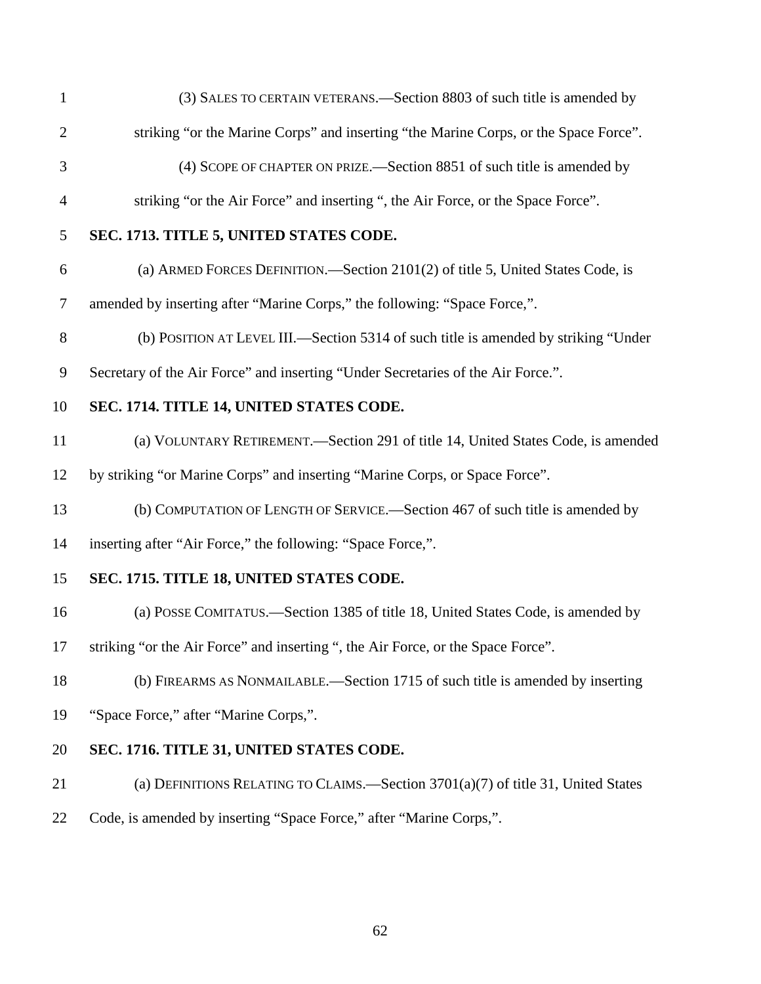| $\mathbf{1}$   | (3) SALES TO CERTAIN VETERANS.—Section 8803 of such title is amended by              |
|----------------|--------------------------------------------------------------------------------------|
| $\overline{2}$ | striking "or the Marine Corps" and inserting "the Marine Corps, or the Space Force". |
| 3              | (4) SCOPE OF CHAPTER ON PRIZE.—Section 8851 of such title is amended by              |
| $\overline{4}$ | striking "or the Air Force" and inserting ", the Air Force, or the Space Force".     |
| 5              | SEC. 1713. TITLE 5, UNITED STATES CODE.                                              |
| 6              | (a) ARMED FORCES DEFINITION.—Section 2101(2) of title 5, United States Code, is      |
| $\overline{7}$ | amended by inserting after "Marine Corps," the following: "Space Force,".            |
| $8\,$          | (b) POSITION AT LEVEL III.—Section 5314 of such title is amended by striking "Under  |
| 9              | Secretary of the Air Force" and inserting "Under Secretaries of the Air Force.".     |
| 10             | SEC. 1714. TITLE 14, UNITED STATES CODE.                                             |
| 11             | (a) VOLUNTARY RETIREMENT.—Section 291 of title 14, United States Code, is amended    |
| 12             | by striking "or Marine Corps" and inserting "Marine Corps, or Space Force".          |
| 13             | (b) COMPUTATION OF LENGTH OF SERVICE.—Section 467 of such title is amended by        |
| 14             | inserting after "Air Force," the following: "Space Force,".                          |
| 15             | SEC. 1715. TITLE 18, UNITED STATES CODE.                                             |
| 16             | (a) POSSE COMITATUS.—Section 1385 of title 18, United States Code, is amended by     |
| 17             | striking "or the Air Force" and inserting ", the Air Force, or the Space Force".     |
| 18             | (b) FIREARMS AS NONMAILABLE.—Section 1715 of such title is amended by inserting      |
| 19             | "Space Force," after "Marine Corps,".                                                |
| 20             | SEC. 1716. TITLE 31, UNITED STATES CODE.                                             |
| 21             | (a) DEFINITIONS RELATING TO CLAIMS.—Section $3701(a)(7)$ of title 31, United States  |
|                |                                                                                      |

Code, is amended by inserting "Space Force," after "Marine Corps,".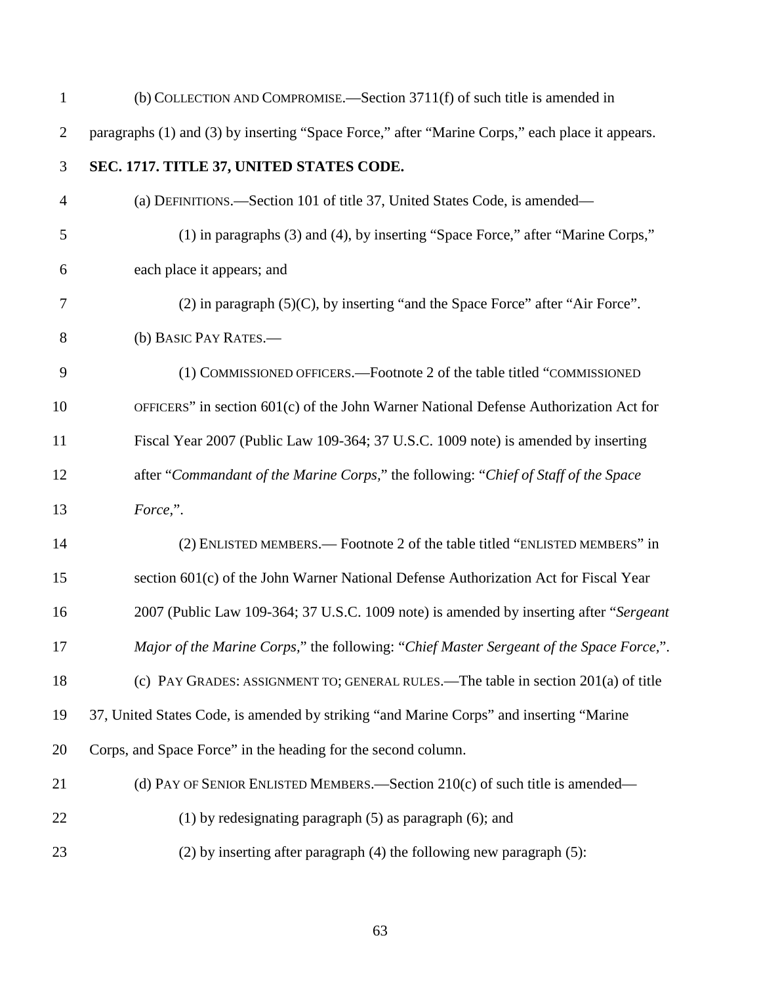| $\mathbf{1}$   | (b) COLLECTION AND COMPROMISE.—Section 3711(f) of such title is amended in                      |
|----------------|-------------------------------------------------------------------------------------------------|
| $\overline{2}$ | paragraphs (1) and (3) by inserting "Space Force," after "Marine Corps," each place it appears. |
| 3              | SEC. 1717. TITLE 37, UNITED STATES CODE.                                                        |
| $\overline{4}$ | (a) DEFINITIONS.—Section 101 of title 37, United States Code, is amended—                       |
| 5              | (1) in paragraphs (3) and (4), by inserting "Space Force," after "Marine Corps,"                |
| 6              | each place it appears; and                                                                      |
| $\tau$         | $(2)$ in paragraph $(5)(C)$ , by inserting "and the Space Force" after "Air Force".             |
| 8              | (b) BASIC PAY RATES.-                                                                           |
| 9              | (1) COMMISSIONED OFFICERS.—Footnote 2 of the table titled "COMMISSIONED                         |
| 10             | OFFICERS" in section 601(c) of the John Warner National Defense Authorization Act for           |
| 11             | Fiscal Year 2007 (Public Law 109-364; 37 U.S.C. 1009 note) is amended by inserting              |
| 12             | after "Commandant of the Marine Corps," the following: "Chief of Staff of the Space             |
| 13             | Force,".                                                                                        |
| 14             | (2) ENLISTED MEMBERS.— Footnote 2 of the table titled "ENLISTED MEMBERS" in                     |
| 15             | section 601(c) of the John Warner National Defense Authorization Act for Fiscal Year            |
| 16             | 2007 (Public Law 109-364; 37 U.S.C. 1009 note) is amended by inserting after "Sergeant          |
| 17             | Major of the Marine Corps," the following: "Chief Master Sergeant of the Space Force,".         |
| 18             | (c) PAY GRADES: ASSIGNMENT TO; GENERAL RULES.—The table in section 201(a) of title              |
| 19             | 37, United States Code, is amended by striking "and Marine Corps" and inserting "Marine         |
| 20             | Corps, and Space Force" in the heading for the second column.                                   |
| 21             | (d) PAY OF SENIOR ENLISTED MEMBERS.—Section 210(c) of such title is amended—                    |
| 22             | (1) by redesignating paragraph $(5)$ as paragraph $(6)$ ; and                                   |
| 23             | $(2)$ by inserting after paragraph $(4)$ the following new paragraph $(5)$ :                    |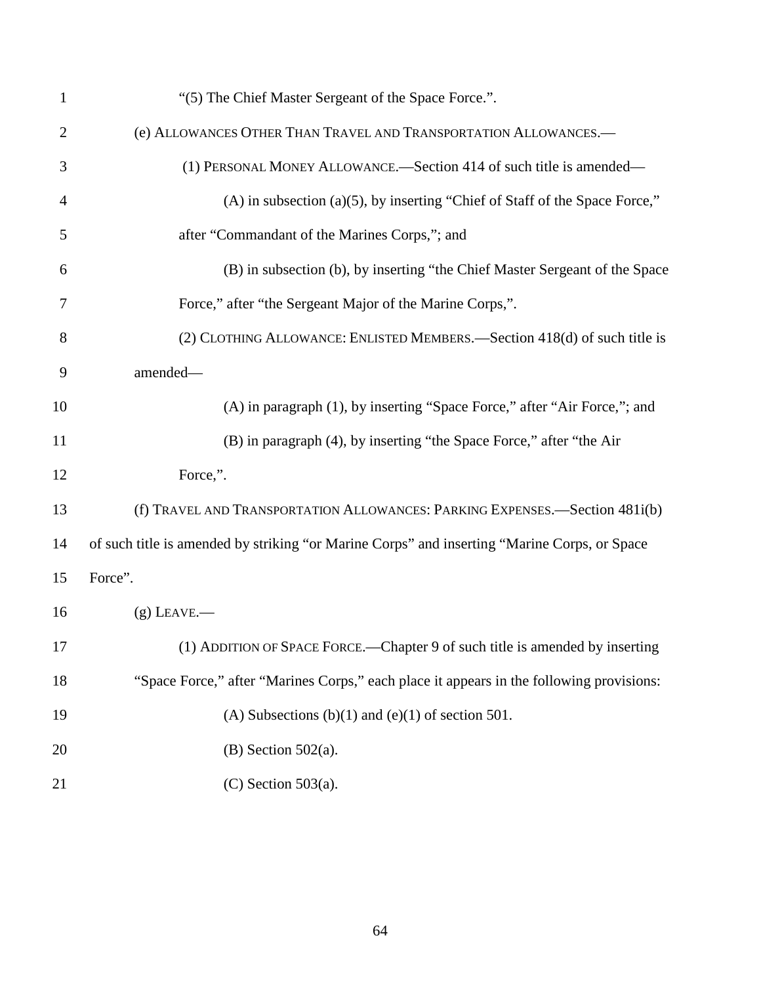| $\mathbf{1}$   | "(5) The Chief Master Sergeant of the Space Force.".                                         |
|----------------|----------------------------------------------------------------------------------------------|
| $\overline{2}$ | (e) ALLOWANCES OTHER THAN TRAVEL AND TRANSPORTATION ALLOWANCES.-                             |
| 3              | (1) PERSONAL MONEY ALLOWANCE.—Section 414 of such title is amended—                          |
| 4              | $(A)$ in subsection $(a)(5)$ , by inserting "Chief of Staff of the Space Force,"             |
| 5              | after "Commandant of the Marines Corps,"; and                                                |
| 6              | (B) in subsection (b), by inserting "the Chief Master Sergeant of the Space                  |
| 7              | Force," after "the Sergeant Major of the Marine Corps,".                                     |
| 8              | (2) CLOTHING ALLOWANCE: ENLISTED MEMBERS.—Section 418(d) of such title is                    |
| 9              | amended-                                                                                     |
| 10             | (A) in paragraph (1), by inserting "Space Force," after "Air Force,"; and                    |
| 11             | (B) in paragraph (4), by inserting "the Space Force," after "the Air                         |
| 12             | Force,".                                                                                     |
| 13             | (f) TRAVEL AND TRANSPORTATION ALLOWANCES: PARKING EXPENSES.-Section 481i(b)                  |
| 14             | of such title is amended by striking "or Marine Corps" and inserting "Marine Corps, or Space |
| 15             | Force".                                                                                      |
| 16             | $(g)$ LEAVE.—                                                                                |
| 17             | (1) ADDITION OF SPACE FORCE.—Chapter 9 of such title is amended by inserting                 |
| 18             | "Space Force," after "Marines Corps," each place it appears in the following provisions:     |
| 19             | (A) Subsections (b)(1) and (e)(1) of section 501.                                            |
| 20             | $(B)$ Section 502(a).                                                                        |
| 21             | $(C)$ Section 503(a).                                                                        |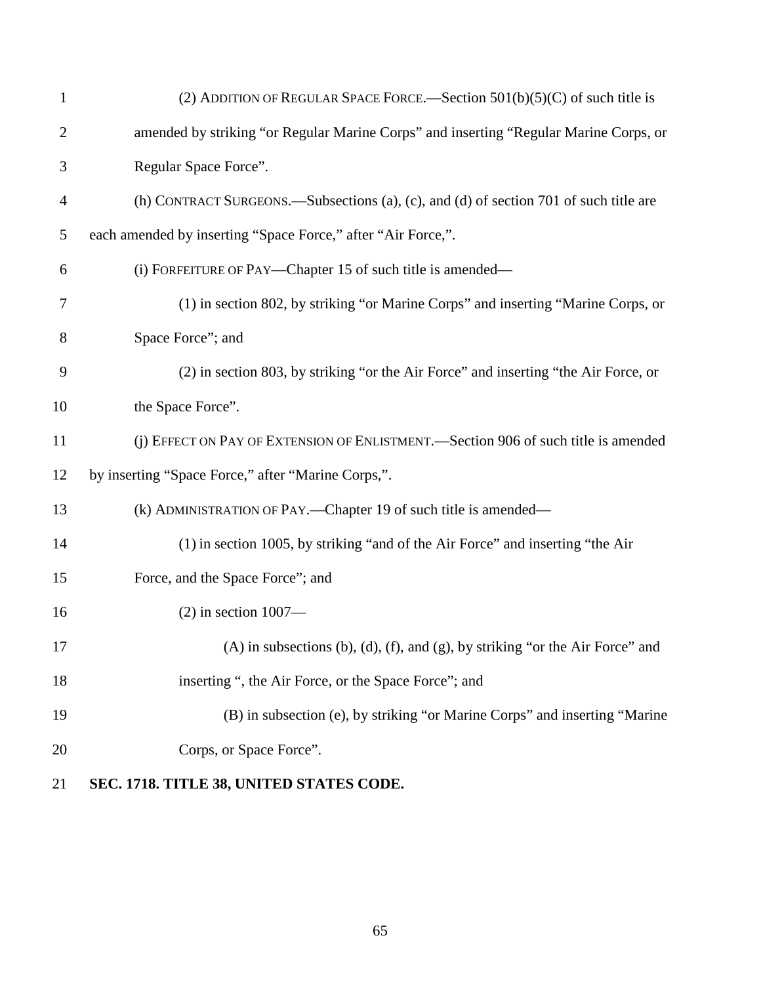| $\mathbf{1}$   | (2) ADDITION OF REGULAR SPACE FORCE.—Section $501(b)(5)(C)$ of such title is                |
|----------------|---------------------------------------------------------------------------------------------|
| $\overline{2}$ | amended by striking "or Regular Marine Corps" and inserting "Regular Marine Corps, or       |
| 3              | Regular Space Force".                                                                       |
| $\overline{4}$ | (h) CONTRACT SURGEONS.—Subsections (a), (c), and (d) of section 701 of such title are       |
| 5              | each amended by inserting "Space Force," after "Air Force,".                                |
| 6              | (i) FORFEITURE OF PAY—Chapter 15 of such title is amended—                                  |
| 7              | (1) in section 802, by striking "or Marine Corps" and inserting "Marine Corps, or           |
| 8              | Space Force"; and                                                                           |
| 9              | (2) in section 803, by striking "or the Air Force" and inserting "the Air Force, or         |
| 10             | the Space Force".                                                                           |
| 11             | (j) EFFECT ON PAY OF EXTENSION OF ENLISTMENT.—Section 906 of such title is amended          |
| 12             | by inserting "Space Force," after "Marine Corps,".                                          |
| 13             | (k) ADMINISTRATION OF PAY.—Chapter 19 of such title is amended—                             |
| 14             | (1) in section 1005, by striking "and of the Air Force" and inserting "the Air              |
| 15             | Force, and the Space Force"; and                                                            |
| 16             | $(2)$ in section 1007—                                                                      |
| 17             | $(A)$ in subsections $(b)$ , $(d)$ , $(f)$ , and $(g)$ , by striking "or the Air Force" and |
| 18             | inserting ", the Air Force, or the Space Force"; and                                        |
| 19             | (B) in subsection (e), by striking "or Marine Corps" and inserting "Marine                  |
| 20             | Corps, or Space Force".                                                                     |
| 21             | SEC. 1718. TITLE 38, UNITED STATES CODE.                                                    |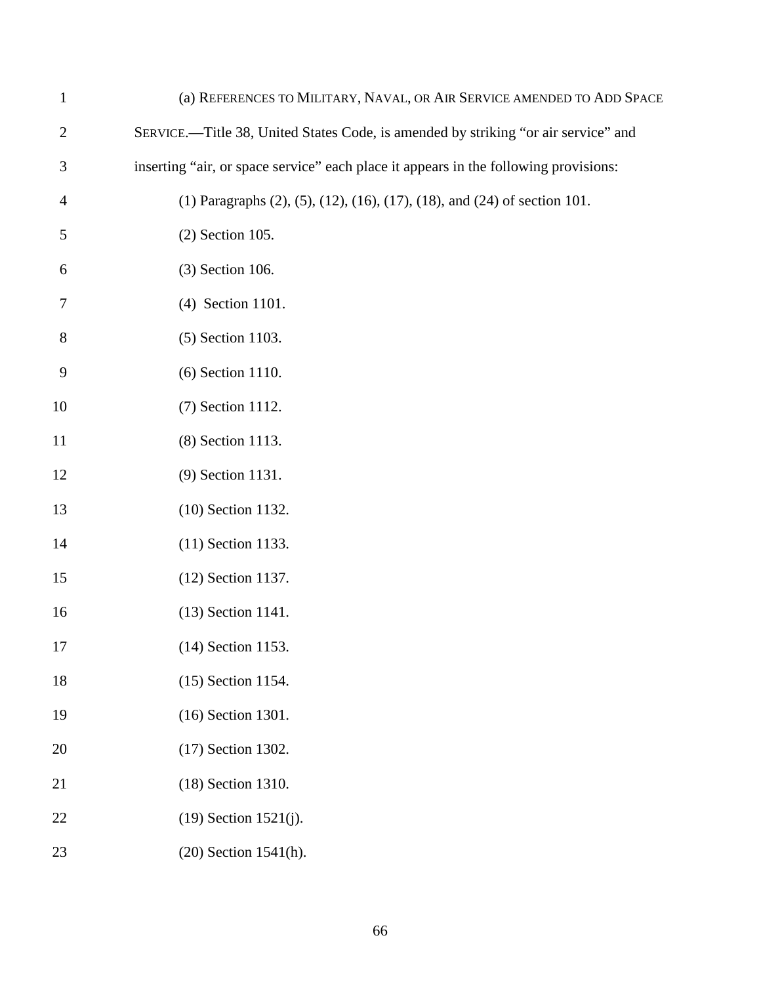| $\mathbf{1}$   | (a) REFERENCES TO MILITARY, NAVAL, OR AIR SERVICE AMENDED TO ADD SPACE               |
|----------------|--------------------------------------------------------------------------------------|
| $\overline{2}$ | SERVICE.-Title 38, United States Code, is amended by striking "or air service" and   |
| 3              | inserting "air, or space service" each place it appears in the following provisions: |
| $\overline{4}$ | (1) Paragraphs (2), (5), (12), (16), (17), (18), and (24) of section 101.            |
| 5              | $(2)$ Section 105.                                                                   |
| 6              | (3) Section 106.                                                                     |
| 7              | (4) Section 1101.                                                                    |
| 8              | (5) Section 1103.                                                                    |
| 9              | (6) Section 1110.                                                                    |
| 10             | (7) Section 1112.                                                                    |
| 11             | (8) Section 1113.                                                                    |
| 12             | (9) Section 1131.                                                                    |
| 13             | (10) Section 1132.                                                                   |
| 14             | (11) Section 1133.                                                                   |
| 15             | (12) Section 1137.                                                                   |
| 16             | (13) Section 1141.                                                                   |
| 17             | (14) Section 1153.                                                                   |
| 18             | (15) Section 1154.                                                                   |
| 19             | (16) Section 1301.                                                                   |
| 20             | (17) Section 1302.                                                                   |
| 21             | (18) Section 1310.                                                                   |
| 22             | $(19)$ Section 1521 $(j)$ .                                                          |
| 23             | (20) Section 1541(h).                                                                |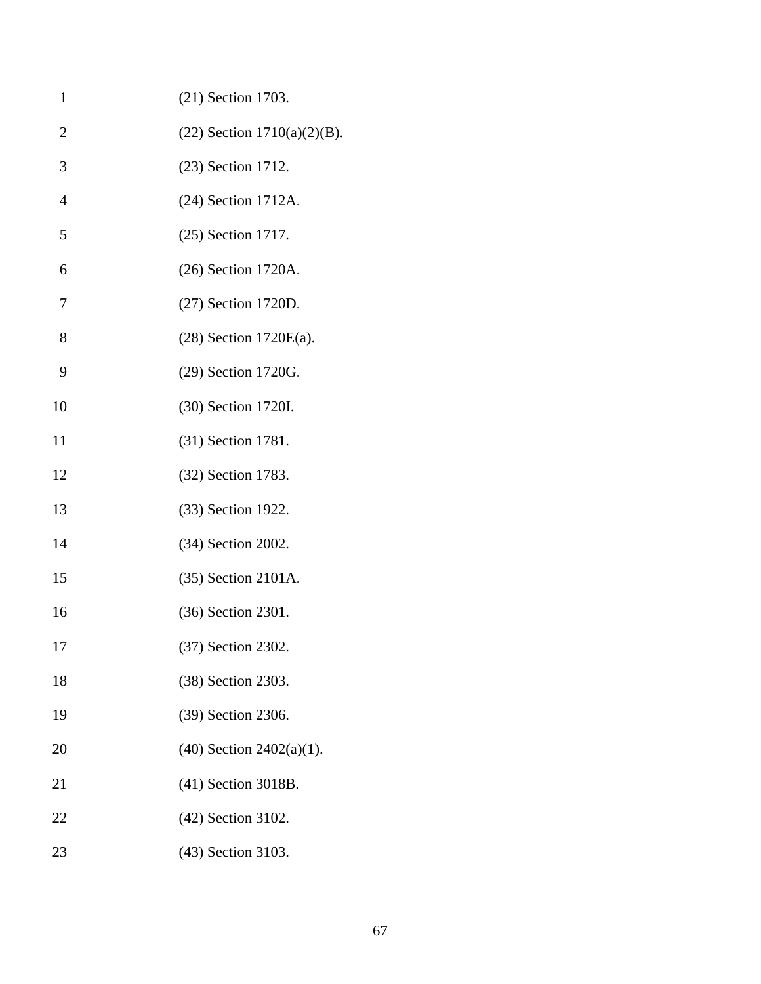| $\mathbf{1}$   | (21) Section 1703.             |
|----------------|--------------------------------|
| $\overline{2}$ | $(22)$ Section 1710(a)(2)(B).  |
| 3              | (23) Section 1712.             |
| $\overline{4}$ | (24) Section 1712A.            |
| 5              | (25) Section 1717.             |
| 6              | (26) Section 1720A.            |
| 7              | (27) Section 1720D.            |
| 8              | $(28)$ Section 1720E(a).       |
| 9              | (29) Section 1720G.            |
| 10             | (30) Section 1720I.            |
| 11             | (31) Section 1781.             |
| 12             | (32) Section 1783.             |
| 13             | (33) Section 1922.             |
| 14             | (34) Section 2002.             |
| 15             | (35) Section 2101A.            |
| 16             | (36) Section 2301.             |
| 17             | (37) Section 2302.             |
| 18             | (38) Section 2303.             |
| 19             | (39) Section 2306.             |
| 20             | $(40)$ Section 2402 $(a)(1)$ . |
| 21             | (41) Section 3018B.            |
| 22             | (42) Section 3102.             |
| 23             | (43) Section 3103.             |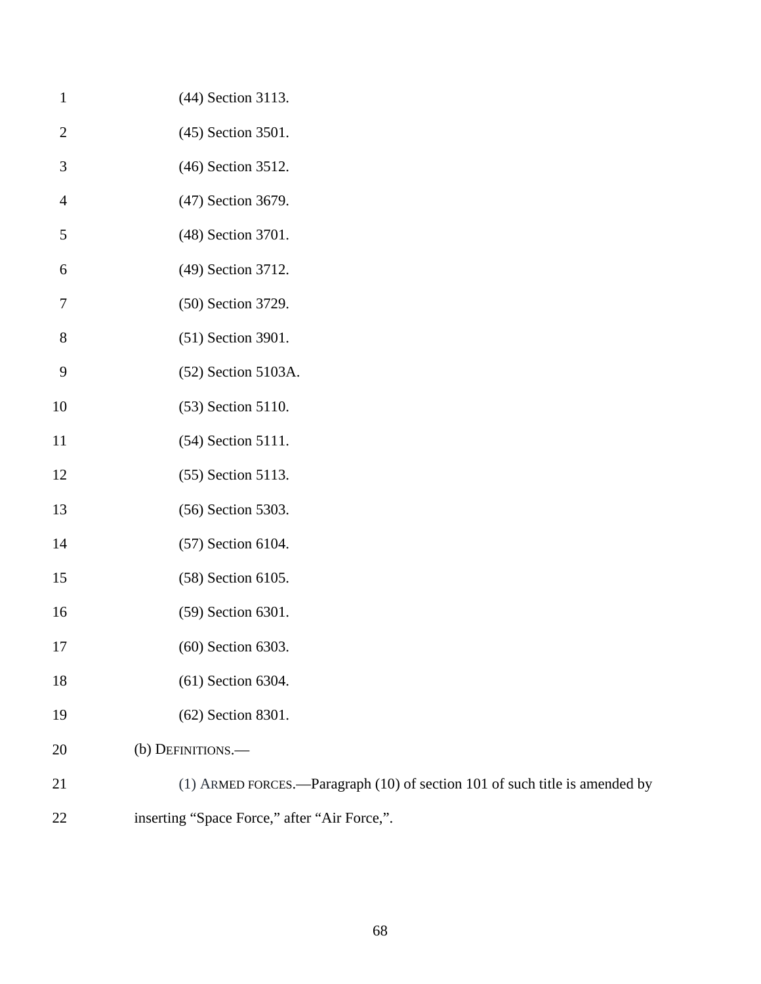| $\mathbf{1}$     | (44) Section 3113.                                                          |
|------------------|-----------------------------------------------------------------------------|
| $\overline{2}$   | (45) Section 3501.                                                          |
| 3                | (46) Section 3512.                                                          |
| $\overline{4}$   | (47) Section 3679.                                                          |
| 5                | (48) Section 3701.                                                          |
| 6                | (49) Section 3712.                                                          |
| 7                | (50) Section 3729.                                                          |
| 8                | (51) Section 3901.                                                          |
| $\boldsymbol{9}$ | (52) Section 5103A.                                                         |
| 10               | (53) Section 5110.                                                          |
| 11               | (54) Section 5111.                                                          |
| 12               | (55) Section 5113.                                                          |
| 13               | (56) Section 5303.                                                          |
| 14               | (57) Section 6104.                                                          |
| 15               | (58) Section 6105.                                                          |
| 16               | (59) Section 6301.                                                          |
| 17               | (60) Section 6303.                                                          |
| 18               | (61) Section 6304.                                                          |
| 19               | (62) Section 8301.                                                          |
| 20               | (b) DEFINITIONS.-                                                           |
| 21               | (1) ARMED FORCES.—Paragraph (10) of section 101 of such title is amended by |

inserting "Space Force," after "Air Force,".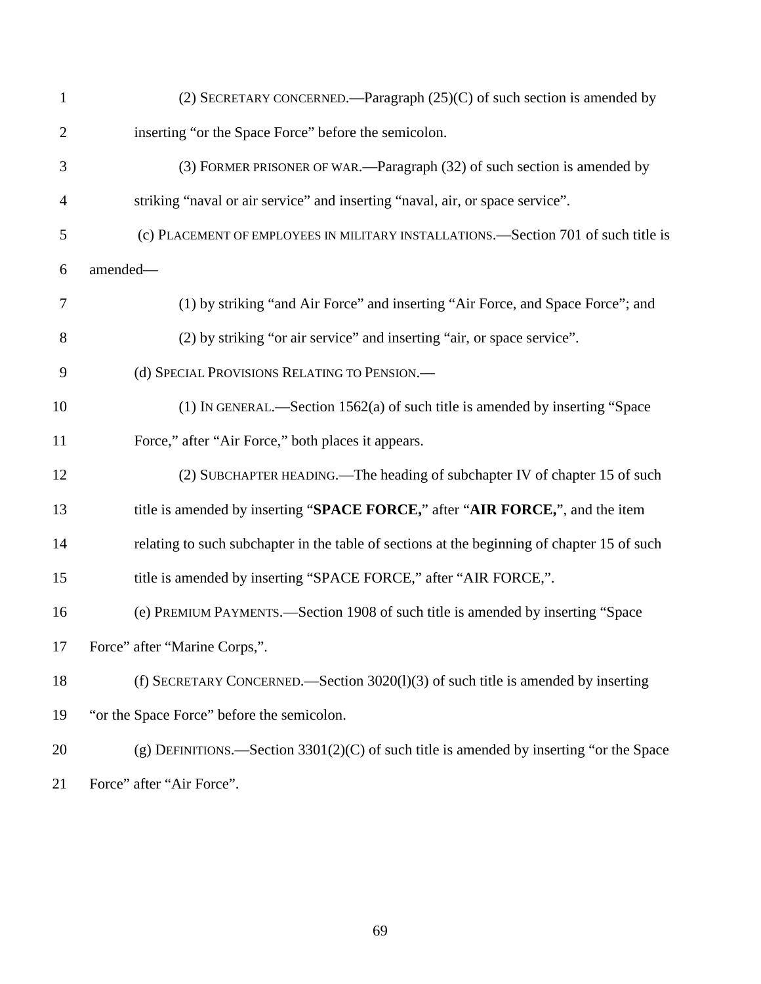| $\mathbf{1}$   | (2) SECRETARY CONCERNED.—Paragraph $(25)(C)$ of such section is amended by                  |
|----------------|---------------------------------------------------------------------------------------------|
| $\overline{2}$ | inserting "or the Space Force" before the semicolon.                                        |
| 3              | (3) FORMER PRISONER OF WAR.—Paragraph (32) of such section is amended by                    |
| $\overline{4}$ | striking "naval or air service" and inserting "naval, air, or space service".               |
| 5              | (c) PLACEMENT OF EMPLOYEES IN MILITARY INSTALLATIONS.—Section 701 of such title is          |
| 6              | amended-                                                                                    |
| $\tau$         | (1) by striking "and Air Force" and inserting "Air Force, and Space Force"; and             |
| 8              | (2) by striking "or air service" and inserting "air, or space service".                     |
| 9              | (d) SPECIAL PROVISIONS RELATING TO PENSION.-                                                |
| 10             | (1) IN GENERAL.—Section $1562(a)$ of such title is amended by inserting "Space              |
| 11             | Force," after "Air Force," both places it appears.                                          |
| 12             | (2) SUBCHAPTER HEADING.—The heading of subchapter IV of chapter 15 of such                  |
| 13             | title is amended by inserting "SPACE FORCE," after "AIR FORCE,", and the item               |
| 14             | relating to such subchapter in the table of sections at the beginning of chapter 15 of such |
| 15             | title is amended by inserting "SPACE FORCE," after "AIR FORCE,".                            |
| 16             | (e) PREMIUM PAYMENTS.—Section 1908 of such title is amended by inserting "Space             |
|                | 17 Force" after "Marine Corps,".                                                            |
| 18             | (f) SECRETARY CONCERNED.—Section 3020(1)(3) of such title is amended by inserting           |
| 19             | "or the Space Force" before the semicolon.                                                  |
| 20             | (g) DEFINITIONS.—Section $3301(2)(C)$ of such title is amended by inserting "or the Space   |
| 21             | Force" after "Air Force".                                                                   |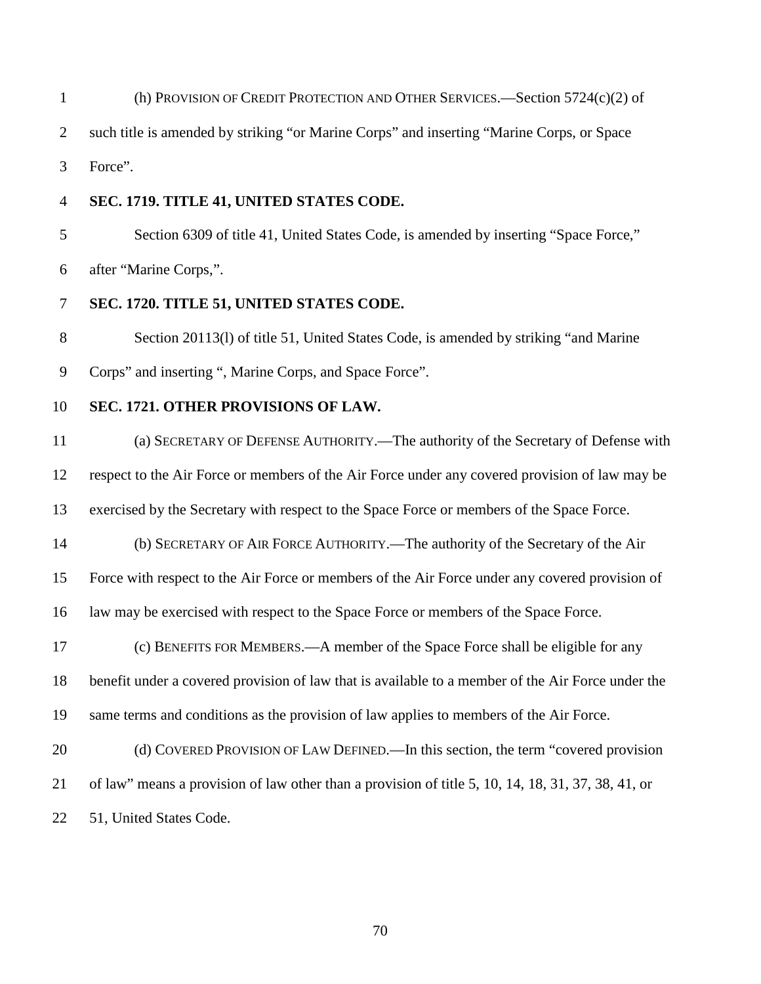(h) PROVISION OF CREDIT PROTECTION AND OTHER SERVICES.—Section 5724(c)(2) of such title is amended by striking "or Marine Corps" and inserting "Marine Corps, or Space

Force".

#### **SEC. 1719. TITLE 41, UNITED STATES CODE.**

 Section 6309 of title 41, United States Code, is amended by inserting "Space Force," after "Marine Corps,".

## **SEC. 1720. TITLE 51, UNITED STATES CODE.**

 Section 20113(l) of title 51, United States Code, is amended by striking "and Marine Corps" and inserting ", Marine Corps, and Space Force".

### **SEC. 1721. OTHER PROVISIONS OF LAW.**

 (a) SECRETARY OF DEFENSE AUTHORITY.—The authority of the Secretary of Defense with respect to the Air Force or members of the Air Force under any covered provision of law may be exercised by the Secretary with respect to the Space Force or members of the Space Force. (b) SECRETARY OF AIR FORCE AUTHORITY.—The authority of the Secretary of the Air Force with respect to the Air Force or members of the Air Force under any covered provision of law may be exercised with respect to the Space Force or members of the Space Force. (c) BENEFITS FOR MEMBERS.—A member of the Space Force shall be eligible for any benefit under a covered provision of law that is available to a member of the Air Force under the same terms and conditions as the provision of law applies to members of the Air Force. 20 (d) COVERED PROVISION OF LAW DEFINED.—In this section, the term "covered provision

of law" means a provision of law other than a provision of title 5, 10, 14, 18, 31, 37, 38, 41, or

51, United States Code.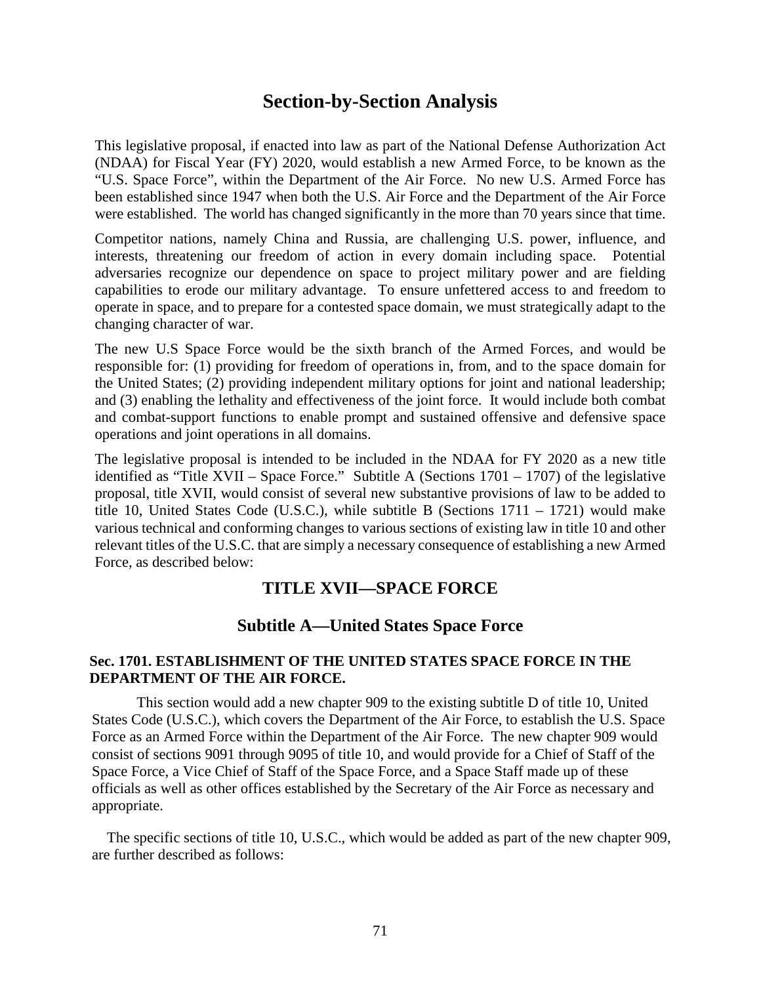# **Section-by-Section Analysis**

This legislative proposal, if enacted into law as part of the National Defense Authorization Act (NDAA) for Fiscal Year (FY) 2020, would establish a new Armed Force, to be known as the "U.S. Space Force", within the Department of the Air Force. No new U.S. Armed Force has been established since 1947 when both the U.S. Air Force and the Department of the Air Force were established. The world has changed significantly in the more than 70 years since that time.

Competitor nations, namely China and Russia, are challenging U.S. power, influence, and interests, threatening our freedom of action in every domain including space. Potential adversaries recognize our dependence on space to project military power and are fielding capabilities to erode our military advantage. To ensure unfettered access to and freedom to operate in space, and to prepare for a contested space domain, we must strategically adapt to the changing character of war.

The new U.S Space Force would be the sixth branch of the Armed Forces, and would be responsible for: (1) providing for freedom of operations in, from, and to the space domain for the United States; (2) providing independent military options for joint and national leadership; and (3) enabling the lethality and effectiveness of the joint force. It would include both combat and combat-support functions to enable prompt and sustained offensive and defensive space operations and joint operations in all domains.

The legislative proposal is intended to be included in the NDAA for FY 2020 as a new title identified as "Title XVII – Space Force." Subtitle A (Sections  $1701 - 1707$ ) of the legislative proposal, title XVII, would consist of several new substantive provisions of law to be added to title 10, United States Code (U.S.C.), while subtitle B (Sections 1711 – 1721) would make various technical and conforming changes to various sections of existing law in title 10 and other relevant titles of the U.S.C. that are simply a necessary consequence of establishing a new Armed Force, as described below:

## **TITLE XVII—SPACE FORCE**

## **Subtitle A—United States Space Force**

### **Sec. 1701. ESTABLISHMENT OF THE UNITED STATES SPACE FORCE IN THE DEPARTMENT OF THE AIR FORCE.**

This section would add a new chapter 909 to the existing subtitle D of title 10, United States Code (U.S.C.), which covers the Department of the Air Force, to establish the U.S. Space Force as an Armed Force within the Department of the Air Force. The new chapter 909 would consist of sections 9091 through 9095 of title 10, and would provide for a Chief of Staff of the Space Force, a Vice Chief of Staff of the Space Force, and a Space Staff made up of these officials as well as other offices established by the Secretary of the Air Force as necessary and appropriate.

The specific sections of title 10, U.S.C., which would be added as part of the new chapter 909, are further described as follows: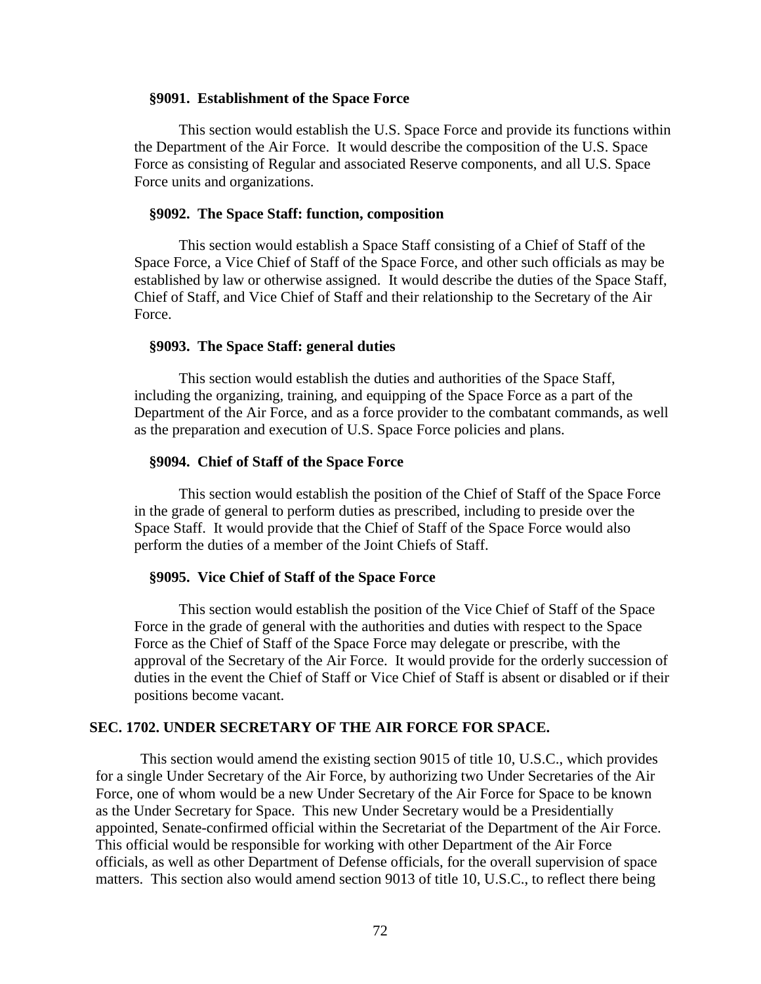#### **§9091. Establishment of the Space Force**

This section would establish the U.S. Space Force and provide its functions within the Department of the Air Force. It would describe the composition of the U.S. Space Force as consisting of Regular and associated Reserve components, and all U.S. Space Force units and organizations.

#### **§9092. The Space Staff: function, composition**

This section would establish a Space Staff consisting of a Chief of Staff of the Space Force, a Vice Chief of Staff of the Space Force, and other such officials as may be established by law or otherwise assigned. It would describe the duties of the Space Staff, Chief of Staff, and Vice Chief of Staff and their relationship to the Secretary of the Air Force.

#### **§9093. The Space Staff: general duties**

This section would establish the duties and authorities of the Space Staff, including the organizing, training, and equipping of the Space Force as a part of the Department of the Air Force, and as a force provider to the combatant commands, as well as the preparation and execution of U.S. Space Force policies and plans.

#### **§9094. Chief of Staff of the Space Force**

This section would establish the position of the Chief of Staff of the Space Force in the grade of general to perform duties as prescribed, including to preside over the Space Staff. It would provide that the Chief of Staff of the Space Force would also perform the duties of a member of the Joint Chiefs of Staff.

#### **§9095. Vice Chief of Staff of the Space Force**

This section would establish the position of the Vice Chief of Staff of the Space Force in the grade of general with the authorities and duties with respect to the Space Force as the Chief of Staff of the Space Force may delegate or prescribe, with the approval of the Secretary of the Air Force. It would provide for the orderly succession of duties in the event the Chief of Staff or Vice Chief of Staff is absent or disabled or if their positions become vacant.

## **SEC. 1702. UNDER SECRETARY OF THE AIR FORCE FOR SPACE.**

This section would amend the existing section 9015 of title 10, U.S.C., which provides for a single Under Secretary of the Air Force, by authorizing two Under Secretaries of the Air Force, one of whom would be a new Under Secretary of the Air Force for Space to be known as the Under Secretary for Space. This new Under Secretary would be a Presidentially appointed, Senate-confirmed official within the Secretariat of the Department of the Air Force. This official would be responsible for working with other Department of the Air Force officials, as well as other Department of Defense officials, for the overall supervision of space matters. This section also would amend section 9013 of title 10, U.S.C., to reflect there being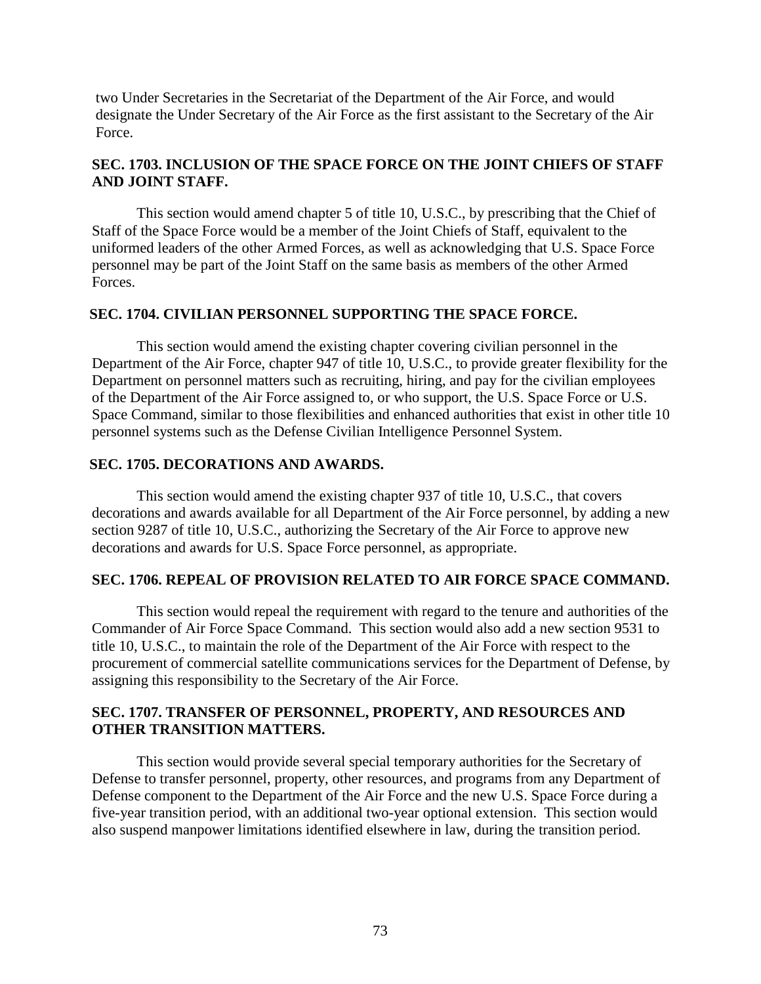two Under Secretaries in the Secretariat of the Department of the Air Force, and would designate the Under Secretary of the Air Force as the first assistant to the Secretary of the Air Force.

# **SEC. 1703. INCLUSION OF THE SPACE FORCE ON THE JOINT CHIEFS OF STAFF AND JOINT STAFF.**

This section would amend chapter 5 of title 10, U.S.C., by prescribing that the Chief of Staff of the Space Force would be a member of the Joint Chiefs of Staff, equivalent to the uniformed leaders of the other Armed Forces, as well as acknowledging that U.S. Space Force personnel may be part of the Joint Staff on the same basis as members of the other Armed Forces.

### **SEC. 1704. CIVILIAN PERSONNEL SUPPORTING THE SPACE FORCE.**

This section would amend the existing chapter covering civilian personnel in the Department of the Air Force, chapter 947 of title 10, U.S.C., to provide greater flexibility for the Department on personnel matters such as recruiting, hiring, and pay for the civilian employees of the Department of the Air Force assigned to, or who support, the U.S. Space Force or U.S. Space Command, similar to those flexibilities and enhanced authorities that exist in other title 10 personnel systems such as the Defense Civilian Intelligence Personnel System.

### **SEC. 1705. DECORATIONS AND AWARDS.**

This section would amend the existing chapter 937 of title 10, U.S.C., that covers decorations and awards available for all Department of the Air Force personnel, by adding a new section 9287 of title 10, U.S.C., authorizing the Secretary of the Air Force to approve new decorations and awards for U.S. Space Force personnel, as appropriate.

### **SEC. 1706. REPEAL OF PROVISION RELATED TO AIR FORCE SPACE COMMAND.**

This section would repeal the requirement with regard to the tenure and authorities of the Commander of Air Force Space Command. This section would also add a new section 9531 to title 10, U.S.C., to maintain the role of the Department of the Air Force with respect to the procurement of commercial satellite communications services for the Department of Defense, by assigning this responsibility to the Secretary of the Air Force.

### **SEC. 1707. TRANSFER OF PERSONNEL, PROPERTY, AND RESOURCES AND OTHER TRANSITION MATTERS.**

This section would provide several special temporary authorities for the Secretary of Defense to transfer personnel, property, other resources, and programs from any Department of Defense component to the Department of the Air Force and the new U.S. Space Force during a five-year transition period, with an additional two-year optional extension. This section would also suspend manpower limitations identified elsewhere in law, during the transition period.